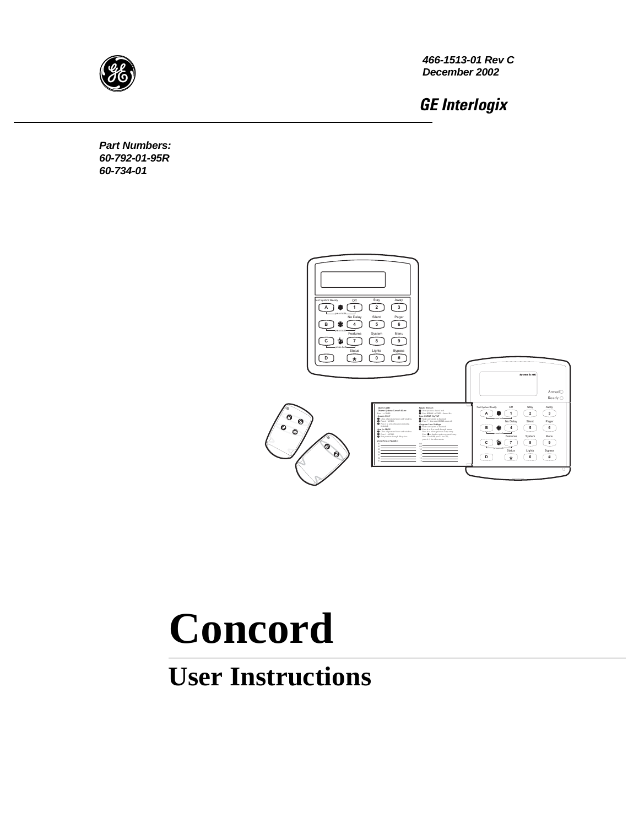

**466-1513-01 Rev C December 2002**

GE Interlogix

**Part Numbers: 60-792-01-95R 60-734-01**



# **Concord**

## **User Instructions**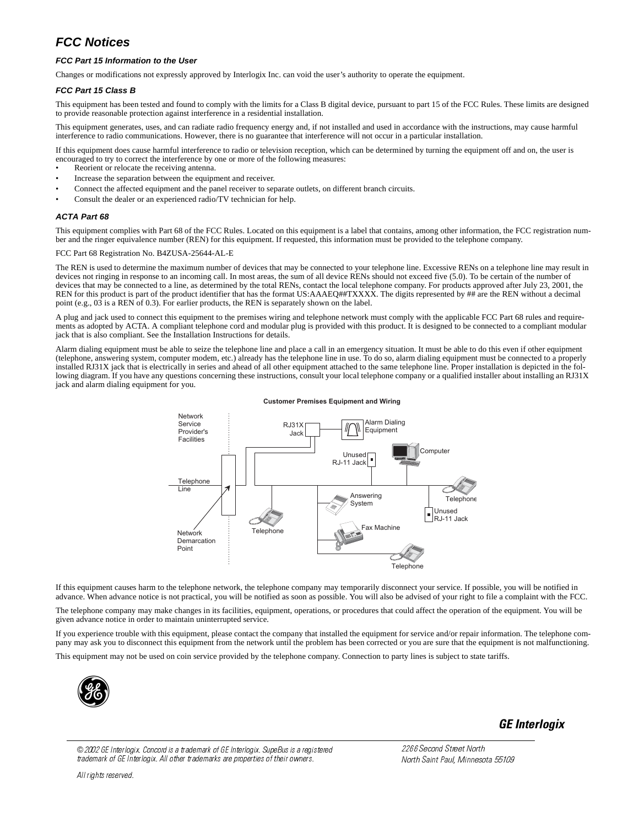### **FCC Notices**

#### **FCC Part 15 Information to the User**

Changes or modifications not expressly approved by Interlogix Inc. can void the user's authority to operate the equipment.

#### **FCC Part 15 Class B**

This equipment has been tested and found to comply with the limits for a Class B digital device, pursuant to part 15 of the FCC Rules. These limits are designed to provide reasonable protection against interference in a residential installation.

This equipment generates, uses, and can radiate radio frequency energy and, if not installed and used in accordance with the instructions, may cause harmful interference to radio communications. However, there is no guarantee that interference will not occur in a particular installation.

If this equipment does cause harmful interference to radio or television reception, which can be determined by turning the equipment off and on, the user is encouraged to try to correct the interference by one or more of the following measures:

- Reorient or relocate the receiving antenna.
- Increase the separation between the equipment and receiver.
- Connect the affected equipment and the panel receiver to separate outlets, on different branch circuits.
- Consult the dealer or an experienced radio/TV technician for help.

#### **ACTA Part 68**

This equipment complies with Part 68 of the FCC Rules. Located on this equipment is a label that contains, among other information, the FCC registration number and the ringer equivalence number (REN) for this equipment. If requested, this information must be provided to the telephone company.

#### FCC Part 68 Registration No. B4ZUSA-25644-AL-E

The REN is used to determine the maximum number of devices that may be connected to your telephone line. Excessive RENs on a telephone line may result in devices not ringing in response to an incoming call. In most areas, the sum of all device RENs should not exceed five (5.0). To be certain of the number of devices that may be connected to a line, as determined by the total RENs, contact the local telephone company. For products approved after July 23, 2001, the REN for this product is part of the product identifier that has the format US:AAAEQ##TXXXX. The digits represented by ## are the REN without a decimal point (e.g., 03 is a REN of 0.3). For earlier products, the REN is separately shown on the label.

A plug and jack used to connect this equipment to the premises wiring and telephone network must comply with the applicable FCC Part 68 rules and requirements as adopted by ACTA. A compliant telephone cord and modular plug is provided with this product. It is designed to be connected to a compliant modular jack that is also compliant. See the Installation Instructions for details.

Alarm dialing equipment must be able to seize the telephone line and place a call in an emergency situation. It must be able to do this even if other equipment (telephone, answering system, computer modem, etc.) already has the telephone line in use. To do so, alarm dialing equipment must be connected to a properly installed RJ31X jack that is electrically in series and ahead of all other equipment attached to the same telephone line. Proper installation is depicted in the following diagram. If you have any questions concerning these instructions, consult your local telephone company or a qualified installer about installing an RJ31X jack and alarm dialing equipment for you.





If this equipment causes harm to the telephone network, the telephone company may temporarily disconnect your service. If possible, you will be notified in advance. When advance notice is not practical, you will be notified as soon as possible. You will also be advised of your right to file a complaint with the FCC.

The telephone company may make changes in its facilities, equipment, operations, or procedures that could affect the operation of the equipment. You will be given advance notice in order to maintain uninterrupted service.

If you experience trouble with this equipment, please contact the company that installed the equipment for service and/or repair information. The telephone company may ask you to disconnect this equipment from the network until the problem has been corrected or you are sure that the equipment is not malfunctioning.

This equipment may not be used on coin service provided by the telephone company. Connection to party lines is subject to state tariffs.



© 2002 GE Interlogix. Concord is a trademark of GE Interlogix. SupeBus is a registered trademark of GE Interlogix. All other trademarks are properties of their owners.

GE Interlogix

2266 Second Street North North Saint Paul, Minnesota 55109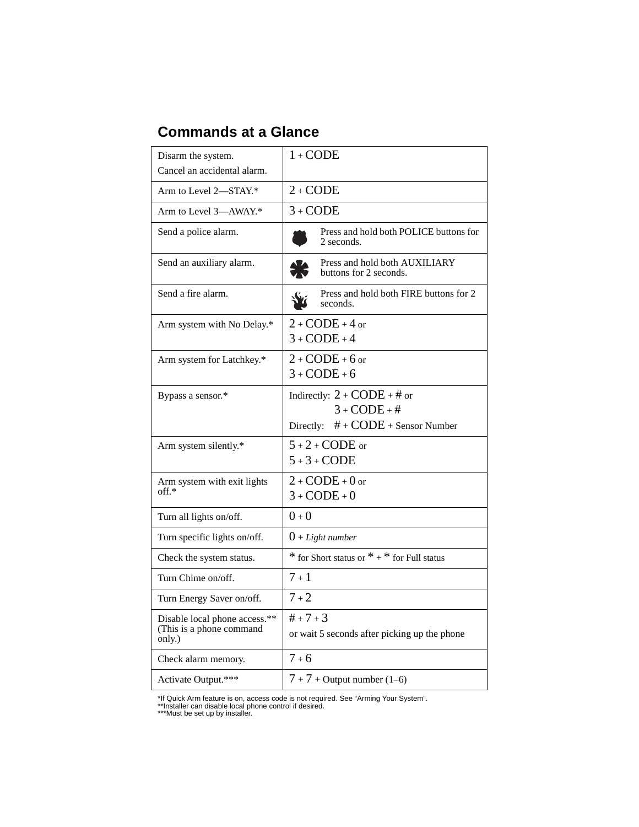## **Commands at a Glance**

| Disarm the system.                                                  | $1 + \text{CODE}$                                                                                 |
|---------------------------------------------------------------------|---------------------------------------------------------------------------------------------------|
| Cancel an accidental alarm.                                         |                                                                                                   |
| Arm to Level 2-STAY.*                                               | $2 + \text{CODE}$                                                                                 |
| Arm to Level 3-AWAY.*                                               | $3 + CODE$                                                                                        |
| Send a police alarm.                                                | Press and hold both POLICE buttons for<br>2 seconds.                                              |
| Send an auxiliary alarm.                                            | Press and hold both AUXILIARY<br>buttons for 2 seconds.                                           |
| Send a fire alarm.                                                  | Press and hold both FIRE buttons for 2<br>seconds.                                                |
| Arm system with No Delay.*                                          | $2 + \text{CODE} + 4$ or<br>$3 + \text{CODE} + 4$                                                 |
| Arm system for Latchkey.*                                           | $2 + \text{CODE} + 6$ or<br>$3 + \text{CODE} + 6$                                                 |
| Bypass a sensor.*                                                   | Indirectly: $2 + CODE + #$ or<br>$3 + \text{CODE} + #$<br>$# + CODE +$ Sensor Number<br>Directly: |
| Arm system silently.*                                               | $5 + 2 + \text{CODE or}$<br>$5+3+CODE$                                                            |
| Arm system with exit lights<br>$\mathrm{off.*}$                     | $2 + \text{CODE} + 0$ or<br>$3 + \text{CODE} + 0$                                                 |
| Turn all lights on/off.                                             | $0 + 0$                                                                                           |
| Turn specific lights on/off.                                        | $0 + Light number$                                                                                |
| Check the system status.                                            | $*$ for Short status or $* + *$ for Full status                                                   |
| Turn Chime on/off.                                                  | $7 + 1$                                                                                           |
| Turn Energy Saver on/off.                                           | $7 + 2$                                                                                           |
| Disable local phone access.**<br>(This is a phone command<br>only.) | $# + 7 + 3$<br>or wait 5 seconds after picking up the phone                                       |
| Check alarm memory.                                                 | $7 + 6$                                                                                           |
| Activate Output.***                                                 | $7 + 7 +$ Output number (1–6)                                                                     |

\*If Quick Arm feature is on, access code is not required. See "Arming Your System".<br>\*\*1nstaller can disable local phone control if desired.<br>\*\*\*Must be set up by installer.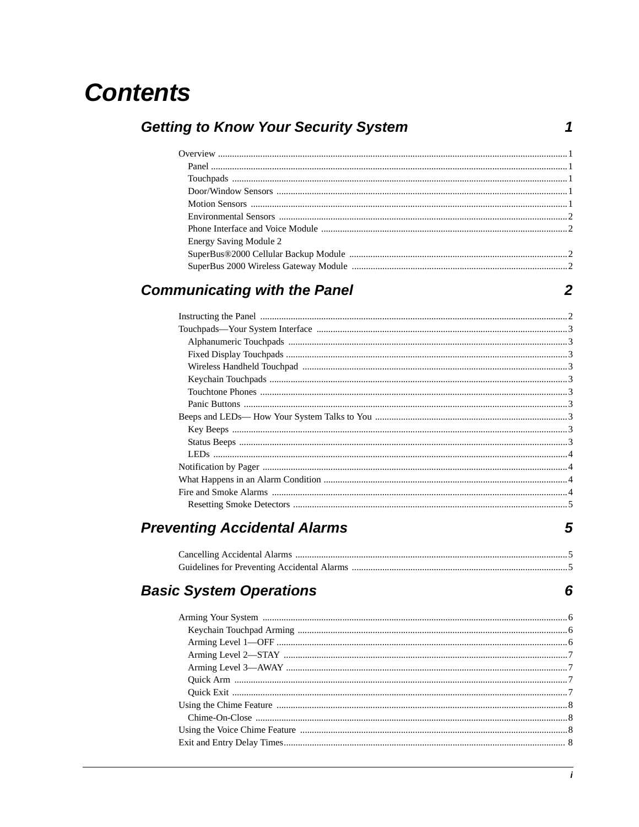## **Contents**

| <b>Energy Saving Module 2</b> |  |
|-------------------------------|--|
|                               |  |
|                               |  |
|                               |  |

## **Communicating with the Panel**

**Getting to Know Your Security System** 

 $\overline{2}$ 

 $\overline{\mathbf{5}}$ 

 $6\phantom{1}6$ 

 $\mathbf 1$ 

## **Preventing Accidental Alarms**

## **Basic System Operations**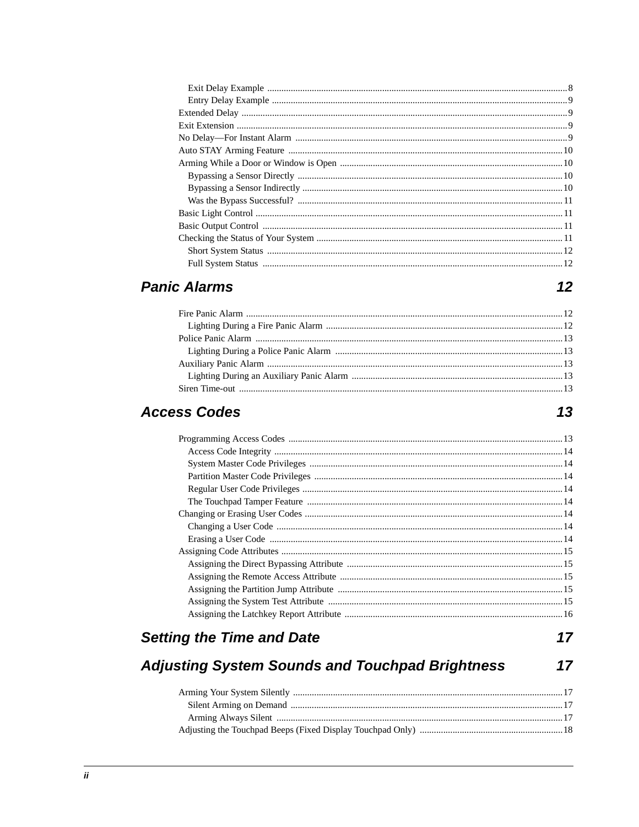## **Panic Alarms**

 $12$ 

## **Access Codes**

## **Setting the Time and Date**

 $17$ 

#### **Adjusting System Sounds and Touchpad Brightness**  $17$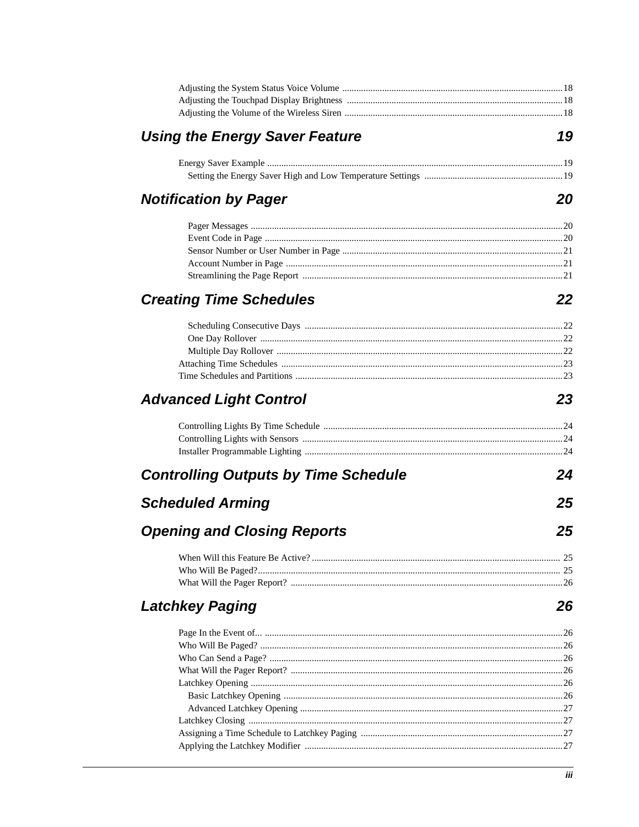| <b>Using the Energy Saver Feature</b>       | 19  |
|---------------------------------------------|-----|
|                                             |     |
|                                             |     |
| <b>Notification by Pager</b>                | 20  |
|                                             |     |
|                                             |     |
|                                             |     |
|                                             |     |
|                                             |     |
| <b>Creating Time Schedules</b>              | 22  |
|                                             |     |
|                                             |     |
|                                             |     |
|                                             |     |
|                                             |     |
| <b>Advanced Light Control</b>               | 23  |
|                                             |     |
|                                             |     |
|                                             |     |
| <b>Controlling Outputs by Time Schedule</b> | 24  |
| <b>Scheduled Arming</b>                     | 25  |
| <b>Opening and Closing Reports</b>          | 25  |
|                                             |     |
|                                             |     |
|                                             |     |
| <b>Latchkey Paging</b>                      | 26  |
|                                             |     |
|                                             |     |
|                                             |     |
|                                             |     |
|                                             |     |
|                                             |     |
|                                             |     |
|                                             |     |
|                                             |     |
|                                             |     |
|                                             |     |
|                                             | iii |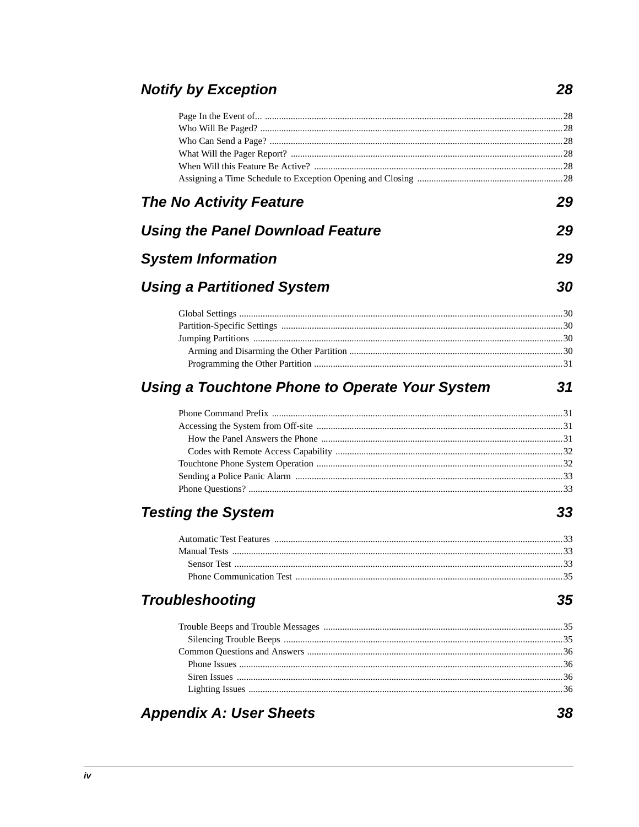## **Notify by Exception**

| <b>The No Activity Feature</b>                        | 29 |
|-------------------------------------------------------|----|
| <b>Using the Panel Download Feature</b>               | 29 |
| <b>System Information</b>                             | 29 |
| <b>Using a Partitioned System</b>                     | 30 |
|                                                       |    |
|                                                       |    |
|                                                       |    |
|                                                       |    |
|                                                       |    |
| <b>Using a Touchtone Phone to Operate Your System</b> | 31 |
|                                                       |    |
|                                                       |    |
|                                                       |    |
|                                                       |    |
|                                                       |    |
|                                                       |    |
| <b>Testing the System</b>                             | 33 |
|                                                       |    |
|                                                       |    |
|                                                       |    |
|                                                       |    |
| <b>Troubleshooting</b>                                | 35 |
|                                                       |    |
|                                                       |    |
|                                                       |    |
|                                                       |    |
|                                                       |    |
|                                                       |    |
| <b>Appendix A: User Sheets</b>                        | 38 |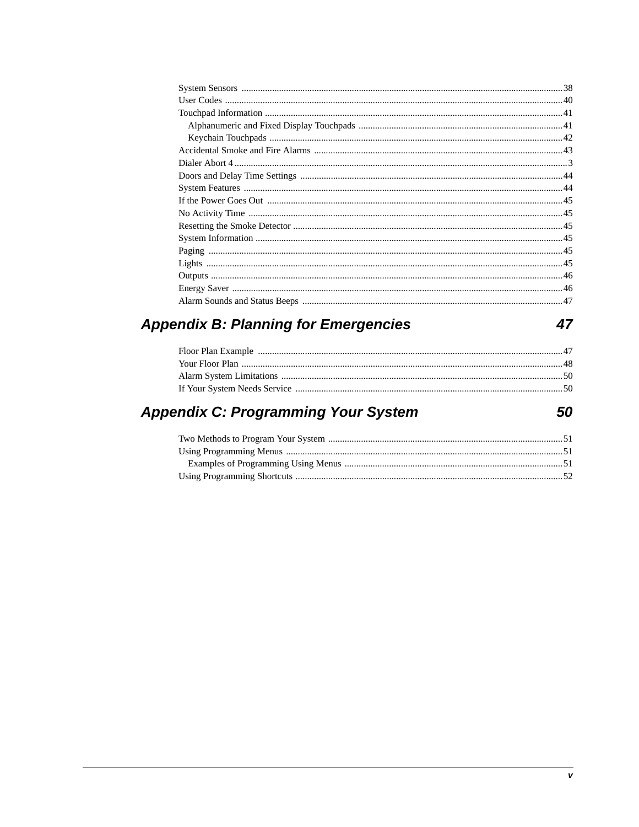## **Appendix B: Planning for Emergencies**

### **Appendix C: Programming Your System**

47

50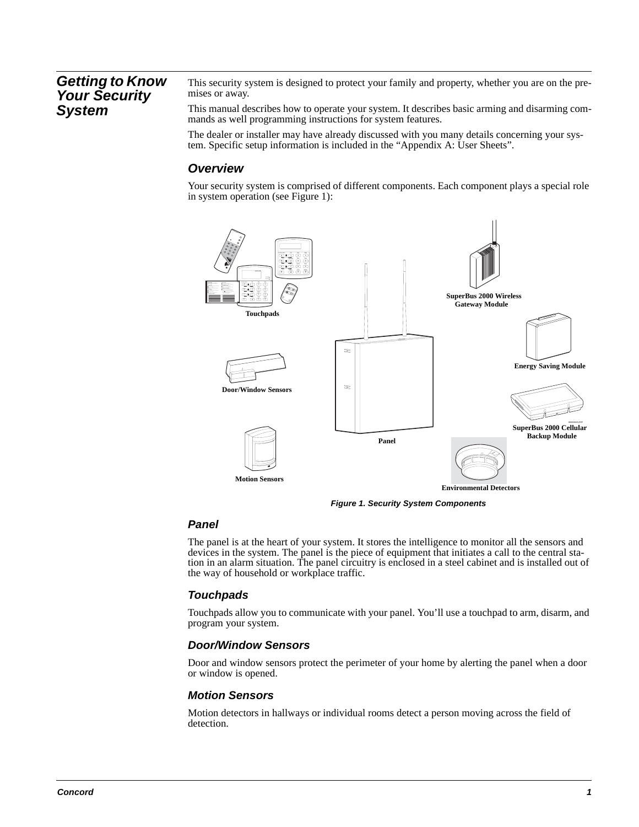### **Getting to Know Your Security System**

This security system is designed to protect your family and property, whether you are on the premises or away.

This manual describes how to operate your system. It describes basic arming and disarming commands as well programming instructions for system features.

The dealer or installer may have already discussed with you many details concerning your system. Specific setup information is included in the "Appendix A: User Sheets".

### **Overview**

Your security system is comprised of different components. Each component plays a special role in system operation (see Figure 1):



**Figure 1. Security System Components**

### **Panel**

The panel is at the heart of your system. It stores the intelligence to monitor all the sensors and devices in the system. The panel is the piece of equipment that initiates a call to the central station in an alarm situation. The panel circuitry is enclosed in a steel cabinet and is installed out of the way of household or workplace traffic.

### **Touchpads**

Touchpads allow you to communicate with your panel. You'll use a touchpad to arm, disarm, and program your system.

#### **Door/Window Sensors**

Door and window sensors protect the perimeter of your home by alerting the panel when a door or window is opened.

#### **Motion Sensors**

Motion detectors in hallways or individual rooms detect a person moving across the field of detection.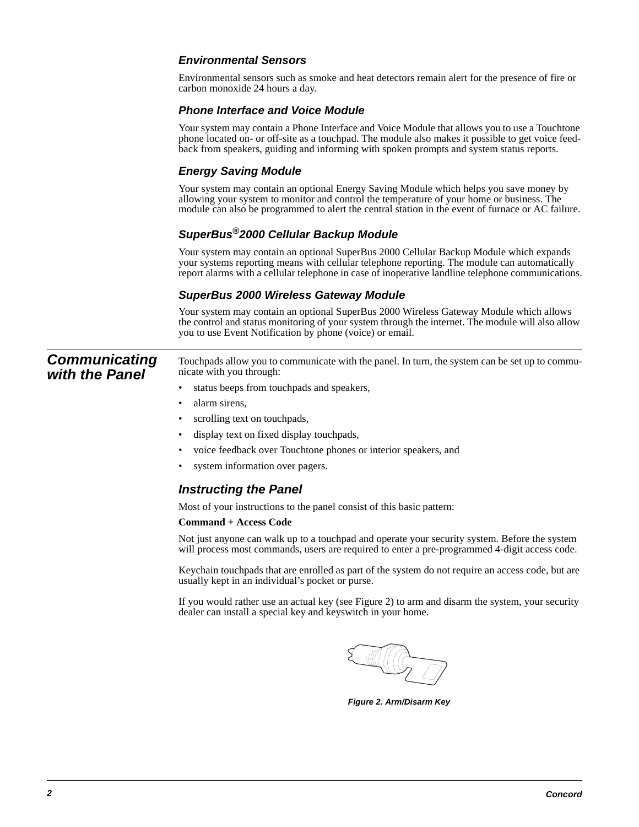### **Environmental Sensors**

Environmental sensors such as smoke and heat detectors remain alert for the presence of fire or carbon monoxide 24 hours a day.

#### **Phone Interface and Voice Module**

Your system may contain a Phone Interface and Voice Module that allows you to use a Touchtone phone located on- or off-site as a touchpad. The module also makes it possible to get voice feedback from speakers, guiding and informing with spoken prompts and system status reports.

### **Energy Saving Module**

Your system may contain an optional Energy Saving Module which helps you save money by allowing your system to monitor and control the temperature of your home or business. The module can also be programmed to alert the central station in the event of furnace or AC failure.

### **SuperBus®2000 Cellular Backup Module**

Your system may contain an optional SuperBus 2000 Cellular Backup Module which expands your systems reporting means with cellular telephone reporting. The module can automatically report alarms with a cellular telephone in case of inoperative landline telephone communications.

### **SuperBus 2000 Wireless Gateway Module**

Your system may contain an optional SuperBus 2000 Wireless Gateway Module which allows the control and status monitoring of your system through the internet. The module will also allow you to use Event Notification by phone (voice) or email.

**Communicating with the Panel** Touchpads allow you to communicate with the panel. In turn, the system can be set up to communicate with you through:

- status beeps from touchpads and speakers,
- alarm sirens,
- scrolling text on touchpads,
- display text on fixed display touchpads,
- voice feedback over Touchtone phones or interior speakers, and
- system information over pagers.

### **Instructing the Panel**

Most of your instructions to the panel consist of this basic pattern:

#### **Command + Access Code**

Not just anyone can walk up to a touchpad and operate your security system. Before the system will process most commands, users are required to enter a pre-programmed 4-digit access code.

Keychain touchpads that are enrolled as part of the system do not require an access code, but are usually kept in an individual's pocket or purse.

If you would rather use an actual key (see Figure 2) to arm and disarm the system, your security dealer can install a special key and keyswitch in your home.



**Figure 2. Arm/Disarm Key**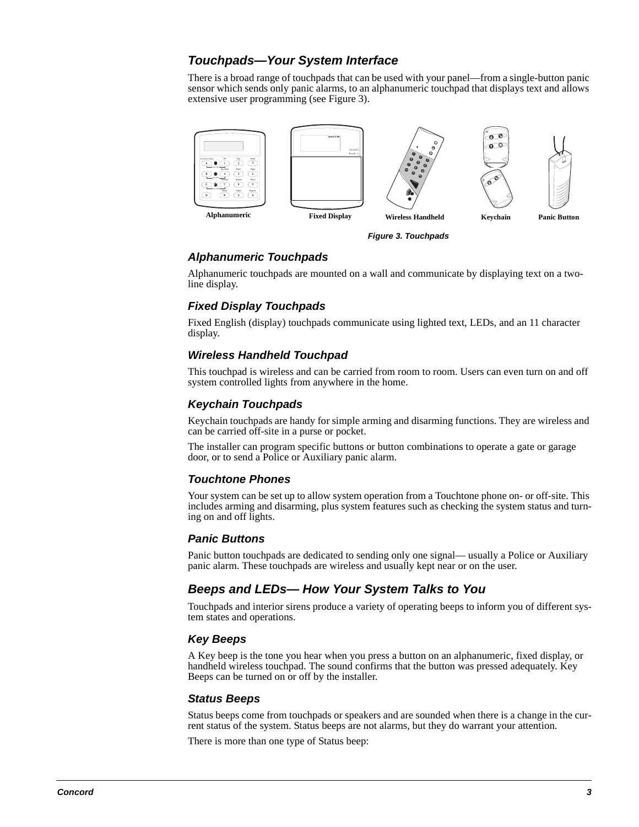### **Touchpads—Your System Interface**

There is a broad range of touchpads that can be used with your panel—from a single-button panic sensor which sends only panic alarms, to an alphanumeric touchpad that displays text and allows extensive user programming (see Figure 3).



**Figure 3. Touchpads**

### **Alphanumeric Touchpads**

Alphanumeric touchpads are mounted on a wall and communicate by displaying text on a twoline display.

### **Fixed Display Touchpads**

Fixed English (display) touchpads communicate using lighted text, LEDs, and an 11 character display.

### **Wireless Handheld Touchpad**

This touchpad is wireless and can be carried from room to room. Users can even turn on and off system controlled lights from anywhere in the home.

### **Keychain Touchpads**

Keychain touchpads are handy for simple arming and disarming functions. They are wireless and can be carried off-site in a purse or pocket.

The installer can program specific buttons or button combinations to operate a gate or garage door, or to send a Police or Auxiliary panic alarm.

#### **Touchtone Phones**

Your system can be set up to allow system operation from a Touchtone phone on- or off-site. This includes arming and disarming, plus system features such as checking the system status and turning on and off lights.

#### **Panic Buttons**

Panic button touchpads are dedicated to sending only one signal— usually a Police or Auxiliary panic alarm. These touchpads are wireless and usually kept near or on the user.

### **Beeps and LEDs— How Your System Talks to You**

Touchpads and interior sirens produce a variety of operating beeps to inform you of different system states and operations.

#### **Key Beeps**

A Key beep is the tone you hear when you press a button on an alphanumeric, fixed display, or handheld wireless touchpad. The sound confirms that the button was pressed adequately. Key Beeps can be turned on or off by the installer.

#### **Status Beeps**

Status beeps come from touchpads or speakers and are sounded when there is a change in the current status of the system. Status beeps are not alarms, but they do warrant your attention.

There is more than one type of Status beep: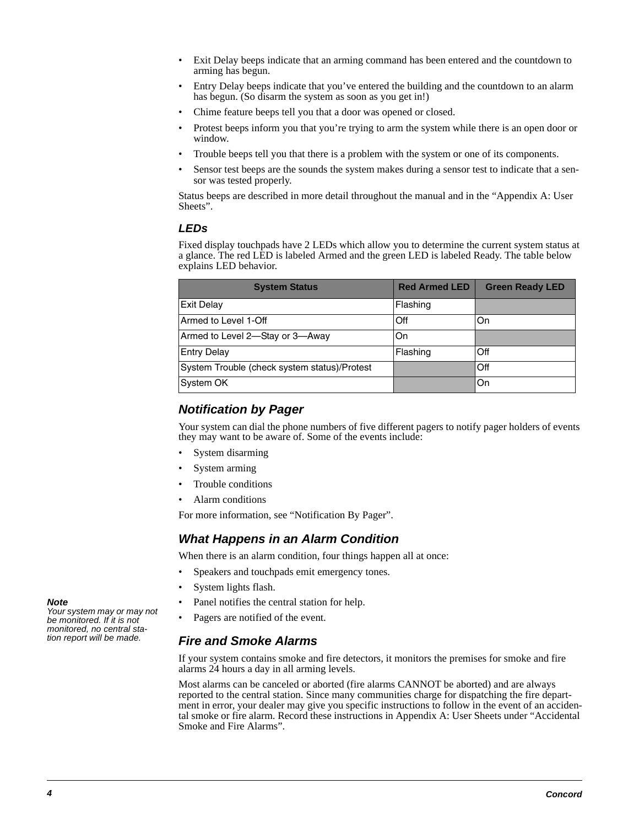- Exit Delay beeps indicate that an arming command has been entered and the countdown to arming has begun.
- Entry Delay beeps indicate that you've entered the building and the countdown to an alarm has begun. (So disarm the system as soon as you get in!)
- Chime feature beeps tell you that a door was opened or closed.
- Protest beeps inform you that you're trying to arm the system while there is an open door or window.
- Trouble beeps tell you that there is a problem with the system or one of its components.
- Sensor test beeps are the sounds the system makes during a sensor test to indicate that a sensor was tested properly.

Status beeps are described in more detail throughout the manual and in the "Appendix A: User Sheets".

### **LEDs**

Fixed display touchpads have 2 LEDs which allow you to determine the current system status at a glance. The red LED is labeled Armed and the green LED is labeled Ready. The table below explains LED behavior.

| <b>System Status</b>                         | <b>Red Armed LED</b> | <b>Green Ready LED</b> |
|----------------------------------------------|----------------------|------------------------|
| <b>Exit Delay</b>                            | Flashing             |                        |
| Armed to Level 1-Off                         | Off                  | On                     |
| Armed to Level 2-Stay or 3-Away              | On                   |                        |
| <b>Entry Delay</b>                           | Flashing             | Off                    |
| System Trouble (check system status)/Protest |                      | Off                    |
| System OK                                    |                      | On                     |

### **Notification by Pager**

Your system can dial the phone numbers of five different pagers to notify pager holders of events they may want to be aware of. Some of the events include:

- System disarming
- System arming
- Trouble conditions
- Alarm conditions

For more information, see "Notification By Pager".

### **What Happens in an Alarm Condition**

When there is an alarm condition, four things happen all at once:

- Speakers and touchpads emit emergency tones.
- System lights flash.
- Panel notifies the central station for help.
- Pagers are notified of the event.

### **Fire and Smoke Alarms**

If your system contains smoke and fire detectors, it monitors the premises for smoke and fire alarms 24 hours a day in all arming levels.

Most alarms can be canceled or aborted (fire alarms CANNOT be aborted) and are always reported to the central station. Since many communities charge for dispatching the fire department in error, your dealer may give you specific instructions to follow in the event of an accidental smoke or fire alarm. Record these instructions in Appendix A: User Sheets under "Accidental Smoke and Fire Alarms".

#### **Note**

Your system may or may not be monitored. If it is not monitored, no central station report will be made.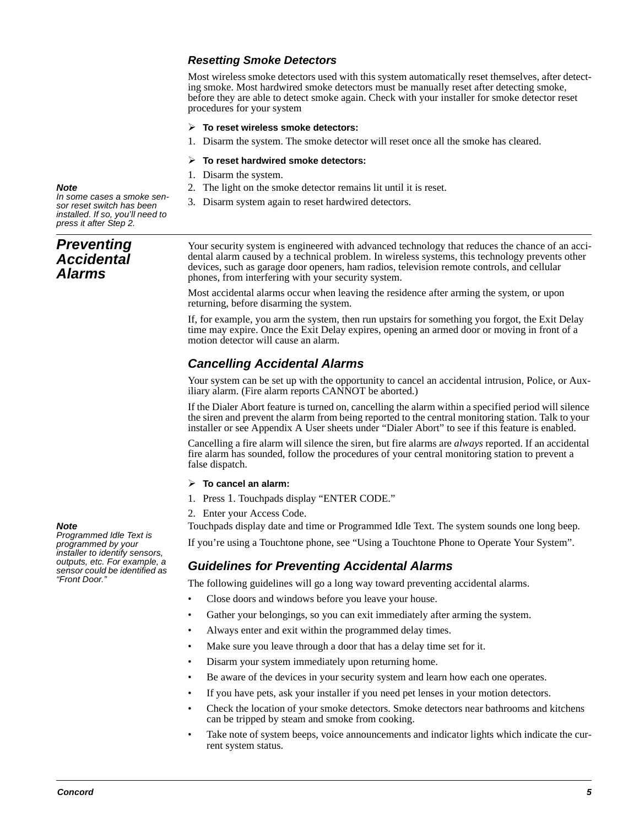### **Resetting Smoke Detectors**

Most wireless smoke detectors used with this system automatically reset themselves, after detecting smoke. Most hardwired smoke detectors must be manually reset after detecting smoke, before they are able to detect smoke again. Check with your installer for smoke detector reset procedures for your system

#### **To reset wireless smoke detectors:**

1. Disarm the system. The smoke detector will reset once all the smoke has cleared.

#### **To reset hardwired smoke detectors:**

- 1. Disarm the system.
- 2. The light on the smoke detector remains lit until it is reset.
- 3. Disarm system again to reset hardwired detectors.

**Note**  In some cases a smoke sensor reset switch has been installed. If so, you'll need to press it after Step 2.

**Preventing Accidental Alarms**

Your security system is engineered with advanced technology that reduces the chance of an accidental alarm caused by a technical problem. In wireless systems, this technology prevents other devices, such as garage door openers, ham radios, television remote controls, and cellular phones, from interfering with your security system.

Most accidental alarms occur when leaving the residence after arming the system, or upon returning, before disarming the system.

If, for example, you arm the system, then run upstairs for something you forgot, the Exit Delay time may expire. Once the Exit Delay expires, opening an armed door or moving in front of a motion detector will cause an alarm.

### **Cancelling Accidental Alarms**

Your system can be set up with the opportunity to cancel an accidental intrusion, Police, or Auxiliary alarm. (Fire alarm reports CANNOT be aborted.)

If the Dialer Abort feature is turned on, cancelling the alarm within a specified period will silence the siren and prevent the alarm from being reported to the central monitoring station. Talk to your installer or see Appendix A User sheets under "Dialer Abort" to see if this feature is enabled.

Cancelling a fire alarm will silence the siren, but fire alarms are *always* reported. If an accidental fire alarm has sounded, follow the procedures of your central monitoring station to prevent a false dispatch.

#### **To cancel an alarm:**

- 1. Press 1. Touchpads display "ENTER CODE."
- 2. Enter your Access Code.

Touchpads display date and time or Programmed Idle Text. The system sounds one long beep.

If you're using a Touchtone phone, see "Using a Touchtone Phone to Operate Your System".

### **Guidelines for Preventing Accidental Alarms**

The following guidelines will go a long way toward preventing accidental alarms.

- Close doors and windows before you leave your house.
- Gather your belongings, so you can exit immediately after arming the system.
- Always enter and exit within the programmed delay times.
- Make sure you leave through a door that has a delay time set for it.
- Disarm your system immediately upon returning home.
- Be aware of the devices in your security system and learn how each one operates.
- If you have pets, ask your installer if you need pet lenses in your motion detectors.
- Check the location of your smoke detectors. Smoke detectors near bathrooms and kitchens can be tripped by steam and smoke from cooking.
- Take note of system beeps, voice announcements and indicator lights which indicate the current system status.

#### **Note**

Programmed Idle Text is programmed by your installer to identify sensors, outputs, etc. For example, a sensor could be identified as "Front Door."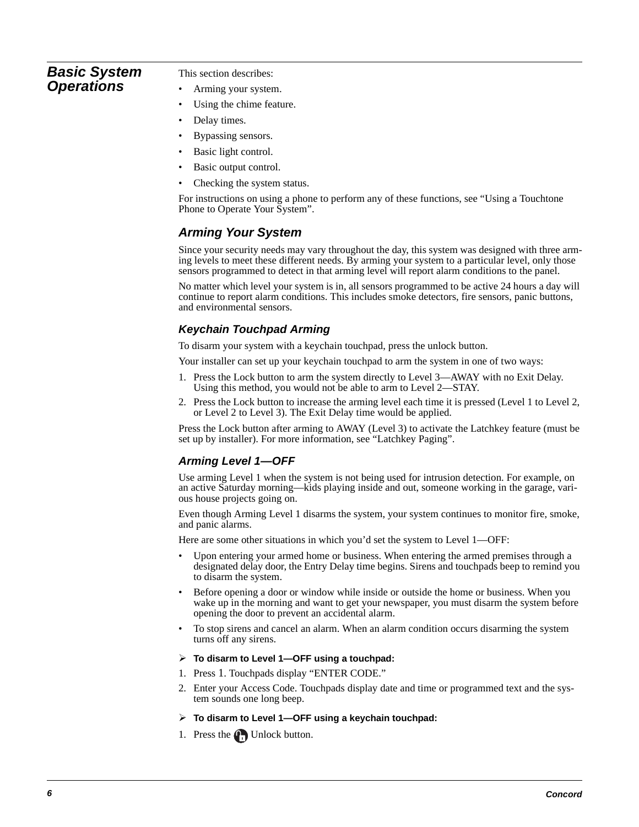### **Basic System Operations**

This section describes:

- Arming your system.
- Using the chime feature.
- Delay times.
- Bypassing sensors.
- Basic light control.
- Basic output control.
- Checking the system status.

For instructions on using a phone to perform any of these functions, see "Using a Touchtone Phone to Operate Your System".

### **Arming Your System**

Since your security needs may vary throughout the day, this system was designed with three arming levels to meet these different needs. By arming your system to a particular level, only those sensors programmed to detect in that arming level will report alarm conditions to the panel.

No matter which level your system is in, all sensors programmed to be active 24 hours a day will continue to report alarm conditions. This includes smoke detectors, fire sensors, panic buttons, and environmental sensors.

### **Keychain Touchpad Arming**

To disarm your system with a keychain touchpad, press the unlock button.

Your installer can set up your keychain touchpad to arm the system in one of two ways:

- 1. Press the Lock button to arm the system directly to Level 3—AWAY with no Exit Delay. Using this method, you would not be able to arm to Level 2—STAY.
- 2. Press the Lock button to increase the arming level each time it is pressed (Level 1 to Level 2, or Level 2 to Level 3). The Exit Delay time would be applied.

Press the Lock button after arming to AWAY (Level 3) to activate the Latchkey feature (must be set up by installer). For more information, see "Latchkey Paging".

### **Arming Level 1—OFF**

Use arming Level 1 when the system is not being used for intrusion detection. For example, on an active Saturday morning—kids playing inside and out, someone working in the garage, various house projects going on.

Even though Arming Level 1 disarms the system, your system continues to monitor fire, smoke, and panic alarms.

Here are some other situations in which you'd set the system to Level 1—OFF:

- Upon entering your armed home or business. When entering the armed premises through a designated delay door, the Entry Delay time begins. Sirens and touchpads beep to remind you to disarm the system.
- Before opening a door or window while inside or outside the home or business. When you wake up in the morning and want to get your newspaper, you must disarm the system before opening the door to prevent an accidental alarm.
- To stop sirens and cancel an alarm. When an alarm condition occurs disarming the system turns off any sirens.
- **To disarm to Level 1—OFF using a touchpad:**
- 1. Press 1. Touchpads display "ENTER CODE."
- 2. Enter your Access Code. Touchpads display date and time or programmed text and the system sounds one long beep.
- **To disarm to Level 1—OFF using a keychain touchpad:**
- 1. Press the  $\mathbf{Q}_1$  Unlock button.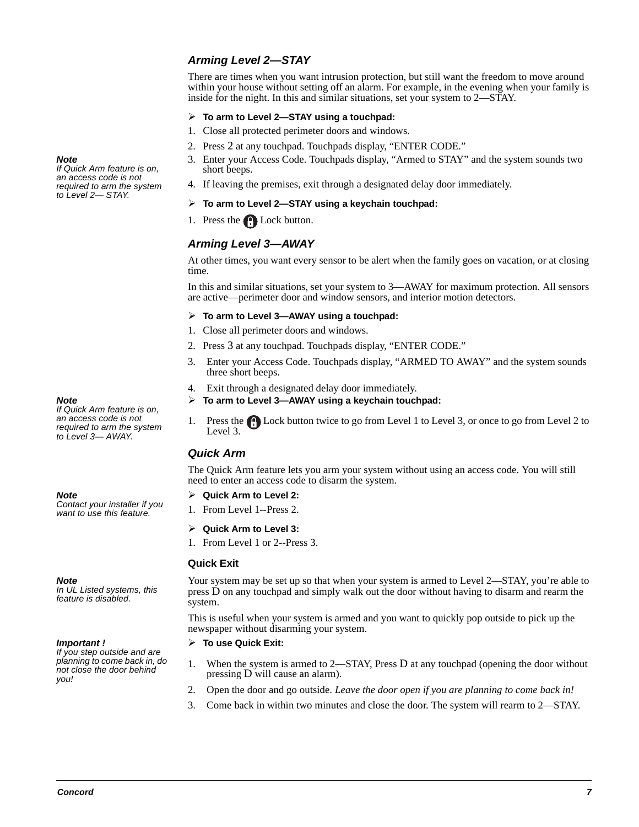### **Arming Level 2—STAY**

There are times when you want intrusion protection, but still want the freedom to move around within your house without setting off an alarm. For example, in the evening when your family is inside for the night. In this and similar situations, set your system to 2—STAY.

#### **To arm to Level 2—STAY using a touchpad:**

- 1. Close all protected perimeter doors and windows.
- 2. Press 2 at any touchpad. Touchpads display, "ENTER CODE."
- 3. Enter your Access Code. Touchpads display, "Armed to STAY" and the system sounds two short beeps.
- 4. If leaving the premises, exit through a designated delay door immediately.
- **To arm to Level 2—STAY using a keychain touchpad:**
- 1. Press the Lock button.

### **Arming Level 3—AWAY**

At other times, you want every sensor to be alert when the family goes on vacation, or at closing time.

In this and similar situations, set your system to 3—AWAY for maximum protection. All sensors are active—perimeter door and window sensors, and interior motion detectors.

#### **To arm to Level 3—AWAY using a touchpad:**

- 1. Close all perimeter doors and windows.
- 2. Press 3 at any touchpad. Touchpads display, "ENTER CODE."
- 3. Enter your Access Code. Touchpads display, "ARMED TO AWAY" and the system sounds three short beeps.
- 4. Exit through a designated delay door immediately.
- **To arm to Level 3—AWAY using a keychain touchpad:**
- 1. Press the **C** Lock button twice to go from Level 1 to Level 3, or once to go from Level 2 to Level 3.

### **Quick Arm**

The Quick Arm feature lets you arm your system without using an access code. You will still need to enter an access code to disarm the system.

#### **Quick Arm to Level 2:**

- 1. From Level 1--Press 2.
- **Quick Arm to Level 3:**
- 1. From Level 1 or 2--Press 3.

#### **Quick Exit**

Your system may be set up so that when your system is armed to Level 2—STAY, you're able to press D on any touchpad and simply walk out the door without having to disarm and rearm the system.

This is useful when your system is armed and you want to quickly pop outside to pick up the newspaper without disarming your system.

#### **To use Quick Exit:**

- 1. When the system is armed to 2—STAY, Press D at any touchpad (opening the door without pressing D will cause an alarm).
- 2. Open the door and go outside. *Leave the door open if you are planning to come back in!*
- 3. Come back in within two minutes and close the door. The system will rearm to 2—STAY.

#### **Note**

If Quick Arm feature is on, an access code is not required to arm the system to Level 2— STAY.

#### **Note**

If Quick Arm feature is on, an access code is not required to arm the system to Level 3— AWAY.

#### **Note**

Contact your installer if you want to use this feature.

**Note** 

In UL Listed systems, this feature is disabled.

**Important !** 

If you step outside and are planning to come back in, do not close the door behind you!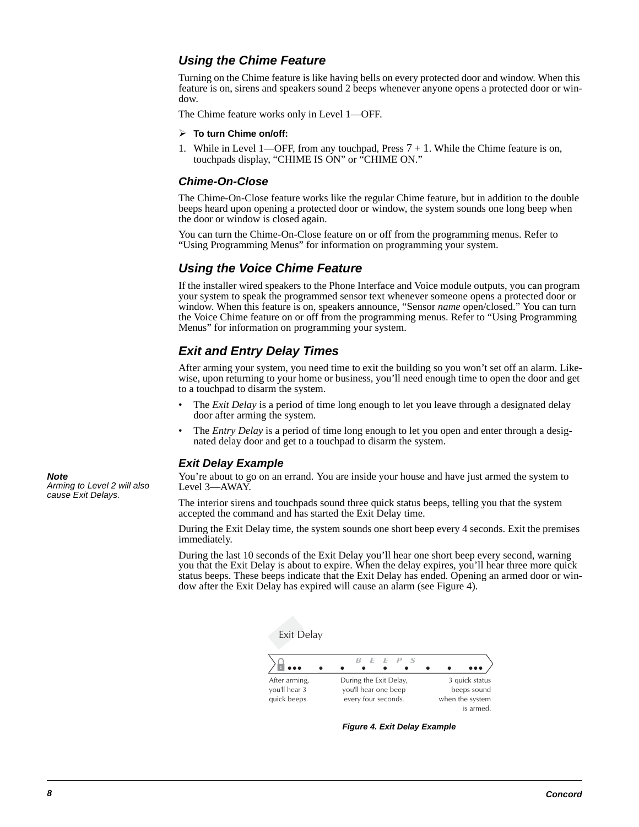### **Using the Chime Feature**

Turning on the Chime feature is like having bells on every protected door and window. When this feature is on, sirens and speakers sound 2 beeps whenever anyone opens a protected door or window.

The Chime feature works only in Level 1—OFF.

#### **To turn Chime on/off:**

1. While in Level 1—OFF, from any touchpad, Press  $7 + 1$ . While the Chime feature is on, touchpads display, "CHIME IS ON" or "CHIME ON."

### **Chime-On-Close**

The Chime-On-Close feature works like the regular Chime feature, but in addition to the double beeps heard upon opening a protected door or window, the system sounds one long beep when the door or window is closed again.

You can turn the Chime-On-Close feature on or off from the programming menus. Refer to "Using Programming Menus" for information on programming your system.

### **Using the Voice Chime Feature**

If the installer wired speakers to the Phone Interface and Voice module outputs, you can program your system to speak the programmed sensor text whenever someone opens a protected door or window. When this feature is on, speakers announce, "Sensor *name* open/closed." You can turn the Voice Chime feature on or off from the programming menus. Refer to "Using Programming Menus" for information on programming your system.

### **Exit and Entry Delay Times**

After arming your system, you need time to exit the building so you won't set off an alarm. Likewise, upon returning to your home or business, you'll need enough time to open the door and get to a touchpad to disarm the system.

- The *Exit Delay* is a period of time long enough to let you leave through a designated delay door after arming the system.
- The *Entry Delay* is a period of time long enough to let you open and enter through a designated delay door and get to a touchpad to disarm the system.

### **Exit Delay Example**

You're about to go on an errand. You are inside your house and have just armed the system to Level 3—AWAY.

The interior sirens and touchpads sound three quick status beeps, telling you that the system accepted the command and has started the Exit Delay time.

During the Exit Delay time, the system sounds one short beep every 4 seconds. Exit the premises immediately.

During the last 10 seconds of the Exit Delay you'll hear one short beep every second, warning you that the Exit Delay is about to expire. When the delay expires, you'll hear three more quick status beeps. These beeps indicate that the Exit Delay has ended. Opening an armed door or window after the Exit Delay has expired will cause an alarm (see Figure 4).



**Figure 4. Exit Delay Example**

**Note**  Arming to Level 2 will also cause Exit Delays.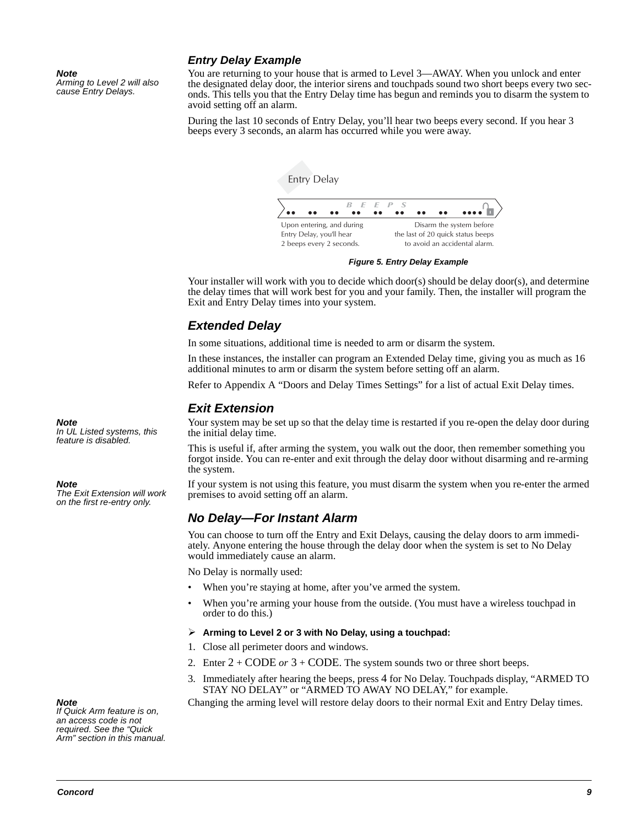#### **Note**

Arming to Level 2 will also cause Entry Delays.

### **Entry Delay Example**

You are returning to your house that is armed to Level 3—AWAY. When you unlock and enter the designated delay door, the interior sirens and touchpads sound two short beeps every two seconds. This tells you that the Entry Delay time has begun and reminds you to disarm the system to avoid setting off an alarm.

During the last 10 seconds of Entry Delay, you'll hear two beeps every second. If you hear 3 beeps every 3 seconds, an alarm has occurred while you were away.



#### **Figure 5. Entry Delay Example**

Your installer will work with you to decide which door(s) should be delay door(s), and determine the delay times that will work best for you and your family. Then, the installer will program the Exit and Entry Delay times into your system.

### **Extended Delay**

In some situations, additional time is needed to arm or disarm the system.

In these instances, the installer can program an Extended Delay time, giving you as much as 16 additional minutes to arm or disarm the system before setting off an alarm.

Refer to Appendix A "Doors and Delay Times Settings" for a list of actual Exit Delay times.

### **Exit Extension**

Your system may be set up so that the delay time is restarted if you re-open the delay door during the initial delay time.

This is useful if, after arming the system, you walk out the door, then remember something you forgot inside. You can re-enter and exit through the delay door without disarming and re-arming the system.

If your system is not using this feature, you must disarm the system when you re-enter the armed premises to avoid setting off an alarm.

### **No Delay—For Instant Alarm**

You can choose to turn off the Entry and Exit Delays, causing the delay doors to arm immediately. Anyone entering the house through the delay door when the system is set to No Delay would immediately cause an alarm.

No Delay is normally used:

- When you're staying at home, after you've armed the system.
- When you're arming your house from the outside. (You must have a wireless touchpad in order to do this.)

#### **Arming to Level 2 or 3 with No Delay, using a touchpad:**

- 1. Close all perimeter doors and windows.
- 2. Enter 2 + CODE *or* 3 + CODE. The system sounds two or three short beeps.
- 3. Immediately after hearing the beeps, press 4 for No Delay. Touchpads display, "ARMED TO STAY NO DELAY" or "ARMED TO AWAY NO DELAY," for example.

Changing the arming level will restore delay doors to their normal Exit and Entry Delay times.

**Note**  If Quick Arm feature is on, an access code is not required. See the "Quick Arm" section in this manual.

#### **Note**

In UL Listed systems, this feature is disabled.

#### **Note**

The Exit Extension will work on the first re-entry only.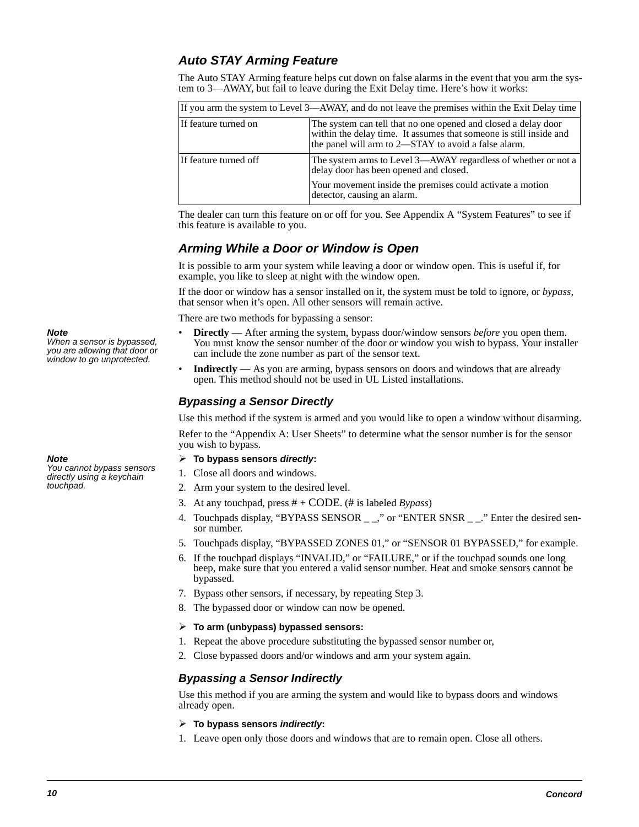### **Auto STAY Arming Feature**

The Auto STAY Arming feature helps cut down on false alarms in the event that you arm the system to 3—AWAY, but fail to leave during the Exit Delay time. Here's how it works:

| If you arm the system to Level 3—AWAY, and do not leave the premises within the Exit Delay time                                                                                                                      |                                                                                                                                                                                                      |  |
|----------------------------------------------------------------------------------------------------------------------------------------------------------------------------------------------------------------------|------------------------------------------------------------------------------------------------------------------------------------------------------------------------------------------------------|--|
| The system can tell that no one opened and closed a delay door<br>If feature turned on<br>within the delay time. It assumes that someone is still inside and<br>the panel will arm to 2—STAY to avoid a false alarm. |                                                                                                                                                                                                      |  |
| If feature turned off                                                                                                                                                                                                | The system arms to Level 3—AWAY regardless of whether or not a<br>delay door has been opened and closed.<br>Your movement inside the premises could activate a motion<br>detector, causing an alarm. |  |

The dealer can turn this feature on or off for you. See Appendix A "System Features" to see if this feature is available to you.

### **Arming While a Door or Window is Open**

It is possible to arm your system while leaving a door or window open. This is useful if, for example, you like to sleep at night with the window open.

If the door or window has a sensor installed on it, the system must be told to ignore, or *bypass*, that sensor when it's open. All other sensors will remain active.

There are two methods for bypassing a sensor:

- **Directly**  After arming the system, bypass door/window sensors *before* you open them. You must know the sensor number of the door or window you wish to bypass. Your installer can include the zone number as part of the sensor text.
- **Indirectly** As you are arming, bypass sensors on doors and windows that are already open. This method should not be used in UL Listed installations.

### **Bypassing a Sensor Directly**

Use this method if the system is armed and you would like to open a window without disarming. Refer to the "Appendix A: User Sheets" to determine what the sensor number is for the sensor you wish to bypass.

#### **To bypass sensors directly:**

- 1. Close all doors and windows.
- 2. Arm your system to the desired level.
- 3. At any touchpad, press # + CODE. (# is labeled *Bypass*)
- 4. Touchpads display, "BYPASS SENSOR", " or "ENTER SNSR". " Enter the desired sensor number.
- 5. Touchpads display, "BYPASSED ZONES 01," or "SENSOR 01 BYPASSED," for example.
- 6. If the touchpad displays "INVALID," or "FAILURE," or if the touchpad sounds one long beep, make sure that you entered a valid sensor number. Heat and smoke sensors cannot be bypassed.
- 7. Bypass other sensors, if necessary, by repeating Step 3.
- 8. The bypassed door or window can now be opened.

#### **To arm (unbypass) bypassed sensors:**

- 1. Repeat the above procedure substituting the bypassed sensor number or,
- 2. Close bypassed doors and/or windows and arm your system again.

### **Bypassing a Sensor Indirectly**

Use this method if you are arming the system and would like to bypass doors and windows already open.

#### **To bypass sensors indirectly:**

1. Leave open only those doors and windows that are to remain open. Close all others.

**Note** 

When a sensor is bypassed, you are allowing that door or window to go unprotected.

#### **Note**

You cannot bypass sensors directly using a keychain touchpad.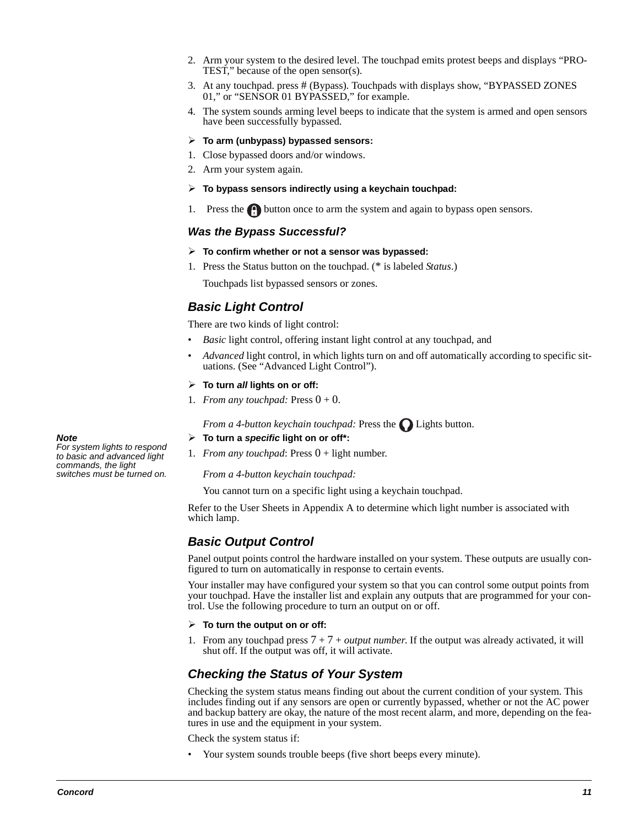- 2. Arm your system to the desired level. The touchpad emits protest beeps and displays "PRO-TEST," because of the open sensor(s).
- 3. At any touchpad. press # (Bypass)*.* Touchpads with displays show, "BYPASSED ZONES 01," or "SENSOR 01 BYPASSED," for example.
- 4. The system sounds arming level beeps to indicate that the system is armed and open sensors have been successfully bypassed.

#### **To arm (unbypass) bypassed sensors:**

- 1. Close bypassed doors and/or windows.
- 2. Arm your system again.

#### **To bypass sensors indirectly using a keychain touchpad:**

1. Press the **button once to arm the system and again to bypass open sensors.** 

### **Was the Bypass Successful?**

- **To confirm whether or not a sensor was bypassed:**
- 1. Press the Status button on the touchpad. (\* is labeled *Status*.)

Touchpads list bypassed sensors or zones.

### **Basic Light Control**

There are two kinds of light control:

- *Basic* light control, offering instant light control at any touchpad, and
- *Advanced* light control, in which lights turn on and off automatically according to specific situations. (See "Advanced Light Control").
- **To turn all lights on or off:**
- 1. *From any touchpad:* Press  $0 + 0$ .

*From a 4-button keychain touchpad:* Press the *Lights button*.

#### **To turn a specific light on or off\*:**

1. *From any touchpad*: Press 0 + light number.

#### *From a 4-button keychain touchpad:*

You cannot turn on a specific light using a keychain touchpad.

Refer to the User Sheets in Appendix A to determine which light number is associated with which lamp.

### **Basic Output Control**

Panel output points control the hardware installed on your system. These outputs are usually configured to turn on automatically in response to certain events.

Your installer may have configured your system so that you can control some output points from your touchpad. Have the installer list and explain any outputs that are programmed for your control. Use the following procedure to turn an output on or off.

#### **To turn the output on or off:**

1. From any touchpad press 7 + 7 + *output number*. If the output was already activated, it will shut off. If the output was off, it will activate.

### **Checking the Status of Your System**

Checking the system status means finding out about the current condition of your system. This includes finding out if any sensors are open or currently bypassed, whether or not the AC power and backup battery are okay, the nature of the most recent alarm, and more, depending on the features in use and the equipment in your system.

Check the system status if:

• Your system sounds trouble beeps (five short beeps every minute).

**Note**  For system lights to respond to basic and advanced light commands, the light switches must be turned on.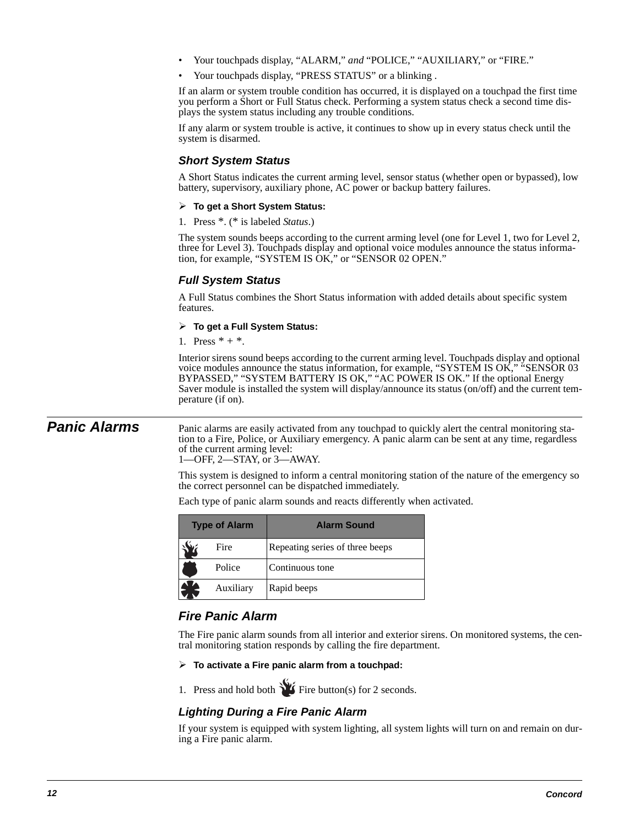- Your touchpads display, "ALARM," *and* "POLICE," "AUXILIARY," or "FIRE."
- Your touchpads display, "PRESS STATUS" or a blinking .

If an alarm or system trouble condition has occurred, it is displayed on a touchpad the first time you perform a Short or Full Status check. Performing a system status check a second time displays the system status including any trouble conditions.

If any alarm or system trouble is active, it continues to show up in every status check until the system is disarmed.

### **Short System Status**

A Short Status indicates the current arming level, sensor status (whether open or bypassed), low battery, supervisory, auxiliary phone, AC power or backup battery failures.

- **To get a Short System Status:**
- 1. Press \*. (\* is labeled *Status*.)

The system sounds beeps according to the current arming level (one for Level 1, two for Level 2, three for Level 3). Touchpads display and optional voice modules announce the status information, for example, "SYSTEM IS OK," or "SENSOR 02 OPEN."

### **Full System Status**

A Full Status combines the Short Status information with added details about specific system features.

#### **To get a Full System Status:**

1. Press  $* + *$ .

Interior sirens sound beeps according to the current arming level. Touchpads display and optional voice modules announce the status information, for example, "SYSTEM IS OK," "SENSOR 03 BYPASSED," "SYSTEM BATTERY IS OK," "AC POWER IS OK." If the optional Energy Saver module is installed the system will display/announce its status (on/off) and the current temperature (if on).

**Panic Alarms** Panic alarms are easily activated from any touchpad to quickly alert the central monitoring station to a Fire, Police, or Auxiliary emergency. A panic alarm can be sent at any time, regardless of the current arming level: 1—OFF, 2—STAY, or 3—AWAY.

> This system is designed to inform a central monitoring station of the nature of the emergency so the correct personnel can be dispatched immediately.

Each type of panic alarm sounds and reacts differently when activated.

| <b>Type of Alarm</b> |           | <b>Alarm Sound</b>              |
|----------------------|-----------|---------------------------------|
|                      | Fire      | Repeating series of three beeps |
|                      | Police    | Continuous tone                 |
|                      | Auxiliary | Rapid beeps                     |

### **Fire Panic Alarm**

The Fire panic alarm sounds from all interior and exterior sirens. On monitored systems, the central monitoring station responds by calling the fire department.

#### **To activate a Fire panic alarm from a touchpad:**

1. Press and hold both  $\sum$  Fire button(s) for 2 seconds.

### **Lighting During a Fire Panic Alarm**

If your system is equipped with system lighting, all system lights will turn on and remain on during a Fire panic alarm.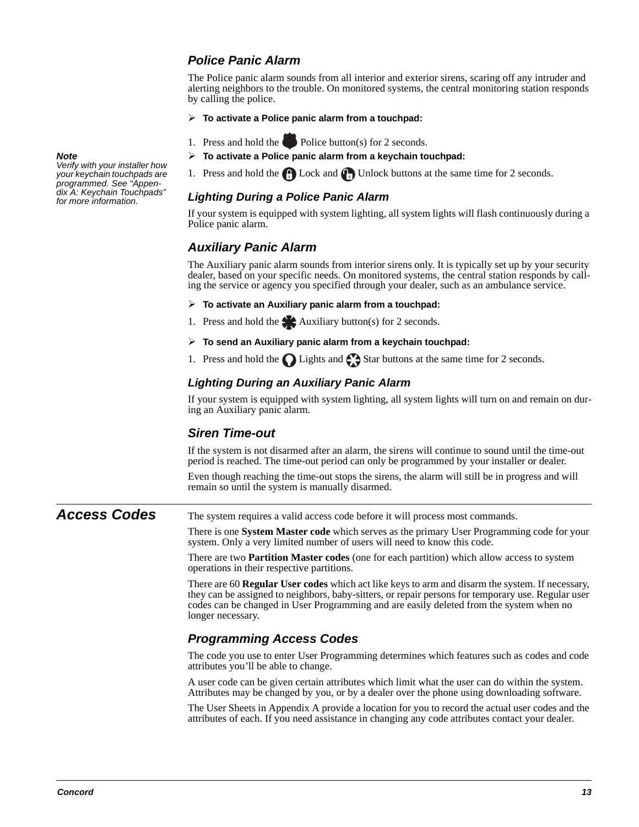### **Police Panic Alarm**

The Police panic alarm sounds from all interior and exterior sirens, scaring off any intruder and alerting neighbors to the trouble. On monitored systems, the central monitoring station responds by calling the police.

- **To activate a Police panic alarm from a touchpad:**
- 1. Press and hold the Police button(s) for 2 seconds.
- **To activate a Police panic alarm from a keychain touchpad:**
- 1. Press and hold the  $\bigoplus$  Lock and  $\bigoplus$  Unlock buttons at the same time for 2 seconds.

### **Lighting During a Police Panic Alarm**

If your system is equipped with system lighting, all system lights will flash continuously during a Police panic alarm.

### **Auxiliary Panic Alarm**

The Auxiliary panic alarm sounds from interior sirens only. It is typically set up by your security dealer, based on your specific needs. On monitored systems, the central station responds by calling the service or agency you specified through your dealer, such as an ambulance service.

- **To activate an Auxiliary panic alarm from a touchpad:**
- 1. Press and hold the  $\blacktriangle$  Auxiliary button(s) for 2 seconds.
- **To send an Auxiliary panic alarm from a keychain touchpad:**
- 1. Press and hold the  $\bigcap$  Lights and  $\bigcap$  Star buttons at the same time for 2 seconds.

#### **Lighting During an Auxiliary Panic Alarm**

If your system is equipped with system lighting, all system lights will turn on and remain on during an Auxiliary panic alarm.

### **Siren Time-out**

If the system is not disarmed after an alarm, the sirens will continue to sound until the time-out period is reached. The time-out period can only be programmed by your installer or dealer.

Even though reaching the time-out stops the sirens, the alarm will still be in progress and will remain so until the system is manually disarmed.

**Access Codes** The system requires a valid access code before it will process most commands.

There is one **System Master code** which serves as the primary User Programming code for your system. Only a very limited number of users will need to know this code.

There are two **Partition Master codes** (one for each partition) which allow access to system operations in their respective partitions.

There are 60 **Regular User codes** which act like keys to arm and disarm the system. If necessary, they can be assigned to neighbors, baby-sitters, or repair persons for temporary use. Regular user codes can be changed in User Programming and are easily deleted from the system when no longer necessary.

### **Programming Access Codes**

The code you use to enter User Programming determines which features such as codes and code attributes you'll be able to change.

A user code can be given certain attributes which limit what the user can do within the system. Attributes may be changed by you, or by a dealer over the phone using downloading software.

The User Sheets in Appendix A provide a location for you to record the actual user codes and the attributes of each. If you need assistance in changing any code attributes contact your dealer.

#### **Note**

Verify with your installer how your keychain touchpads are programmed. See "Appendix A: Keychain Touchpads" for more information.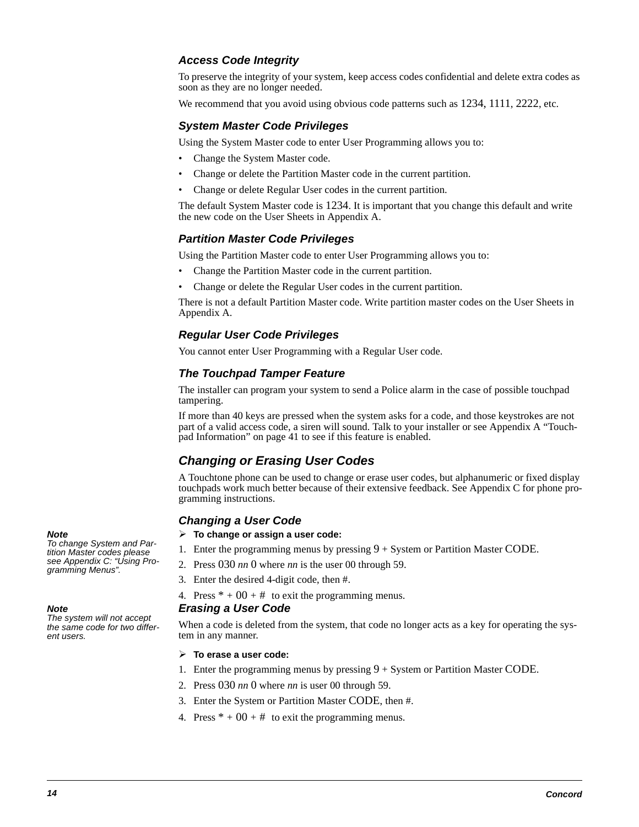### **Access Code Integrity**

To preserve the integrity of your system, keep access codes confidential and delete extra codes as soon as they are no longer needed.

We recommend that you avoid using obvious code patterns such as  $1234$ ,  $1111$ ,  $2222$ , etc.

### **System Master Code Privileges**

Using the System Master code to enter User Programming allows you to:

- Change the System Master code.
- Change or delete the Partition Master code in the current partition.
- Change or delete Regular User codes in the current partition.

The default System Master code is 1234. It is important that you change this default and write the new code on the User Sheets in Appendix A.

#### **Partition Master Code Privileges**

Using the Partition Master code to enter User Programming allows you to:

- Change the Partition Master code in the current partition.
- Change or delete the Regular User codes in the current partition.

There is not a default Partition Master code. Write partition master codes on the User Sheets in Appendix A.

#### **Regular User Code Privileges**

You cannot enter User Programming with a Regular User code.

#### **The Touchpad Tamper Feature**

The installer can program your system to send a Police alarm in the case of possible touchpad tampering.

If more than 40 keys are pressed when the system asks for a code, and those keystrokes are not part of a valid access code, a siren will sound. Talk to your installer or see Appendix A "Touchpad Information" on page 41 to see if this feature is enabled.

### **Changing or Erasing User Codes**

A Touchtone phone can be used to change or erase user codes, but alphanumeric or fixed display touchpads work much better because of their extensive feedback. See Appendix C for phone programming instructions.

#### **Changing a User Code**

- **To change or assign a user code:**
- 1. Enter the programming menus by pressing  $9 + S$ ystem or Partition Master CODE.
	- 2. Press 030 *nn* 0 where *nn* is the user 00 through 59.
	- 3. Enter the desired 4-digit code, then #.
	- 4. Press  $* + 00 + #$  to exit the programming menus.

#### **Erasing a User Code**

When a code is deleted from the system, that code no longer acts as a key for operating the system in any manner.

#### **To erase a user code:**

- 1. Enter the programming menus by pressing  $9 + System$  or Partition Master CODE.
- 2. Press 030 *nn* 0 where *nn* is user 00 through 59.
- 3. Enter the System or Partition Master CODE, then #.
- 4. Press  $* + 00 + #$  to exit the programming menus.

#### **Note**

To change System and Partition Master codes please see Appendix C: "Using Programming Menus".

#### **Note**

The system will not accept the same code for two different users.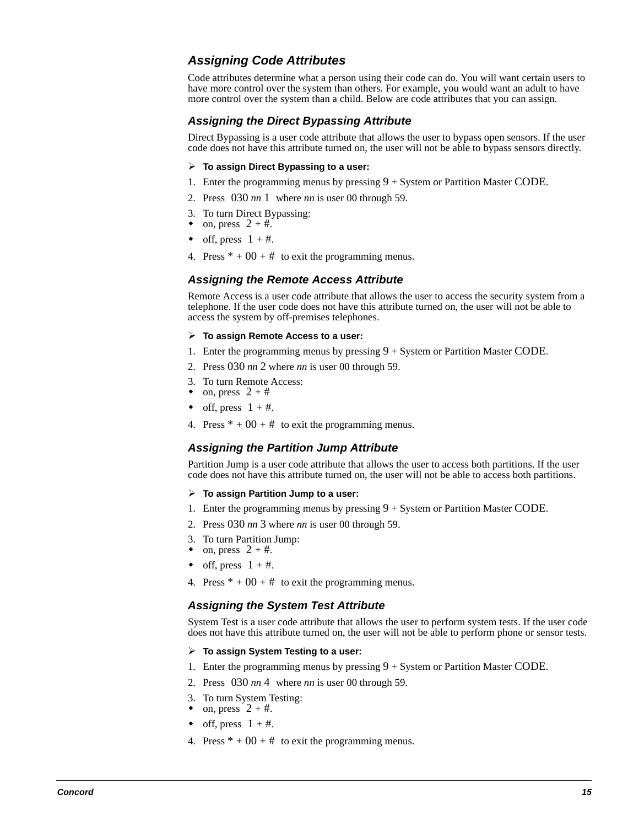### **Assigning Code Attributes**

Code attributes determine what a person using their code can do. You will want certain users to have more control over the system than others. For example, you would want an adult to have more control over the system than a child. Below are code attributes that you can assign.

### **Assigning the Direct Bypassing Attribute**

Direct Bypassing is a user code attribute that allows the user to bypass open sensors. If the user code does not have this attribute turned on, the user will not be able to bypass sensors directly.

#### **To assign Direct Bypassing to a user:**

- 1. Enter the programming menus by pressing  $9 + System$  or Partition Master CODE.
- 2. Press 030 *nn* 1 where *nn* is user 00 through 59.
- 3. To turn Direct Bypassing:
- on, press  $2 + \text{\#}$ .
- off, press  $1 + #$ .
- 4. Press  $* + 00 + #$  to exit the programming menus.

### **Assigning the Remote Access Attribute**

Remote Access is a user code attribute that allows the user to access the security system from a telephone. If the user code does not have this attribute turned on, the user will not be able to access the system by off-premises telephones.

#### **To assign Remote Access to a user:**

- 1. Enter the programming menus by pressing  $9 +$  System or Partition Master CODE.
- 2. Press 030 *nn* 2 where *nn* is user 00 through 59.
- 3. To turn Remote Access:
- on, press  $2 + #$
- off, press  $1 + #$ .
- 4. Press  $* + 00 + #$  to exit the programming menus.

### **Assigning the Partition Jump Attribute**

Partition Jump is a user code attribute that allows the user to access both partitions. If the user code does not have this attribute turned on, the user will not be able to access both partitions.

#### **To assign Partition Jump to a user:**

- 1. Enter the programming menus by pressing  $9 + System$  or Partition Master CODE.
- 2. Press 030 *nn* 3 where *nn* is user 00 through 59.
- 3. To turn Partition Jump:
- on, press  $2 + #$ .
- off, press  $1 + #$ .
- 4. Press  $* + 00 + #$  to exit the programming menus.

### **Assigning the System Test Attribute**

System Test is a user code attribute that allows the user to perform system tests. If the user code does not have this attribute turned on, the user will not be able to perform phone or sensor tests.

- **To assign System Testing to a user:**
- 1. Enter the programming menus by pressing  $9 + System$  or Partition Master CODE.
- 2. Press 030 *nn* 4 where *nn* is user 00 through 59.
- 3. To turn System Testing:
- on, press  $2 + #$ .
- off, press  $1 + #$ .
- 4. Press  $* + 00 + #$  to exit the programming menus.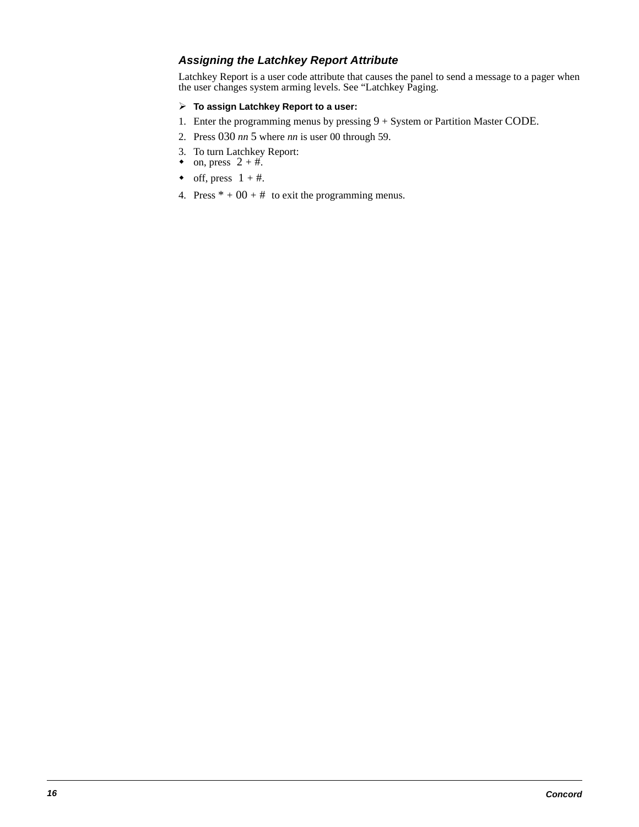### **Assigning the Latchkey Report Attribute**

Latchkey Report is a user code attribute that causes the panel to send a message to a pager when the user changes system arming levels. See "Latchkey Paging.

### **To assign Latchkey Report to a user:**

- 1. Enter the programming menus by pressing 9 + System or Partition Master CODE.
- 2. Press 030 *nn* 5 where *nn* is user 00 through 59.
- 3. To turn Latchkey Report:
- on, press  $2 + \text{\#}$ .
- off, press  $1 + #$ .
- 4. Press  $* + 00 + #$  to exit the programming menus.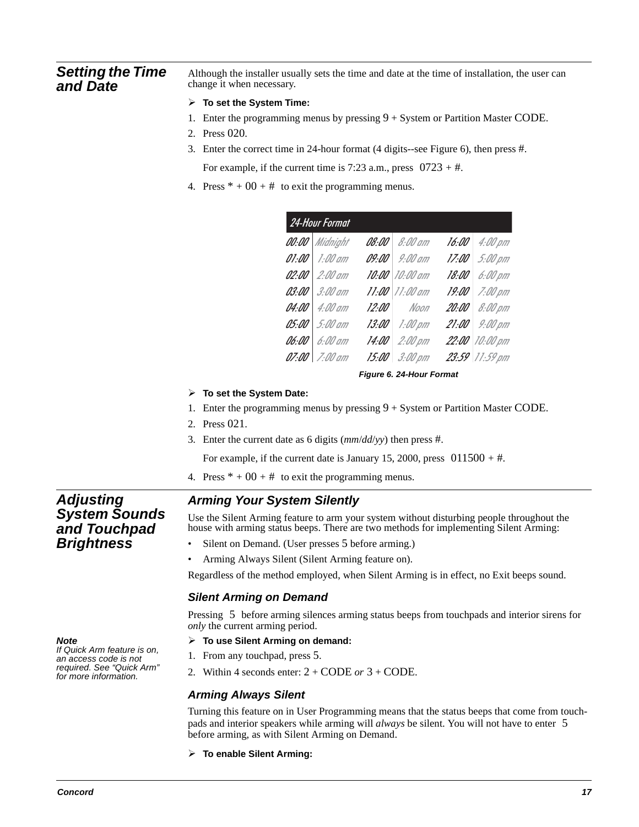### **Setting the Time and Date**

Although the installer usually sets the time and date at the time of installation, the user can change it when necessary.

#### **To set the System Time:**

- 1. Enter the programming menus by pressing  $9 + System$  or Partition Master CODE.
- 2. Press 020.
- 3. Enter the correct time in 24-hour format (4 digits--see Figure 6), then press #.

For example, if the current time is 7:23 a.m., press  $0723 + #$ .

4. Press  $* + 00 + #$  to exit the programming menus.

| 24-Hour Format |                |  |                    |                                  |
|----------------|----------------|--|--------------------|----------------------------------|
|                | 00:00 Midnight |  | 08:00 8:00 am      | $16:00$ 4:00 pm                  |
|                | 01:00 1:00 am  |  | 09:00 9:00 am      | $17.00 \mid 5.00 \mid \text{nm}$ |
|                | 02:00 2:00 am  |  | 10:00 10:00 am     | 18:00 6:00 pm                    |
|                | 03:00 3:00 am  |  | $11:00$ $11:00$ am | $19:00$ 7:00 pm                  |
|                | 04:00 4:00 am  |  | 12:00 Noon         | 20:00 8:00 pm                    |
|                | 05:00 5:00 am  |  | 13:00 1:00 pm      | $21:00$ 9:00 pm                  |
|                | 06:00 6:00 am  |  | 14:00 2:00 pm      | 22:00 10:00 pm                   |
|                | 07:00 7:00 am  |  | 15:00 3:00 pm      | 23:59 11:59 pm                   |

**Figure 6. 24-Hour Format**

#### **To set the System Date:**

- 1. Enter the programming menus by pressing 9 + System or Partition Master CODE.
- 2. Press 021.
- 3. Enter the current date as 6 digits (*mm*/*dd*/*yy*) then press #.

For example, if the current date is January 15, 2000, press  $011500 + \text{\#}$ .

4. Press  $* + 00 + #$  to exit the programming menus.

### **Adjusting System Sounds and Touchpad**

### **Arming Your System Silently**

Use the Silent Arming feature to arm your system without disturbing people throughout the house with arming status beeps. There are two methods for implementing Silent Arming:

- Silent on Demand. (User presses 5 before arming.)
- Arming Always Silent (Silent Arming feature on).

Regardless of the method employed, when Silent Arming is in effect, no Exit beeps sound.

### **Silent Arming on Demand**

Pressing 5 before arming silences arming status beeps from touchpads and interior sirens for *only* the current arming period.

#### **To use Silent Arming on demand:**

- 1. From any touchpad, press 5.
- 2. Within 4 seconds enter: 2 + CODE *or* 3 + CODE.

### **Arming Always Silent**

Turning this feature on in User Programming means that the status beeps that come from touchpads and interior speakers while arming will *always* be silent. You will not have to enter 5 before arming, as with Silent Arming on Demand.

**To enable Silent Arming:** 

**Note**  If Quick Arm feature is on, an access code is not required. See "Quick Arm" for more information.

**Brightness**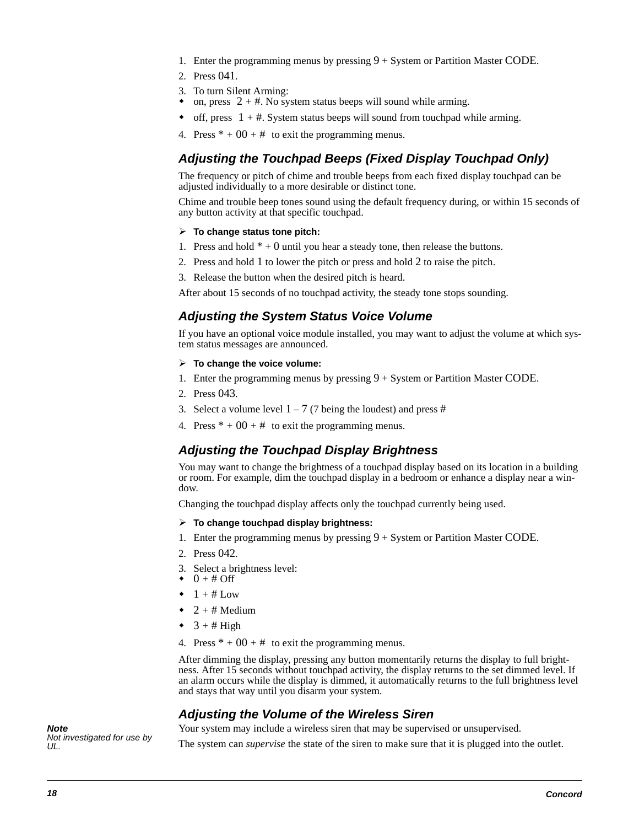- 1. Enter the programming menus by pressing  $9 + S$ ystem or Partition Master CODE.
- 2. Press 041.
- 3. To turn Silent Arming:
- $\bullet$ on, press  $2 + #$ . No system status beeps will sound while arming.
- $\bullet$  off, press  $1 + #$ . System status beeps will sound from touchpad while arming.
- 4. Press  $* + 00 + #$  to exit the programming menus.

### **Adjusting the Touchpad Beeps (Fixed Display Touchpad Only)**

The frequency or pitch of chime and trouble beeps from each fixed display touchpad can be adjusted individually to a more desirable or distinct tone.

Chime and trouble beep tones sound using the default frequency during, or within 15 seconds of any button activity at that specific touchpad.

#### **To change status tone pitch:**

- 1. Press and hold  $* + 0$  until you hear a steady tone, then release the buttons.
- 2. Press and hold 1 to lower the pitch or press and hold 2 to raise the pitch.
- 3. Release the button when the desired pitch is heard.

After about 15 seconds of no touchpad activity, the steady tone stops sounding.

### **Adjusting the System Status Voice Volume**

If you have an optional voice module installed, you may want to adjust the volume at which system status messages are announced.

- **To change the voice volume:**
- 1. Enter the programming menus by pressing 9 + System or Partition Master CODE.
- 2. Press 043.
- 3. Select a volume level  $1 7$  (7 being the loudest) and press #
- 4. Press  $* + 00 + #$  to exit the programming menus.

### **Adjusting the Touchpad Display Brightness**

You may want to change the brightness of a touchpad display based on its location in a building or room. For example, dim the touchpad display in a bedroom or enhance a display near a window.

Changing the touchpad display affects only the touchpad currently being used.

#### **To change touchpad display brightness:**

- 1. Enter the programming menus by pressing  $9 + S$ ystem or Partition Master CODE.
- 2. Press 042.
- 3. Select a brightness level:
- $\bullet$  0 + # Off
- $\bullet$  1 + # Low
- $\blacklozenge$  $2 + #$  Medium
- $\bullet$  3 + # High
- 4. Press  $* + 00 + #$  to exit the programming menus.

After dimming the display, pressing any button momentarily returns the display to full brightness. After 15 seconds without touchpad activity, the display returns to the set dimmed level. If an alarm occurs while the display is dimmed, it automatically returns to the full brightness level and stays that way until you disarm your system.

### **Adjusting the Volume of the Wireless Siren**

Your system may include a wireless siren that may be supervised or unsupervised.

**Note**  Not investigated for use by UL.

The system can *supervise* the state of the siren to make sure that it is plugged into the outlet.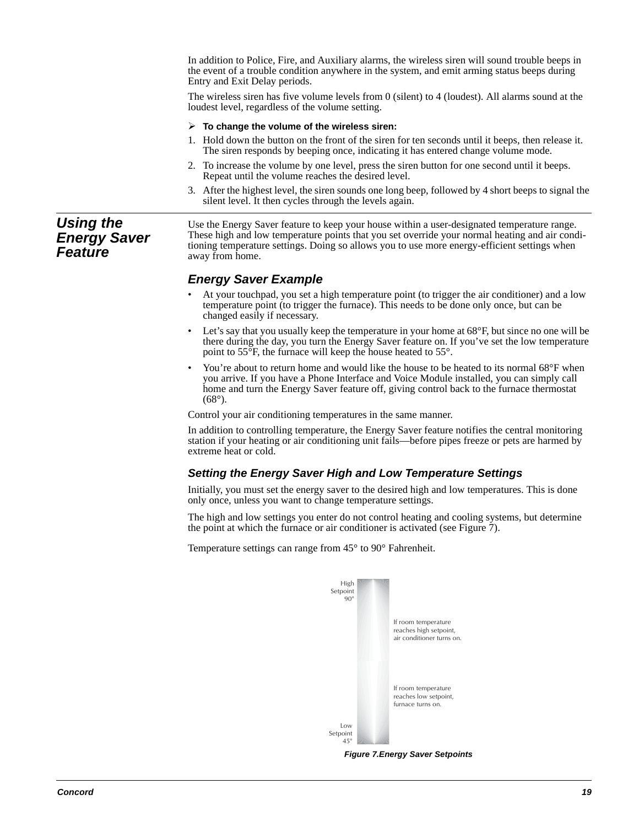In addition to Police, Fire, and Auxiliary alarms, the wireless siren will sound trouble beeps in the event of a trouble condition anywhere in the system, and emit arming status beeps during Entry and Exit Delay periods.

The wireless siren has five volume levels from 0 (silent) to 4 (loudest). All alarms sound at the loudest level, regardless of the volume setting.

#### **To change the volume of the wireless siren:**

- 1. Hold down the button on the front of the siren for ten seconds until it beeps, then release it. The siren responds by beeping once, indicating it has entered change volume mode.
- 2. To increase the volume by one level, press the siren button for one second until it beeps. Repeat until the volume reaches the desired level.
- 3. After the highest level, the siren sounds one long beep, followed by 4 short beeps to signal the silent level. It then cycles through the levels again.

### **Using the Energy Saver Feature**

Use the Energy Saver feature to keep your house within a user-designated temperature range. These high and low temperature points that you set override your normal heating and air conditioning temperature settings. Doing so allows you to use more energy-efficient settings when away from home.

### **Energy Saver Example**

- At your touchpad, you set a high temperature point (to trigger the air conditioner) and a low temperature point (to trigger the furnace). This needs to be done only once, but can be changed easily if necessary.
- Let's say that you usually keep the temperature in your home at  $68^{\circ}$ F, but since no one will be there during the day, you turn the Energy Saver feature on. If you've set the low temperature point to 55°F, the furnace will keep the house heated to 55°.
- You're about to return home and would like the house to be heated to its normal 68°F when you arrive. If you have a Phone Interface and Voice Module installed, you can simply call home and turn the Energy Saver feature off, giving control back to the furnace thermostat  $(68^{\circ})$ .

Control your air conditioning temperatures in the same manner.

In addition to controlling temperature, the Energy Saver feature notifies the central monitoring station if your heating or air conditioning unit fails—before pipes freeze or pets are harmed by extreme heat or cold.

### **Setting the Energy Saver High and Low Temperature Settings**

Initially, you must set the energy saver to the desired high and low temperatures. This is done only once, unless you want to change temperature settings.

The high and low settings you enter do not control heating and cooling systems, but determine the point at which the furnace or air conditioner is activated (see Figure 7).

Temperature settings can range from 45° to 90° Fahrenheit.



**Figure 7.Energy Saver Setpoints**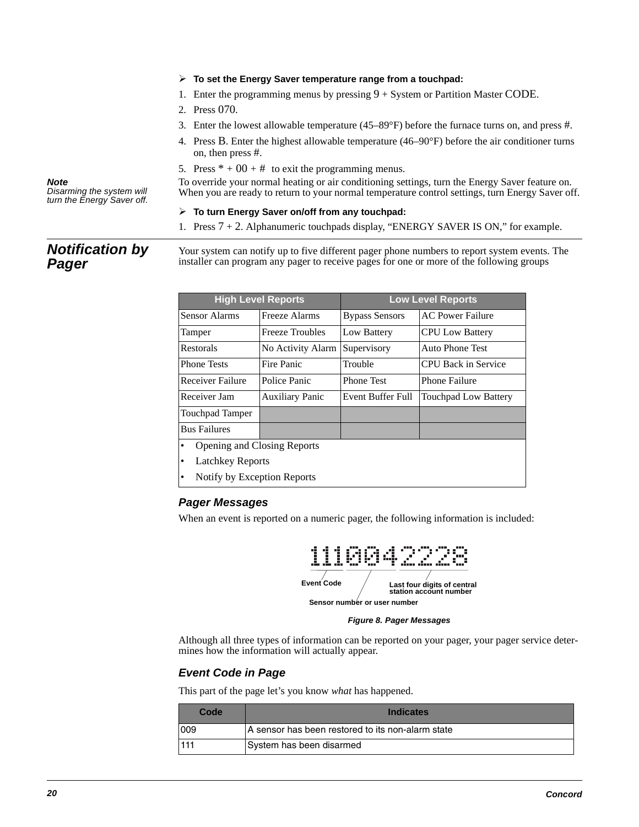#### **To set the Energy Saver temperature range from a touchpad:**

- 1. Enter the programming menus by pressing  $9 + System$  or Partition Master CODE.
- 2. Press 070.
- 3. Enter the lowest allowable temperature (45–89°F) before the furnace turns on, and press #.
- 4. Press B. Enter the highest allowable temperature (46–90°F) before the air conditioner turns on, then press #.
- 5. Press  $* + 00 + #$  to exit the programming menus.

To override your normal heating or air conditioning settings, turn the Energy Saver feature on. When you are ready to return to your normal temperature control settings, turn Energy Saver off.

#### **To turn Energy Saver on/off from any touchpad:**

1. Press 7 + 2. Alphanumeric touchpads display, "ENERGY SAVER IS ON," for example.

### **Notification by Pager**

Disarming the system will turn the Energy Saver off.

**Note** 

Your system can notify up to five different pager phone numbers to report system events. The installer can program any pager to receive pages for one or more of the following groups

| <b>High Level Reports</b>                |                        | <b>Low Level Reports</b> |                             |
|------------------------------------------|------------------------|--------------------------|-----------------------------|
| Sensor Alarms                            | Freeze Alarms          | <b>Bypass Sensors</b>    | <b>AC Power Failure</b>     |
| Tamper                                   | <b>Freeze Troubles</b> | Low Battery              | <b>CPU Low Battery</b>      |
| Restorals                                | No Activity Alarm      | Supervisory              | <b>Auto Phone Test</b>      |
| <b>Phone Tests</b>                       | Fire Panic             | Trouble                  | <b>CPU Back in Service</b>  |
| <b>Receiver Failure</b>                  | Police Panic           | <b>Phone Test</b>        | <b>Phone Failure</b>        |
| Receiver Jam                             | <b>Auxiliary Panic</b> | Event Buffer Full        | <b>Touchpad Low Battery</b> |
| <b>Touchpad Tamper</b>                   |                        |                          |                             |
| <b>Bus Failures</b>                      |                        |                          |                             |
| Opening and Closing Reports<br>$\bullet$ |                        |                          |                             |
| ٠                                        | Latchkey Reports       |                          |                             |

• Notify by Exception Reports

### **Pager Messages**

When an event is reported on a numeric pager, the following information is included:



**Figure 8. Pager Messages**

Although all three types of information can be reported on your pager, your pager service determines how the information will actually appear.

### **Event Code in Page**

This part of the page let's you know *what* has happened.

| Code | <b>Indicates</b>                                  |
|------|---------------------------------------------------|
| 1009 | A sensor has been restored to its non-alarm state |
| 1111 | System has been disarmed                          |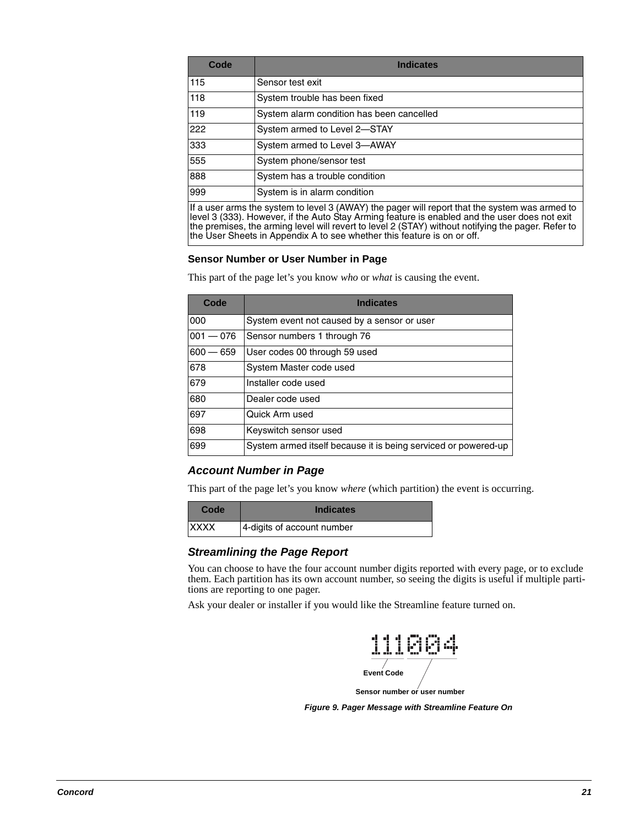| Code | <b>Indicates</b>                          |
|------|-------------------------------------------|
| 115  | Sensor test exit                          |
| 118  | System trouble has been fixed             |
| 119  | System alarm condition has been cancelled |
| 222  | System armed to Level 2-STAY              |
| 333  | System armed to Level 3-AWAY              |
| 555  | System phone/sensor test                  |
| 888  | System has a trouble condition            |
| 999  | System is in alarm condition              |

If a user arms the system to level 3 (AWAY) the pager will report that the system was armed to level 3 (333). However, if the Auto Stay Arming feature is enabled and the user does not exit the premises, the arming level will revert to level 2 (STAY) without notifying the pager. Refer to the User Sheets in Appendix A to see whether this feature is on or off.

#### **Sensor Number or User Number in Page**

This part of the page let's you know *who* or *what* is causing the event.

| Code        | <b>Indicates</b>                                               |
|-------------|----------------------------------------------------------------|
| 000         | System event not caused by a sensor or user                    |
| $001 - 076$ | Sensor numbers 1 through 76                                    |
| $600 - 659$ | User codes 00 through 59 used                                  |
| 678         | System Master code used                                        |
| 679         | Installer code used                                            |
| 680         | Dealer code used                                               |
| 697         | Quick Arm used                                                 |
| 698         | Keyswitch sensor used                                          |
| 699         | System armed itself because it is being serviced or powered-up |

### **Account Number in Page**

This part of the page let's you know *where* (which partition) the event is occurring.

| Code         | <b>Indicates</b>           |
|--------------|----------------------------|
| <b>IXXXX</b> | 4-digits of account number |

### **Streamlining the Page Report**

You can choose to have the four account number digits reported with every page, or to exclude them. Each partition has its own account number, so seeing the digits is useful if multiple partitions are reporting to one pager.

Ask your dealer or installer if you would like the Streamline feature turned on.



**Figure 9. Pager Message with Streamline Feature On**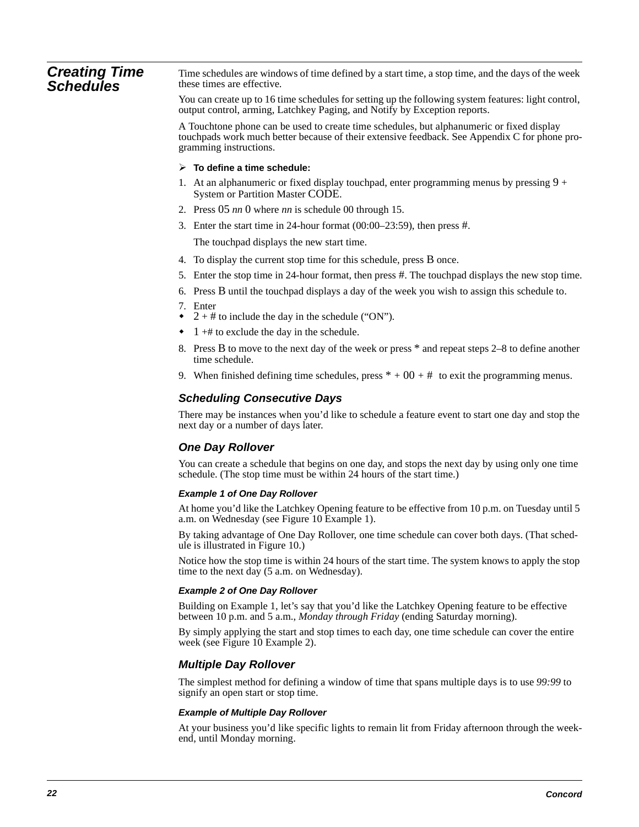#### **Creating Time Schedules** Time schedules are windows of time defined by a start time, a stop time, and the days of the week these times are effective.

You can create up to 16 time schedules for setting up the following system features: light control, output control, arming, Latchkey Paging, and Notify by Exception reports.

A Touchtone phone can be used to create time schedules, but alphanumeric or fixed display touchpads work much better because of their extensive feedback. See Appendix C for phone programming instructions.

#### **To define a time schedule:**

- 1. At an alphanumeric or fixed display touchpad, enter programming menus by pressing  $9 +$ System or Partition Master CODE.
- 2. Press 05 *nn* 0 where *nn* is schedule 00 through 15.
- 3. Enter the start time in 24-hour format (00:00–23:59), then press #.

The touchpad displays the new start time.

- 4. To display the current stop time for this schedule, press B once.
- 5. Enter the stop time in 24-hour format, then press #. The touchpad displays the new stop time.
- 6. Press B until the touchpad displays a day of the week you wish to assign this schedule to.
- 7. Enter
- $\bullet$  2 + # to include the day in the schedule ("ON").
- $\bullet$  1 +# to exclude the day in the schedule.
- 8. Press B to move to the next day of the week or press \* and repeat steps 2–8 to define another time schedule.
- 9. When finished defining time schedules, press  $* + 00 + #$  to exit the programming menus.

### **Scheduling Consecutive Days**

There may be instances when you'd like to schedule a feature event to start one day and stop the next day or a number of days later.

### **One Day Rollover**

You can create a schedule that begins on one day, and stops the next day by using only one time schedule. (The stop time must be within 24 hours of the start time.)

#### **Example 1 of One Day Rollover**

At home you'd like the Latchkey Opening feature to be effective from 10 p.m. on Tuesday until 5 a.m. on Wednesday (see Figure 10 Example 1).

By taking advantage of One Day Rollover, one time schedule can cover both days. (That schedule is illustrated in Figure 10.)

Notice how the stop time is within 24 hours of the start time. The system knows to apply the stop time to the next day (5 a.m. on Wednesday).

#### **Example 2 of One Day Rollover**

Building on Example 1, let's say that you'd like the Latchkey Opening feature to be effective between 10 p.m. and 5 a.m., *Monday through Friday* (ending Saturday morning).

By simply applying the start and stop times to each day, one time schedule can cover the entire week (see Figure 10 Example 2).

### **Multiple Day Rollover**

The simplest method for defining a window of time that spans multiple days is to use *99:99* to signify an open start or stop time.

#### **Example of Multiple Day Rollover**

At your business you'd like specific lights to remain lit from Friday afternoon through the weekend, until Monday morning.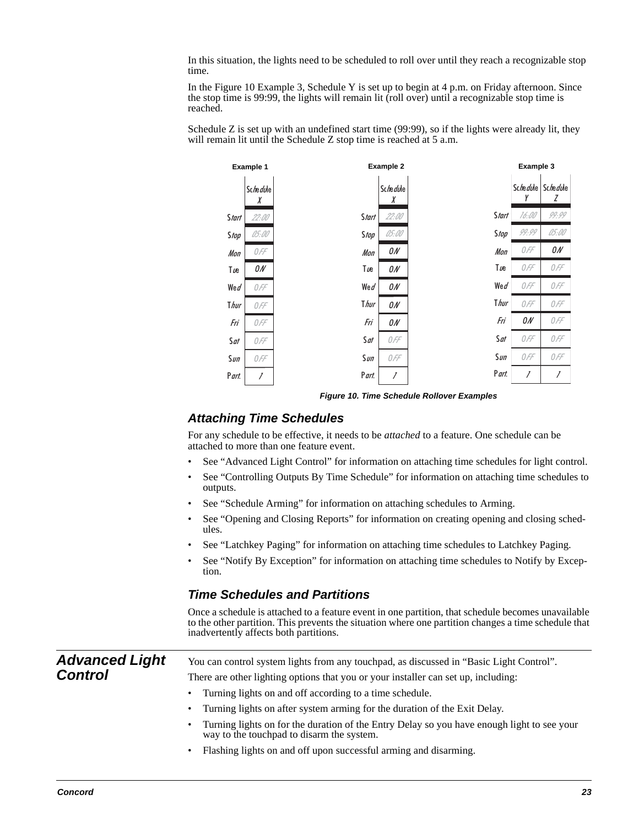In this situation, the lights need to be scheduled to roll over until they reach a recognizable stop time.

In the Figure 10 Example 3, Schedule Y is set up to begin at 4 p.m. on Friday afternoon. Since the stop time is 99:99, the lights will remain lit (roll over) until a recognizable stop time is reached.

Schedule Z is set up with an undefined start time (99:99), so if the lights were already lit, they will remain lit until the Schedule Z stop time is reached at 5 a.m.



**Figure 10. Time Schedule Rollover Examples**

### **Attaching Time Schedules**

For any schedule to be effective, it needs to be *attached* to a feature. One schedule can be attached to more than one feature event.

- See "Advanced Light Control" for information on attaching time schedules for light control.
- See "Controlling Outputs By Time Schedule" for information on attaching time schedules to outputs.
- See "Schedule Arming" for information on attaching schedules to Arming.
- See "Opening and Closing Reports" for information on creating opening and closing schedules.
- See "Latchkey Paging" for information on attaching time schedules to Latchkey Paging.
- See "Notify By Exception" for information on attaching time schedules to Notify by Exception.

### **Time Schedules and Partitions**

Once a schedule is attached to a feature event in one partition, that schedule becomes unavailable to the other partition. This prevents the situation where one partition changes a time schedule that inadvertently affects both partitions.

**Advanced Light Control** You can control system lights from any touchpad, as discussed in "Basic Light Control". There are other lighting options that you or your installer can set up, including: • Turning lights on and off according to a time schedule. • Turning lights on after system arming for the duration of the Exit Delay. • Turning lights on for the duration of the Entry Delay so you have enough light to see your way to the touchpad to disarm the system.

• Flashing lights on and off upon successful arming and disarming.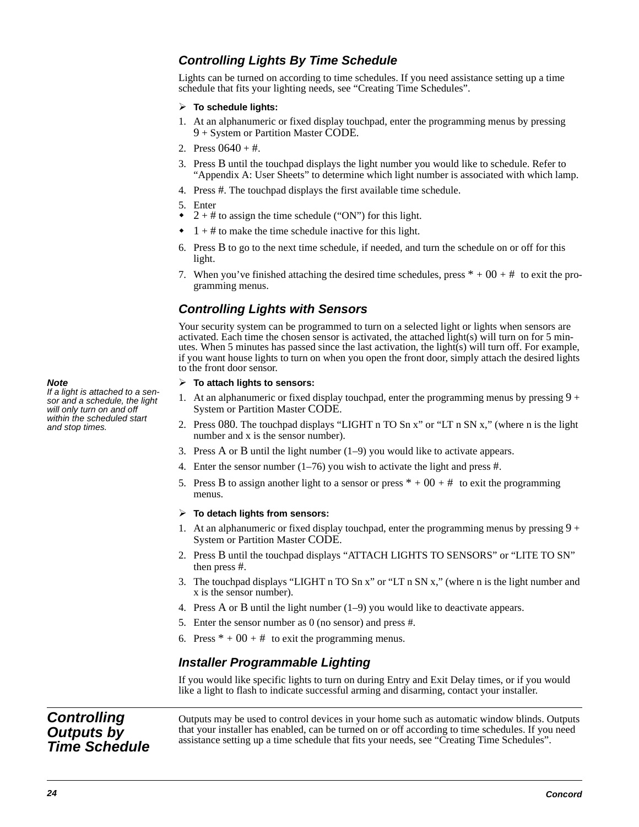### **Controlling Lights By Time Schedule**

Lights can be turned on according to time schedules. If you need assistance setting up a time schedule that fits your lighting needs, see "Creating Time Schedules".

#### **To schedule lights:**

- 1. At an alphanumeric or fixed display touchpad, enter the programming menus by pressing 9 + System or Partition Master CODE.
- 2. Press  $0640 + \text{\#}$ .
- 3. Press B until the touchpad displays the light number you would like to schedule. Refer to "Appendix A: User Sheets" to determine which light number is associated with which lamp.
- 4. Press #. The touchpad displays the first available time schedule.
- 5. Enter
- $\bullet$  2 + # to assign the time schedule ("ON") for this light.
- $\bullet$  1 + # to make the time schedule inactive for this light.
- 6. Press B to go to the next time schedule, if needed, and turn the schedule on or off for this light.
- 7. When you've finished attaching the desired time schedules, press  $* + 00 + #$  to exit the programming menus.

### **Controlling Lights with Sensors**

Your security system can be programmed to turn on a selected light or lights when sensors are activated. Each time the chosen sensor is activated, the attached light(s) will turn on for 5 minutes. When 5 minutes has passed since the last activation, the light(s) will turn off. For example, if you want house lights to turn on when you open the front door, simply attach the desired lights to the front door sensor.

#### **To attach lights to sensors:**

- 1. At an alphanumeric or fixed display touchpad, enter the programming menus by pressing  $9 +$ System or Partition Master CODE.
- 2. Press 080. The touchpad displays "LIGHT n TO Sn x" or "LT n SN x," (where n is the light number and x is the sensor number).
- 3. Press A or B until the light number (1–9) you would like to activate appears.
- 4. Enter the sensor number  $(1–76)$  you wish to activate the light and press #.
- 5. Press B to assign another light to a sensor or press  $* + 00 + #$  to exit the programming menus.

#### **To detach lights from sensors:**

- 1. At an alphanumeric or fixed display touchpad, enter the programming menus by pressing  $9 +$ System or Partition Master CODE.
- 2. Press B until the touchpad displays "ATTACH LIGHTS TO SENSORS" or "LITE TO SN" then press #.
- 3. The touchpad displays "LIGHT n TO Sn x" or "LT n SN x," (where n is the light number and x is the sensor number).
- 4. Press A or B until the light number (1–9) you would like to deactivate appears.
- 5. Enter the sensor number as 0 (no sensor) and press #.
- 6. Press  $* + 00 + #$  to exit the programming menus.

### **Installer Programmable Lighting**

If you would like specific lights to turn on during Entry and Exit Delay times, or if you would like a light to flash to indicate successful arming and disarming, contact your installer.

**Controlling Outputs by Time Schedule** Outputs may be used to control devices in your home such as automatic window blinds. Outputs that your installer has enabled, can be turned on or off according to time schedules. If you need assistance setting up a time schedule that fits your needs, see "Creating Time Schedules".

**Note** 

If a light is attached to a sensor and a schedule, the light will only turn on and off within the scheduled start and stop times.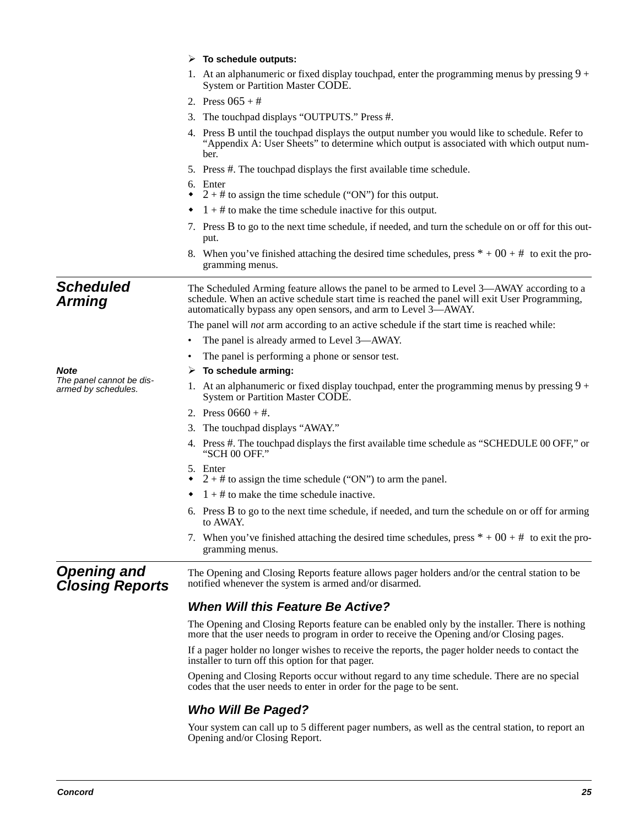|                                                 | $\triangleright$ To schedule outputs:                                                                                                                                                                                                                        |  |  |  |
|-------------------------------------------------|--------------------------------------------------------------------------------------------------------------------------------------------------------------------------------------------------------------------------------------------------------------|--|--|--|
|                                                 | 1. At an alphanumeric or fixed display touchpad, enter the programming menus by pressing $9 +$<br>System or Partition Master CODE.                                                                                                                           |  |  |  |
|                                                 | 2. Press $065 + #$                                                                                                                                                                                                                                           |  |  |  |
|                                                 | 3. The touchpad displays "OUTPUTS." Press #.                                                                                                                                                                                                                 |  |  |  |
|                                                 | 4. Press B until the touchpad displays the output number you would like to schedule. Refer to<br>"Appendix A: User Sheets" to determine which output is associated with which output num-<br>ber.                                                            |  |  |  |
|                                                 | 5. Press #. The touchpad displays the first available time schedule.                                                                                                                                                                                         |  |  |  |
|                                                 | 6. Enter<br>$2 + #$ to assign the time schedule ("ON") for this output.                                                                                                                                                                                      |  |  |  |
|                                                 | $1 + #$ to make the time schedule inactive for this output.                                                                                                                                                                                                  |  |  |  |
|                                                 | 7. Press B to go to the next time schedule, if needed, and turn the schedule on or off for this out-<br>put.                                                                                                                                                 |  |  |  |
|                                                 | 8. When you've finished attaching the desired time schedules, press $* + 00 + #$ to exit the pro-<br>gramming menus.                                                                                                                                         |  |  |  |
| <b>Scheduled</b><br><b>Arming</b>               | The Scheduled Arming feature allows the panel to be armed to Level 3—AWAY according to a<br>schedule. When an active schedule start time is reached the panel will exit User Programming,<br>automatically bypass any open sensors, and arm to Level 3—AWAY. |  |  |  |
|                                                 | The panel will <i>not</i> arm according to an active schedule if the start time is reached while:                                                                                                                                                            |  |  |  |
|                                                 | The panel is already armed to Level 3—AWAY.                                                                                                                                                                                                                  |  |  |  |
|                                                 | The panel is performing a phone or sensor test.                                                                                                                                                                                                              |  |  |  |
| <b>Note</b>                                     | $\triangleright$ To schedule arming:                                                                                                                                                                                                                         |  |  |  |
| The panel cannot be dis-<br>armed by schedules. | 1. At an alphanumeric or fixed display touchpad, enter the programming menus by pressing $9 +$<br>System or Partition Master CODE.                                                                                                                           |  |  |  |
|                                                 | 2. Press $0660 + #$ .                                                                                                                                                                                                                                        |  |  |  |
|                                                 | 3. The touchpad displays "AWAY."                                                                                                                                                                                                                             |  |  |  |
|                                                 | 4. Press #. The touchpad displays the first available time schedule as "SCHEDULE 00 OFF," or<br>"SCH 00 OFF."                                                                                                                                                |  |  |  |
|                                                 | 5. Enter<br>$2 + #$ to assign the time schedule ("ON") to arm the panel.                                                                                                                                                                                     |  |  |  |
|                                                 | $1 + #$ to make the time schedule inactive.<br>٠                                                                                                                                                                                                             |  |  |  |
|                                                 | 6. Press B to go to the next time schedule, if needed, and turn the schedule on or off for arming<br>to AWAY.                                                                                                                                                |  |  |  |
|                                                 | 7. When you've finished attaching the desired time schedules, press $* + 00 + #$ to exit the pro-<br>gramming menus.                                                                                                                                         |  |  |  |
| <b>Opening and</b><br><b>Closing Reports</b>    | The Opening and Closing Reports feature allows pager holders and/or the central station to be<br>notified whenever the system is armed and/or disarmed.                                                                                                      |  |  |  |
|                                                 | <b>When Will this Feature Be Active?</b>                                                                                                                                                                                                                     |  |  |  |
|                                                 | The Opening and Closing Reports feature can be enabled only by the installer. There is nothing                                                                                                                                                               |  |  |  |
|                                                 | more that the user needs to program in order to receive the Opening and/or Closing pages.                                                                                                                                                                    |  |  |  |
|                                                 | If a pager holder no longer wishes to receive the reports, the pager holder needs to contact the<br>installer to turn off this option for that pager.                                                                                                        |  |  |  |
|                                                 | Opening and Closing Reports occur without regard to any time schedule. There are no special<br>codes that the user needs to enter in order for the page to be sent.                                                                                          |  |  |  |
|                                                 | <b>Who Will Be Paged?</b>                                                                                                                                                                                                                                    |  |  |  |
|                                                 | Your system can call up to 5 different pager numbers, as well as the central station, to report an<br>Opening and/or Closing Report.                                                                                                                         |  |  |  |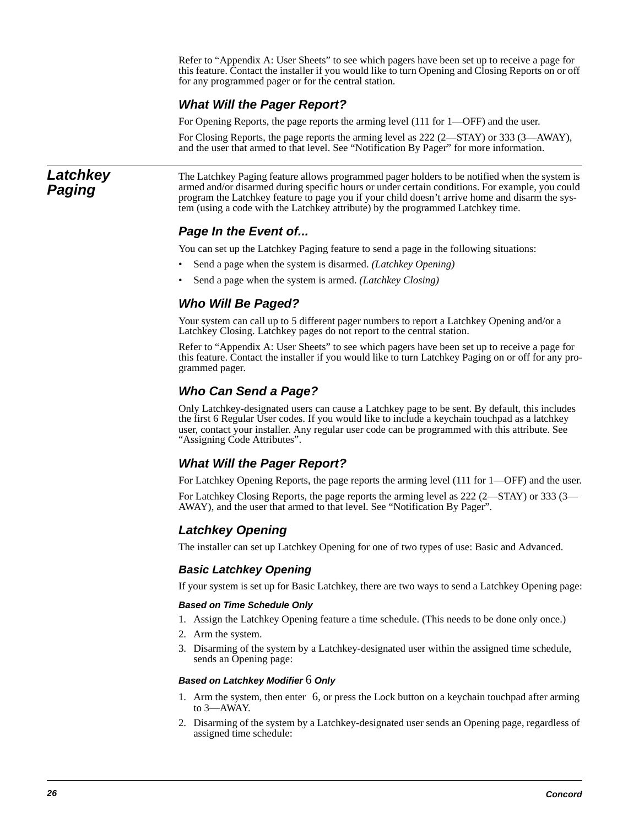Refer to "Appendix A: User Sheets" to see which pagers have been set up to receive a page for this feature. Contact the installer if you would like to turn Opening and Closing Reports on or off for any programmed pager or for the central station.

### **What Will the Pager Report?**

For Opening Reports, the page reports the arming level (111 for 1—OFF) and the user.

For Closing Reports, the page reports the arming level as 222 (2—STAY) or 333 (3—AWAY), and the user that armed to that level. See "Notification By Pager" for more information.

### **Latchkey Paging**

The Latchkey Paging feature allows programmed pager holders to be notified when the system is armed and/or disarmed during specific hours or under certain conditions. For example, you could program the Latchkey feature to page you if your child doesn't arrive home and disarm the system (using a code with the Latchkey attribute) by the programmed Latchkey time.

### **Page In the Event of...**

You can set up the Latchkey Paging feature to send a page in the following situations:

- Send a page when the system is disarmed. *(Latchkey Opening)*
- Send a page when the system is armed. *(Latchkey Closing)*

### **Who Will Be Paged?**

Your system can call up to 5 different pager numbers to report a Latchkey Opening and/or a Latchkey Closing. Latchkey pages do not report to the central station.

Refer to "Appendix A: User Sheets" to see which pagers have been set up to receive a page for this feature. Contact the installer if you would like to turn Latchkey Paging on or off for any programmed pager.

### **Who Can Send a Page?**

Only Latchkey-designated users can cause a Latchkey page to be sent. By default, this includes the first 6 Regular User codes. If you would like to include a keychain touchpad as a latchkey user, contact your installer. Any regular user code can be programmed with this attribute. See "Assigning Code Attributes".

### **What Will the Pager Report?**

For Latchkey Opening Reports, the page reports the arming level (111 for 1—OFF) and the user.

For Latchkey Closing Reports, the page reports the arming level as 222 (2—STAY) or 333 (3— AWAY), and the user that armed to that level. See "Notification By Pager".

### **Latchkey Opening**

The installer can set up Latchkey Opening for one of two types of use: Basic and Advanced.

### **Basic Latchkey Opening**

If your system is set up for Basic Latchkey, there are two ways to send a Latchkey Opening page:

### **Based on Time Schedule Only**

- 1. Assign the Latchkey Opening feature a time schedule. (This needs to be done only once.)
- 2. Arm the system.
- 3. Disarming of the system by a Latchkey-designated user within the assigned time schedule, sends an Opening page:

#### **Based on Latchkey Modifier** 6 **Only**

- 1. Arm the system, then enter 6, or press the Lock button on a keychain touchpad after arming to 3—AWAY.
- 2. Disarming of the system by a Latchkey-designated user sends an Opening page, regardless of assigned time schedule: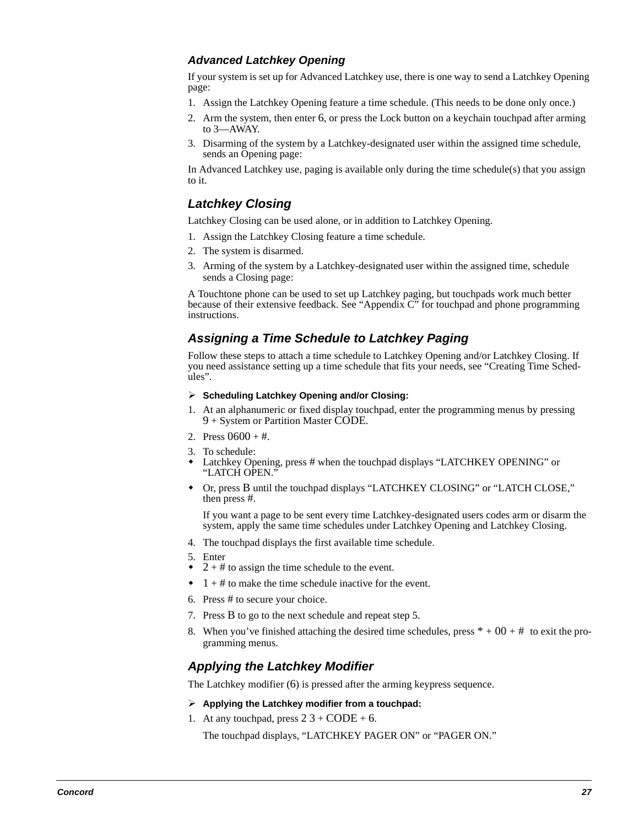### **Advanced Latchkey Opening**

If your system is set up for Advanced Latchkey use, there is one way to send a Latchkey Opening page:

- 1. Assign the Latchkey Opening feature a time schedule. (This needs to be done only once.)
- 2. Arm the system, then enter 6, or press the Lock button on a keychain touchpad after arming to 3—AWAY.
- 3. Disarming of the system by a Latchkey-designated user within the assigned time schedule, sends an Opening page:

In Advanced Latchkey use, paging is available only during the time schedule(s) that you assign to it.

### **Latchkey Closing**

Latchkey Closing can be used alone, or in addition to Latchkey Opening.

- 1. Assign the Latchkey Closing feature a time schedule.
- 2. The system is disarmed.
- 3. Arming of the system by a Latchkey-designated user within the assigned time, schedule sends a Closing page:

A Touchtone phone can be used to set up Latchkey paging, but touchpads work much better because of their extensive feedback. See "Appendix C" for touchpad and phone programming instructions.

### **Assigning a Time Schedule to Latchkey Paging**

Follow these steps to attach a time schedule to Latchkey Opening and/or Latchkey Closing. If you need assistance setting up a time schedule that fits your needs, see "Creating Time Schedules".

- **Scheduling Latchkey Opening and/or Closing:**
- 1. At an alphanumeric or fixed display touchpad, enter the programming menus by pressing 9 + System or Partition Master CODE.
- 2. Press  $0600 + #$ .
- 3. To schedule:
- $\bullet$  Latchkey Opening, press # when the touchpad displays "LATCHKEY OPENING" or "LATCH OPEN."
- Or, press B until the touchpad displays "LATCHKEY CLOSING" or "LATCH CLOSE," then press #.

If you want a page to be sent every time Latchkey-designated users codes arm or disarm the system, apply the same time schedules under Latchkey Opening and Latchkey Closing.

- 4. The touchpad displays the first available time schedule.
- 5. Enter
- $\bullet$  2 + # to assign the time schedule to the event.
- $\bullet$  1 + # to make the time schedule inactive for the event.
- 6. Press # to secure your choice.
- 7. Press B to go to the next schedule and repeat step 5.
- 8. When you've finished attaching the desired time schedules, press  $* + 00 + #$  to exit the programming menus.

### **Applying the Latchkey Modifier**

The Latchkey modifier (6) is pressed after the arming keypress sequence.

- **Applying the Latchkey modifier from a touchpad:**
- 1. At any touchpad, press  $2 \cdot 3 + \text{CODE} + 6$ .

The touchpad displays, "LATCHKEY PAGER ON" or "PAGER ON."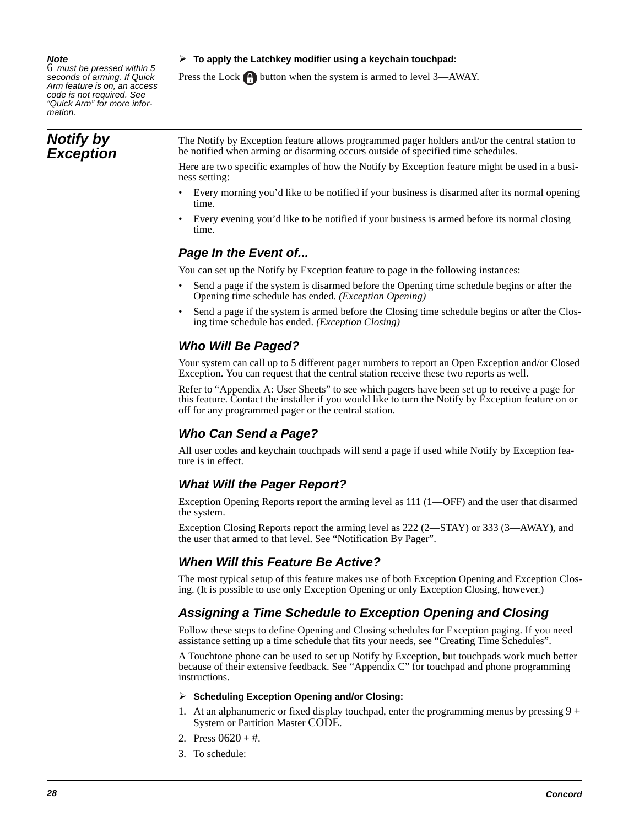#### **Note**

6 must be pressed within 5 seconds of arming. If Quick Arm feature is on, an access code is not required. See "Quick Arm" for more information.

### **Notify by Exception**

**To apply the Latchkey modifier using a keychain touchpad:**

Press the Lock **button** when the system is armed to level 3—AWAY.

The Notify by Exception feature allows programmed pager holders and/or the central station to be notified when arming or disarming occurs outside of specified time schedules.

Here are two specific examples of how the Notify by Exception feature might be used in a business setting:

- Every morning you'd like to be notified if your business is disarmed after its normal opening time.
- Every evening you'd like to be notified if your business is armed before its normal closing time.

### **Page In the Event of...**

You can set up the Notify by Exception feature to page in the following instances:

- Send a page if the system is disarmed before the Opening time schedule begins or after the Opening time schedule has ended. *(Exception Opening)*
- Send a page if the system is armed before the Closing time schedule begins or after the Closing time schedule has ended. *(Exception Closing)*

### **Who Will Be Paged?**

Your system can call up to 5 different pager numbers to report an Open Exception and/or Closed Exception. You can request that the central station receive these two reports as well.

Refer to "Appendix A: User Sheets" to see which pagers have been set up to receive a page for this feature. Contact the installer if you would like to turn the Notify by Exception feature on or off for any programmed pager or the central station.

### **Who Can Send a Page?**

All user codes and keychain touchpads will send a page if used while Notify by Exception feature is in effect.

### **What Will the Pager Report?**

Exception Opening Reports report the arming level as 111 (1—OFF) and the user that disarmed the system.

Exception Closing Reports report the arming level as 222 (2—STAY) or 333 (3—AWAY), and the user that armed to that level. See "Notification By Pager".

### **When Will this Feature Be Active?**

The most typical setup of this feature makes use of both Exception Opening and Exception Closing. (It is possible to use only Exception Opening or only Exception Closing, however.)

### **Assigning a Time Schedule to Exception Opening and Closing**

Follow these steps to define Opening and Closing schedules for Exception paging. If you need assistance setting up a time schedule that fits your needs, see "Creating Time Schedules".

A Touchtone phone can be used to set up Notify by Exception, but touchpads work much better because of their extensive feedback. See "Appendix C" for touchpad and phone programming instructions.

#### **Scheduling Exception Opening and/or Closing:**

- 1. At an alphanumeric or fixed display touchpad, enter the programming menus by pressing  $9 +$ System or Partition Master CODE.
- 2. Press  $0620 + \text{\#}$ .
- 3. To schedule: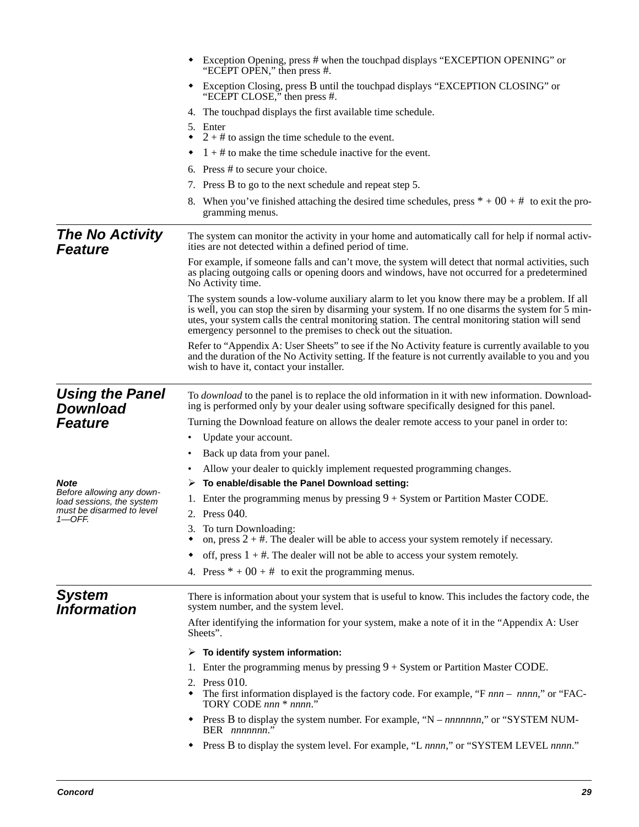|                                                        | • Exception Opening, press # when the touchpad displays "EXCEPTION OPENING" or<br>"ECEPT OPEN," then press #.                                                                                                                                                                                                                                                             |  |  |  |  |  |  |  |
|--------------------------------------------------------|---------------------------------------------------------------------------------------------------------------------------------------------------------------------------------------------------------------------------------------------------------------------------------------------------------------------------------------------------------------------------|--|--|--|--|--|--|--|
|                                                        | Exception Closing, press B until the touchpad displays "EXCEPTION CLOSING" or<br>٠<br>"ECEPT CLOSE," then press #.                                                                                                                                                                                                                                                        |  |  |  |  |  |  |  |
|                                                        | 4. The touchpad displays the first available time schedule.                                                                                                                                                                                                                                                                                                               |  |  |  |  |  |  |  |
|                                                        | 5. Enter<br>$2 + #$ to assign the time schedule to the event.<br>٠                                                                                                                                                                                                                                                                                                        |  |  |  |  |  |  |  |
|                                                        | $1 + #$ to make the time schedule inactive for the event.                                                                                                                                                                                                                                                                                                                 |  |  |  |  |  |  |  |
|                                                        | 6. Press $#$ to secure your choice.                                                                                                                                                                                                                                                                                                                                       |  |  |  |  |  |  |  |
|                                                        | 7. Press B to go to the next schedule and repeat step 5.                                                                                                                                                                                                                                                                                                                  |  |  |  |  |  |  |  |
|                                                        | 8. When you've finished attaching the desired time schedules, press $* + 00 + #$ to exit the pro-<br>gramming menus.                                                                                                                                                                                                                                                      |  |  |  |  |  |  |  |
| <b>The No Activity</b><br><b>Feature</b>               | The system can monitor the activity in your home and automatically call for help if normal activ-<br>ities are not detected within a defined period of time.                                                                                                                                                                                                              |  |  |  |  |  |  |  |
|                                                        | For example, if someone falls and can't move, the system will detect that normal activities, such<br>as placing outgoing calls or opening doors and windows, have not occurred for a predetermined<br>No Activity time.                                                                                                                                                   |  |  |  |  |  |  |  |
|                                                        | The system sounds a low-volume auxiliary alarm to let you know there may be a problem. If all<br>is well, you can stop the siren by disarming your system. If no one disarms the system for 5 min-<br>utes, your system calls the central monitoring station. The central monitoring station will send<br>emergency personnel to the premises to check out the situation. |  |  |  |  |  |  |  |
|                                                        | Refer to "Appendix A: User Sheets" to see if the No Activity feature is currently available to you<br>and the duration of the No Activity setting. If the feature is not currently available to you and you<br>wish to have it, contact your installer.                                                                                                                   |  |  |  |  |  |  |  |
| <b>Using the Panel</b><br><b>Download</b>              | To <i>download</i> to the panel is to replace the old information in it with new information. Download-<br>ing is performed only by your dealer using software specifically designed for this panel.                                                                                                                                                                      |  |  |  |  |  |  |  |
| <b>Feature</b>                                         | Turning the Download feature on allows the dealer remote access to your panel in order to:                                                                                                                                                                                                                                                                                |  |  |  |  |  |  |  |
|                                                        | Update your account.<br>٠                                                                                                                                                                                                                                                                                                                                                 |  |  |  |  |  |  |  |
|                                                        | Back up data from your panel.<br>٠                                                                                                                                                                                                                                                                                                                                        |  |  |  |  |  |  |  |
|                                                        | Allow your dealer to quickly implement requested programming changes.<br>٠                                                                                                                                                                                                                                                                                                |  |  |  |  |  |  |  |
| <b>Note</b>                                            | To enable/disable the Panel Download setting:<br>➤                                                                                                                                                                                                                                                                                                                        |  |  |  |  |  |  |  |
| Before allowing any down-<br>load sessions, the system | Enter the programming menus by pressing $9 + System$ or Partition Master CODE.                                                                                                                                                                                                                                                                                            |  |  |  |  |  |  |  |
| must be disarmed to level<br>$1$ -OFF.                 | 2. Press 040.                                                                                                                                                                                                                                                                                                                                                             |  |  |  |  |  |  |  |
|                                                        | 3. To turn Downloading:<br>on, press $2 + \text{\#}$ . The dealer will be able to access your system remotely if necessary.                                                                                                                                                                                                                                               |  |  |  |  |  |  |  |
|                                                        | off, press $1 + #$ . The dealer will not be able to access your system remotely.<br>٠                                                                                                                                                                                                                                                                                     |  |  |  |  |  |  |  |
|                                                        | 4. Press $* + 00 + #$ to exit the programming menus.                                                                                                                                                                                                                                                                                                                      |  |  |  |  |  |  |  |
| <b>System</b><br><b>Information</b>                    | There is information about your system that is useful to know. This includes the factory code, the<br>system number, and the system level.                                                                                                                                                                                                                                |  |  |  |  |  |  |  |
|                                                        | After identifying the information for your system, make a note of it in the "Appendix A: User<br>Sheets".                                                                                                                                                                                                                                                                 |  |  |  |  |  |  |  |
|                                                        | To identify system information:<br>➤                                                                                                                                                                                                                                                                                                                                      |  |  |  |  |  |  |  |
|                                                        | Enter the programming menus by pressing $9 + System$ or Partition Master CODE.<br>1.                                                                                                                                                                                                                                                                                      |  |  |  |  |  |  |  |
|                                                        | Press $010$ .<br>2.<br>The first information displayed is the factory code. For example, "F nnn – nnnn," or "FAC-<br>TORY CODE nnn * nnnn."                                                                                                                                                                                                                               |  |  |  |  |  |  |  |
|                                                        | Press B to display the system number. For example, "N – nnnnnnn," or "SYSTEM NUM-<br>BER nnnnnnn."                                                                                                                                                                                                                                                                        |  |  |  |  |  |  |  |
|                                                        | Press B to display the system level. For example, "L nnnn," or "SYSTEM LEVEL nnnn."<br>٠                                                                                                                                                                                                                                                                                  |  |  |  |  |  |  |  |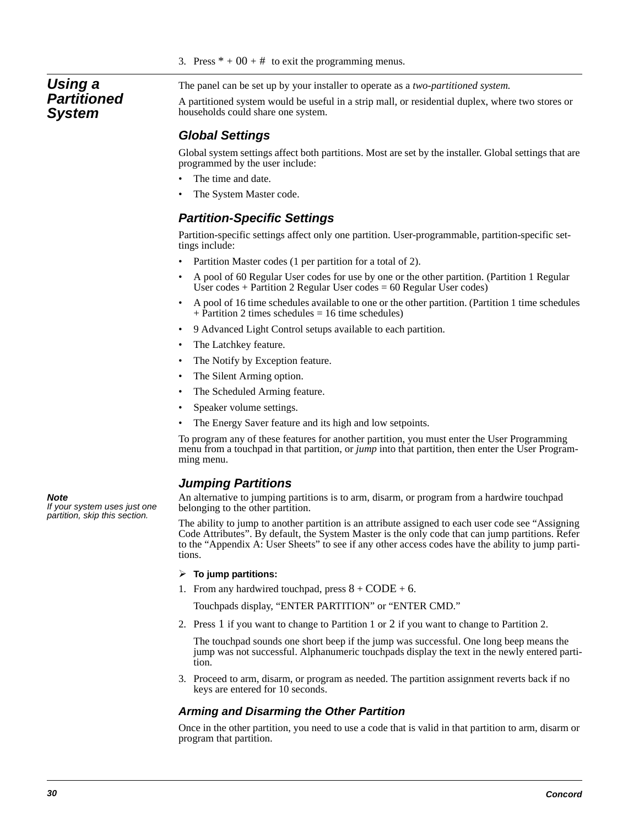3. Press  $* + 00 + #$  to exit the programming menus.

### **Using a Partitioned System**

The panel can be set up by your installer to operate as a *two-partitioned system.*

A partitioned system would be useful in a strip mall, or residential duplex, where two stores or households could share one system.

### **Global Settings**

Global system settings affect both partitions. Most are set by the installer. Global settings that are programmed by the user include:

- The time and date.
- The System Master code.

### **Partition-Specific Settings**

Partition-specific settings affect only one partition. User-programmable, partition-specific settings include:

- Partition Master codes (1 per partition for a total of 2).
- A pool of 60 Regular User codes for use by one or the other partition. (Partition 1 Regular User codes + Partition 2 Regular User codes =  $60$  Regular User codes)
- A pool of 16 time schedules available to one or the other partition. (Partition 1 time schedules + Partition 2 times schedules = 16 time schedules)
- 9 Advanced Light Control setups available to each partition.
- The Latchkey feature.
- The Notify by Exception feature.
- The Silent Arming option.
- The Scheduled Arming feature.
- Speaker volume settings.
- The Energy Saver feature and its high and low setpoints.

To program any of these features for another partition, you must enter the User Programming menu from a touchpad in that partition, or *jump* into that partition, then enter the User Programming menu.

### **Jumping Partitions**

An alternative to jumping partitions is to arm, disarm, or program from a hardwire touchpad belonging to the other partition.

The ability to jump to another partition is an attribute assigned to each user code see "Assigning Code Attributes". By default, the System Master is the only code that can jump partitions. Refer to the "Appendix A: User Sheets" to see if any other access codes have the ability to jump partitions.

#### **To jump partitions:**

1. From any hardwired touchpad, press  $8 + \text{CODE} + 6$ .

Touchpads display, "ENTER PARTITION" or "ENTER CMD."

2. Press 1 if you want to change to Partition 1 or 2 if you want to change to Partition 2.

The touchpad sounds one short beep if the jump was successful. One long beep means the jump was not successful. Alphanumeric touchpads display the text in the newly entered partition.

3. Proceed to arm, disarm, or program as needed. The partition assignment reverts back if no keys are entered for 10 seconds.

### **Arming and Disarming the Other Partition**

Once in the other partition, you need to use a code that is valid in that partition to arm, disarm or program that partition.

**Note**  If your system uses just one partition, skip this section.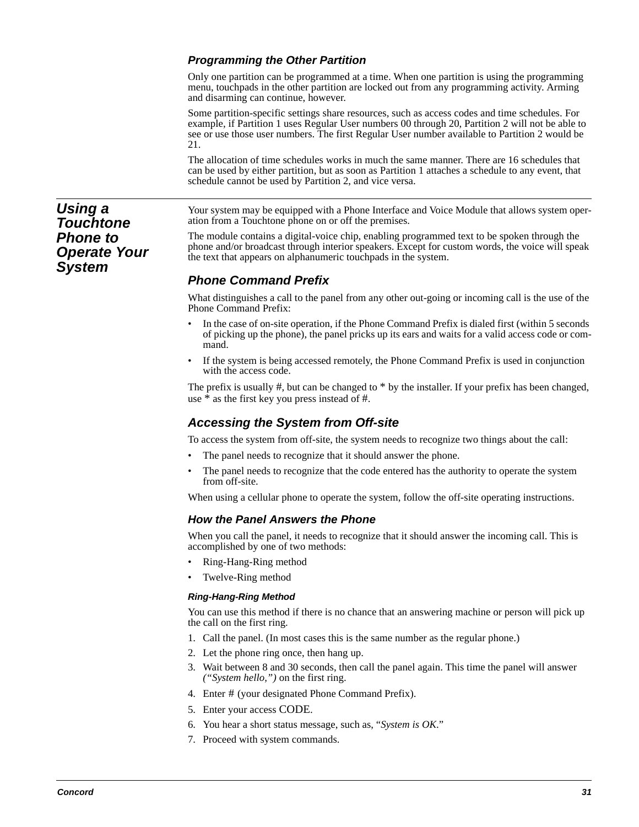### **Programming the Other Partition**

Only one partition can be programmed at a time. When one partition is using the programming menu, touchpads in the other partition are locked out from any programming activity. Arming and disarming can continue, however.

Some partition-specific settings share resources, such as access codes and time schedules. For example, if Partition 1 uses Regular User numbers 00 through 20, Partition 2 will not be able to see or use those user numbers. The first Regular User number available to Partition 2 would be 21.

The allocation of time schedules works in much the same manner. There are 16 schedules that can be used by either partition, but as soon as Partition 1 attaches a schedule to any event, that schedule cannot be used by Partition 2, and vice versa.

Your system may be equipped with a Phone Interface and Voice Module that allows system operation from a Touchtone phone on or off the premises.

The module contains a digital-voice chip, enabling programmed text to be spoken through the phone and/or broadcast through interior speakers. Except for custom words, the voice will speak the text that appears on alphanumeric touchpads in the system.

### **Phone Command Prefix**

What distinguishes a call to the panel from any other out-going or incoming call is the use of the Phone Command Prefix:

- In the case of on-site operation, if the Phone Command Prefix is dialed first (within 5 seconds of picking up the phone), the panel pricks up its ears and waits for a valid access code or command.
- If the system is being accessed remotely, the Phone Command Prefix is used in conjunction with the access code.

The prefix is usually #, but can be changed to \* by the installer. If your prefix has been changed, use \* as the first key you press instead of #.

### **Accessing the System from Off-site**

To access the system from off-site, the system needs to recognize two things about the call:

- The panel needs to recognize that it should answer the phone.
- The panel needs to recognize that the code entered has the authority to operate the system from off-site.

When using a cellular phone to operate the system, follow the off-site operating instructions.

### **How the Panel Answers the Phone**

When you call the panel, it needs to recognize that it should answer the incoming call. This is accomplished by one of two methods:

- Ring-Hang-Ring method
- Twelve-Ring method

#### **Ring-Hang-Ring Method**

You can use this method if there is no chance that an answering machine or person will pick up the call on the first ring.

- 1. Call the panel. (In most cases this is the same number as the regular phone.)
- 2. Let the phone ring once, then hang up.
- 3. Wait between 8 and 30 seconds, then call the panel again. This time the panel will answer *("System hello,")* on the first ring.
- 4. Enter # (your designated Phone Command Prefix).
- 5. Enter your access CODE.
- 6. You hear a short status message, such as, "*System is OK*."
- 7. Proceed with system commands.

**Using a Touchtone Phone to Operate Your System**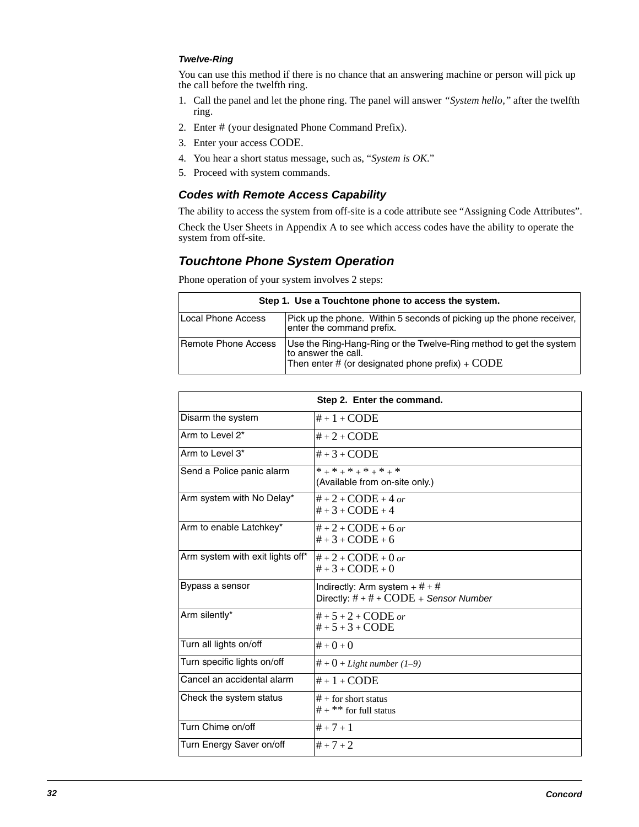#### **Twelve-Ring**

You can use this method if there is no chance that an answering machine or person will pick up the call before the twelfth ring.

- 1. Call the panel and let the phone ring. The panel will answer *"System hello,"* after the twelfth ring.
- 2. Enter # (your designated Phone Command Prefix).
- 3. Enter your access CODE.
- 4. You hear a short status message, such as, "*System is OK*."
- 5. Proceed with system commands.

### **Codes with Remote Access Capability**

The ability to access the system from off-site is a code attribute see "Assigning Code Attributes". Check the User Sheets in Appendix A to see which access codes have the ability to operate the system from off-site.

### **Touchtone Phone System Operation**

Phone operation of your system involves 2 steps:

| Step 1. Use a Touchtone phone to access the system. |                                                                                                                                                        |  |  |  |  |  |  |
|-----------------------------------------------------|--------------------------------------------------------------------------------------------------------------------------------------------------------|--|--|--|--|--|--|
| Local Phone Access                                  | Pick up the phone. Within 5 seconds of picking up the phone receiver.<br>enter the command prefix.                                                     |  |  |  |  |  |  |
| Remote Phone Access                                 | Use the Ring-Hang-Ring or the Twelve-Ring method to get the system<br>to answer the call.<br>Then enter # (or designated phone prefix) + $\text{CODE}$ |  |  |  |  |  |  |

| Step 2. Enter the command.       |                                                                                |  |  |  |
|----------------------------------|--------------------------------------------------------------------------------|--|--|--|
| Disarm the system                | $# + 1 + CODE$                                                                 |  |  |  |
| Arm to Level 2*                  | $# + 2 + CODE$                                                                 |  |  |  |
| Arm to Level 3*                  | $# + 3 + CODE$                                                                 |  |  |  |
| Send a Police panic alarm        | * + * + * + * + * + *<br>(Available from on-site only.)                        |  |  |  |
| Arm system with No Delay*        | $# + 2 + CODE + 4$ or<br>$\#$ + 3 + CODE + 4                                   |  |  |  |
| Arm to enable Latchkey*          | $# + 2 + CODE + 6$ or<br>$# + 3 + CODE + 6$                                    |  |  |  |
| Arm system with exit lights off* | $# + 2 + CODE + 0$ or<br>$# + 3 + CODE + 0$                                    |  |  |  |
| Bypass a sensor                  | Indirectly: Arm system $+$ # $+$ #<br>Directly: $# + # + CODE +$ Sensor Number |  |  |  |
| Arm silently*                    | $# + 5 + 2 + CODE$ or<br>$# + 5 + 3 + CODE$                                    |  |  |  |
| Turn all lights on/off           | $# + 0 + 0$                                                                    |  |  |  |
| Turn specific lights on/off      | $# + 0 + Light number (1–9)$                                                   |  |  |  |
| Cancel an accidental alarm       | $# + 1 + CODE$                                                                 |  |  |  |
| Check the system status          | $#$ + for short status<br>$# +$ ** for full status                             |  |  |  |
| Turn Chime on/off                | $# + 7 + 1$                                                                    |  |  |  |
| Turn Energy Saver on/off         | $# + 7 + 2$                                                                    |  |  |  |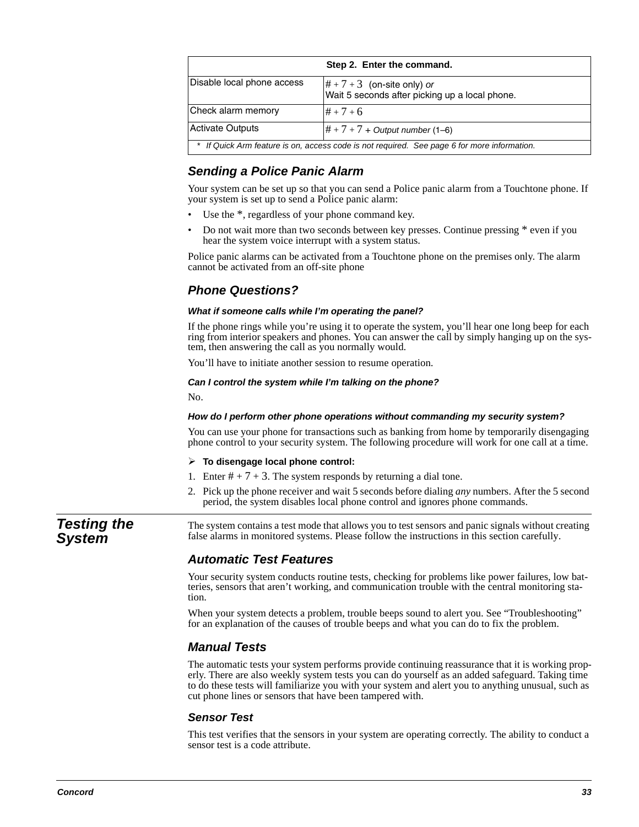| Step 2. Enter the command.                                                                  |                                                                                                     |  |  |  |  |  |
|---------------------------------------------------------------------------------------------|-----------------------------------------------------------------------------------------------------|--|--|--|--|--|
| Disable local phone access                                                                  | $\left \# + 7 + 3\right\rangle$ (on-site only) or<br>Wait 5 seconds after picking up a local phone. |  |  |  |  |  |
| Check alarm memory                                                                          | $# + 7 + 6$                                                                                         |  |  |  |  |  |
| <b>Activate Outputs</b>                                                                     | $ # + 7 + 7 +$ Output number (1–6)                                                                  |  |  |  |  |  |
| * If Quick Arm feature is on, access code is not required. See page 6 for more information. |                                                                                                     |  |  |  |  |  |

### **Sending a Police Panic Alarm**

Your system can be set up so that you can send a Police panic alarm from a Touchtone phone. If your system is set up to send a Police panic alarm:

- Use the  $*$ , regardless of your phone command key.
- Do not wait more than two seconds between key presses. Continue pressing \* even if you hear the system voice interrupt with a system status.

Police panic alarms can be activated from a Touchtone phone on the premises only. The alarm cannot be activated from an off-site phone

### **Phone Questions?**

#### **What if someone calls while I'm operating the panel?**

If the phone rings while you're using it to operate the system, you'll hear one long beep for each ring from interior speakers and phones. You can answer the call by simply hanging up on the system, then answering the call as you normally would.

You'll have to initiate another session to resume operation.

#### **Can I control the system while I'm talking on the phone?**

No.

#### **How do I perform other phone operations without commanding my security system?**

You can use your phone for transactions such as banking from home by temporarily disengaging phone control to your security system. The following procedure will work for one call at a time.

#### **To disengage local phone control:**

- 1. Enter  $# + 7 + 3$ . The system responds by returning a dial tone.
- 2. Pick up the phone receiver and wait 5 seconds before dialing *any* numbers. After the 5 second period, the system disables local phone control and ignores phone commands.

**Testing the System**

The system contains a test mode that allows you to test sensors and panic signals without creating false alarms in monitored systems. Please follow the instructions in this section carefully.

### **Automatic Test Features**

Your security system conducts routine tests, checking for problems like power failures, low batteries, sensors that aren't working, and communication trouble with the central monitoring station.

When your system detects a problem, trouble beeps sound to alert you. See "Troubleshooting" for an explanation of the causes of trouble beeps and what you can do to fix the problem.

### **Manual Tests**

The automatic tests your system performs provide continuing reassurance that it is working properly. There are also weekly system tests you can do yourself as an added safeguard. Taking time to do these tests will familiarize you with your system and alert you to anything unusual, such as cut phone lines or sensors that have been tampered with.

### **Sensor Test**

This test verifies that the sensors in your system are operating correctly. The ability to conduct a sensor test is a code attribute.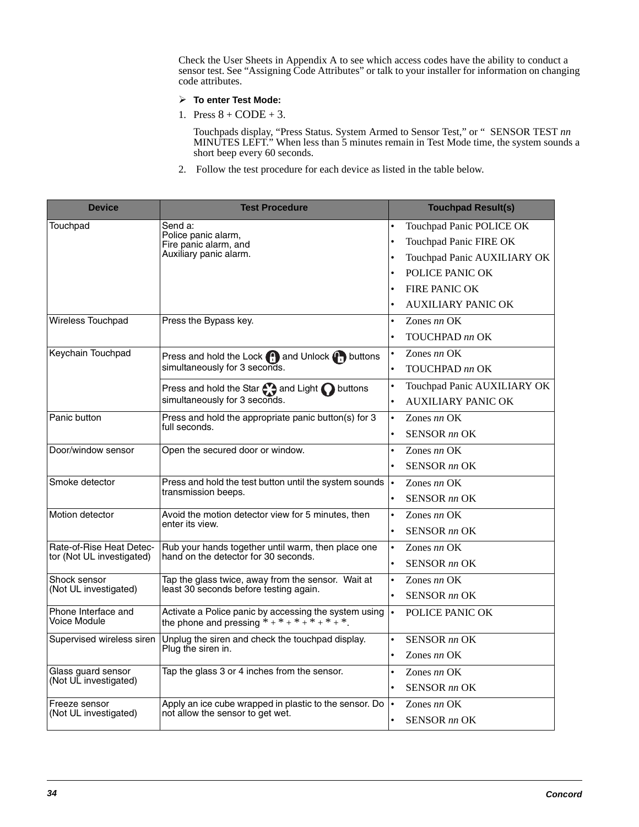Check the User Sheets in Appendix A to see which access codes have the ability to conduct a sensor test. See "Assigning Code Attributes" or talk to your installer for information on changing code attributes.

- **To enter Test Mode:**
- 1. Press  $8 + CODE + 3$ .

Touchpads display, "Press Status. System Armed to Sensor Test," or " SENSOR TEST *nn* MINUTES LEFT." When less than 5 minutes remain in Test Mode time, the system sounds a short beep every 60 seconds.

2. Follow the test procedure for each device as listed in the table below.

| <b>Device</b>                       | <b>Test Procedure</b>                                                                                   |           | <b>Touchpad Result(s)</b>   |
|-------------------------------------|---------------------------------------------------------------------------------------------------------|-----------|-----------------------------|
| Touchpad                            | Send a:                                                                                                 | $\bullet$ | Touchpad Panic POLICE OK    |
|                                     | Police panic alarm,<br>Fire panic alarm, and                                                            | $\bullet$ | Touchpad Panic FIRE OK      |
|                                     | Auxiliary panic alarm.                                                                                  | $\bullet$ | Touchpad Panic AUXILIARY OK |
|                                     |                                                                                                         | $\bullet$ | POLICE PANIC OK             |
|                                     |                                                                                                         |           | <b>FIRE PANIC OK</b>        |
|                                     |                                                                                                         |           | <b>AUXILIARY PANIC OK</b>   |
| Wireless Touchpad                   | Press the Bypass key.                                                                                   | $\bullet$ | Zones $nn$ OK               |
|                                     |                                                                                                         | $\bullet$ | TOUCHPAD nn OK              |
| Keychain Touchpad                   | Press and hold the Lock <b>(1)</b> and Unlock <b>(1)</b> buttons                                        | $\bullet$ | Zones nn OK                 |
|                                     | simultaneously for 3 seconds.                                                                           | $\bullet$ | TOUCHPAD nn OK              |
|                                     | Press and hold the Star $\bigodot$ and Light $\bigodot$ buttons                                         | $\bullet$ | Touchpad Panic AUXILIARY OK |
|                                     | simultaneously for 3 seconds.                                                                           | $\bullet$ | <b>AUXILIARY PANIC OK</b>   |
| Panic button                        | Press and hold the appropriate panic button(s) for 3                                                    |           | Zones $nn$ OK               |
|                                     | full seconds.                                                                                           | $\bullet$ | <b>SENSOR</b> nn OK         |
| Door/window sensor                  | Open the secured door or window.                                                                        | $\bullet$ | Zones $nn$ OK               |
|                                     |                                                                                                         | $\bullet$ | SENSOR nn OK                |
| Smoke detector                      | Press and hold the test button until the system sounds                                                  | $\bullet$ | Zones $nn$ OK               |
|                                     | transmission beeps.                                                                                     | $\bullet$ | <b>SENSOR</b> nn OK         |
| Motion detector                     | Avoid the motion detector view for 5 minutes, then                                                      | $\bullet$ | Zones $nn$ OK               |
|                                     | enter its view.                                                                                         | $\bullet$ | <b>SENSOR</b> nn OK         |
| Rate-of-Rise Heat Detec-            | Rub your hands together until warm, then place one<br>hand on the detector for 30 seconds.              | $\bullet$ | Zones $nn$ OK               |
| tor (Not UL investigated)           |                                                                                                         | $\bullet$ | <b>SENSOR</b> nn OK         |
| Shock sensor                        | Tap the glass twice, away from the sensor. Wait at                                                      | $\bullet$ | Zones nn OK                 |
| (Not UL investigated)               | least 30 seconds before testing again.                                                                  |           | <b>SENSOR</b> nn OK         |
| Phone Interface and<br>Voice Module | Activate a Police panic by accessing the system using<br>the phone and pressing * + * + * + * + * + * . | $\bullet$ | POLICE PANIC OK             |
| Supervised wireless siren           | Unplug the siren and check the touchpad display.                                                        | $\bullet$ | <b>SENSOR</b> nn OK         |
|                                     | Plug the siren in.                                                                                      | $\bullet$ | Zones nn OK                 |
| Glass guard sensor                  | Tap the glass 3 or 4 inches from the sensor.                                                            |           | Zones nn OK                 |
| (Not UL investigated)               |                                                                                                         |           | SENSOR nn OK                |
| Freeze sensor                       | Apply an ice cube wrapped in plastic to the sensor. Do                                                  | $\bullet$ | Zones $nn$ OK               |
| (Not UL investigated)               | not allow the sensor to get wet.                                                                        | $\bullet$ | <b>SENSOR</b> nn OK         |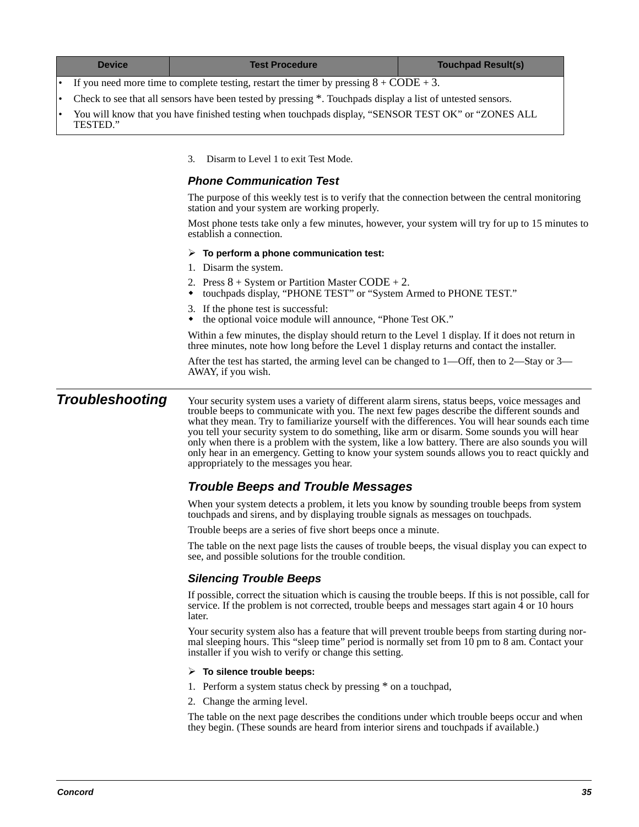| <b>Device</b> | <b>Test Procedure</b>                                                                                                                                                                          | <b>Touchpad Result(s)</b>                                                                       |  |  |  |  |  |  |
|---------------|------------------------------------------------------------------------------------------------------------------------------------------------------------------------------------------------|-------------------------------------------------------------------------------------------------|--|--|--|--|--|--|
|               | If you need more time to complete testing, restart the timer by pressing $8 + \text{CODE} + 3$ .                                                                                               |                                                                                                 |  |  |  |  |  |  |
|               | Check to see that all sensors have been tested by pressing *. Touchpads display a list of untested sensors.                                                                                    |                                                                                                 |  |  |  |  |  |  |
| TESTED."      | You will know that you have finished testing when touchpads display, "SENSOR TEST OK" or "ZONES ALL                                                                                            |                                                                                                 |  |  |  |  |  |  |
|               | Disarm to Level 1 to exit Test Mode.<br>3.                                                                                                                                                     |                                                                                                 |  |  |  |  |  |  |
|               | <b>Phone Communication Test</b>                                                                                                                                                                |                                                                                                 |  |  |  |  |  |  |
|               | station and your system are working properly.                                                                                                                                                  | The purpose of this weekly test is to verify that the connection between the central monitoring |  |  |  |  |  |  |
|               | Most phone tests take only a few minutes, however, your system will try for up to 15 minutes to<br>establish a connection.                                                                     |                                                                                                 |  |  |  |  |  |  |
|               | $\triangleright$ To perform a phone communication test:                                                                                                                                        |                                                                                                 |  |  |  |  |  |  |
|               | 1. Disarm the system.                                                                                                                                                                          |                                                                                                 |  |  |  |  |  |  |
|               | 2. Press $8 + System$ or Partition Master CODE + 2.<br>touchpads display, "PHONE TEST" or "System Armed to PHONE TEST."                                                                        |                                                                                                 |  |  |  |  |  |  |
|               | 3. If the phone test is successful:<br>the optional voice module will announce, "Phone Test OK."                                                                                               |                                                                                                 |  |  |  |  |  |  |
|               | Within a few minutes, the display should return to the Level 1 display. If it does not return in<br>three minutes, note how long before the Level 1 display returns and contact the installer. |                                                                                                 |  |  |  |  |  |  |

After the test has started, the arming level can be changed to 1—Off, then to 2—Stay or 3— AWAY, if you wish.

**Troubleshooting** Your security system uses a variety of different alarm sirens, status beeps, voice messages and trouble beeps to communicate with you. The next few pages describe the different sounds and what they mean. Try to familiarize yourself with the differences. You will hear sounds each time you tell your security system to do something, like arm or disarm. Some sounds you will hear only when there is a problem with the system, like a low battery. There are also sounds you will only hear in an emergency. Getting to know your system sounds allows you to react quickly and appropriately to the messages you hear.

### **Trouble Beeps and Trouble Messages**

When your system detects a problem, it lets you know by sounding trouble beeps from system touchpads and sirens, and by displaying trouble signals as messages on touchpads.

Trouble beeps are a series of five short beeps once a minute.

The table on the next page lists the causes of trouble beeps, the visual display you can expect to see, and possible solutions for the trouble condition.

### **Silencing Trouble Beeps**

If possible, correct the situation which is causing the trouble beeps. If this is not possible, call for service. If the problem is not corrected, trouble beeps and messages start again 4 or 10 hours later.

Your security system also has a feature that will prevent trouble beeps from starting during normal sleeping hours. This "sleep time" period is normally set from 10 pm to 8 am. Contact your installer if you wish to verify or change this setting.

#### **To silence trouble beeps:**

- 1. Perform a system status check by pressing \* on a touchpad,
- 2. Change the arming level.

The table on the next page describes the conditions under which trouble beeps occur and when they begin. (These sounds are heard from interior sirens and touchpads if available.)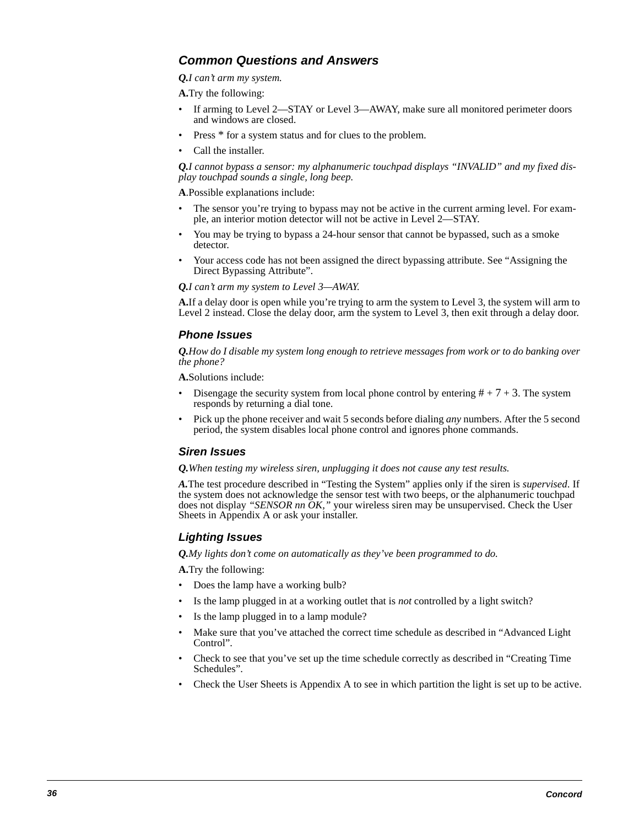### **Common Questions and Answers**

*Q.I can't arm my system.*

**A.**Try the following:

- If arming to Level 2—STAY or Level 3—AWAY, make sure all monitored perimeter doors and windows are closed.
- Press  $*$  for a system status and for clues to the problem.
- Call the installer.

*Q.I cannot bypass a sensor: my alphanumeric touchpad displays "INVALID" and my fixed display touchpad sounds a single, long beep.*

**A**.Possible explanations include:

- The sensor you're trying to bypass may not be active in the current arming level. For example, an interior motion detector will not be active in Level 2—STAY.
- You may be trying to bypass a 24-hour sensor that cannot be bypassed, such as a smoke detector.
- Your access code has not been assigned the direct bypassing attribute. See "Assigning the Direct Bypassing Attribute".

*Q.I can't arm my system to Level 3—AWAY.*

**A.** If a delay door is open while you're trying to arm the system to Level 3, the system will arm to Level 2 instead. Close the delay door, arm the system to Level 3, then exit through a delay door.

### **Phone Issues**

*Q.How do I disable my system long enough to retrieve messages from work or to do banking over the phone?*

**A.**Solutions include:

- Disengage the security system from local phone control by entering  $# + 7 + 3$ . The system responds by returning a dial tone.
- Pick up the phone receiver and wait 5 seconds before dialing *any* numbers. After the 5 second period, the system disables local phone control and ignores phone commands.

### **Siren Issues**

*Q.When testing my wireless siren, unplugging it does not cause any test results.*

*A.*The test procedure described in "Testing the System" applies only if the siren is *supervised*. If the system does not acknowledge the sensor test with two beeps, or the alphanumeric touchpad does not display *"SENSOR nn OK,"* your wireless siren may be unsupervised. Check the User Sheets in Appendix A or ask your installer.

### **Lighting Issues**

*Q.My lights don't come on automatically as they've been programmed to do.*

**A.**Try the following:

- Does the lamp have a working bulb?
- Is the lamp plugged in at a working outlet that is *not* controlled by a light switch?
- Is the lamp plugged in to a lamp module?
- Make sure that you've attached the correct time schedule as described in "Advanced Light Control".
- Check to see that you've set up the time schedule correctly as described in "Creating Time Schedules".
- Check the User Sheets is Appendix A to see in which partition the light is set up to be active.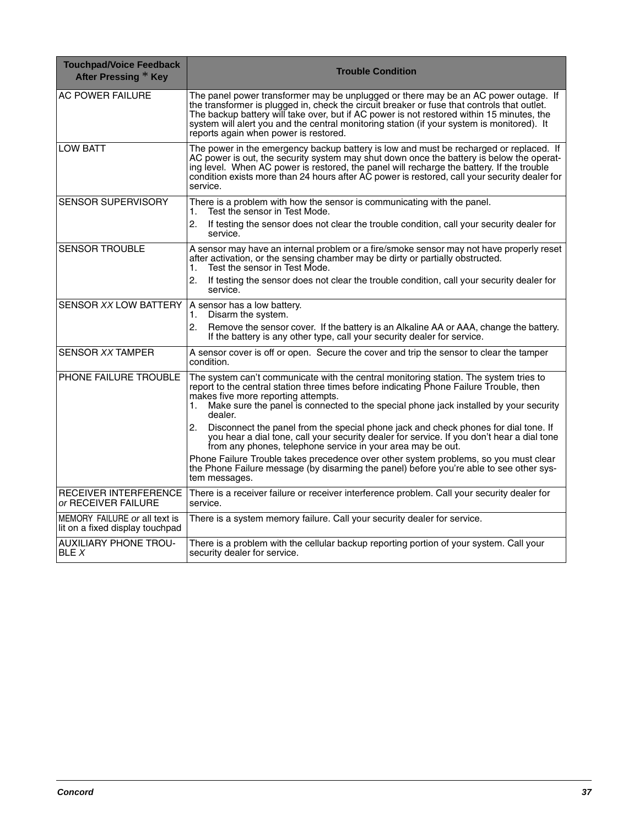| <b>Touchpad/Voice Feedback</b><br>After Pressing * Key           | <b>Trouble Condition</b>                                                                                                                                                                                                                                                                                                                                                                                               |
|------------------------------------------------------------------|------------------------------------------------------------------------------------------------------------------------------------------------------------------------------------------------------------------------------------------------------------------------------------------------------------------------------------------------------------------------------------------------------------------------|
| <b>AC POWER FAILURE</b>                                          | The panel power transformer may be unplugged or there may be an AC power outage. If<br>the transformer is plugged in, check the circuit breaker or fuse that controls that outlet.<br>The backup battery will take over, but if AC power is not restored within 15 minutes, the<br>system will alert you and the central monitoring station (if your system is monitored). It<br>reports again when power is restored. |
| <b>LOW BATT</b>                                                  | The power in the emergency backup battery is low and must be recharged or replaced. If<br>AC power is out, the security system may shut down once the battery is below the operat-<br>ing level. When AC power is restored, the panel will recharge the battery. If the trouble<br>condition exists more than 24 hours after AC power is restored, call your security dealer for<br>service.                           |
| <b>SENSOR SUPERVISORY</b>                                        | There is a problem with how the sensor is communicating with the panel.<br>Test the sensor in Test Mode.<br>1.                                                                                                                                                                                                                                                                                                         |
|                                                                  | 2.<br>If testing the sensor does not clear the trouble condition, call your security dealer for<br>service.                                                                                                                                                                                                                                                                                                            |
| <b>SENSOR TROUBLE</b>                                            | A sensor may have an internal problem or a fire/smoke sensor may not have properly reset<br>after activation, or the sensing chamber may be dirty or partially obstructed.<br>Test the sensor in Test Mode.<br>1.                                                                                                                                                                                                      |
|                                                                  | 2.<br>If testing the sensor does not clear the trouble condition, call your security dealer for<br>service.                                                                                                                                                                                                                                                                                                            |
| SENSOR XX LOW BATTERY                                            | A sensor has a low battery.<br>Disarm the system.<br>1.                                                                                                                                                                                                                                                                                                                                                                |
|                                                                  | 2.<br>Remove the sensor cover. If the battery is an Alkaline AA or AAA, change the battery.<br>If the battery is any other type, call your security dealer for service.                                                                                                                                                                                                                                                |
| SENSOR XX TAMPER                                                 | A sensor cover is off or open. Secure the cover and trip the sensor to clear the tamper<br>condition.                                                                                                                                                                                                                                                                                                                  |
| PHONE FAILURE TROUBLE                                            | The system can't communicate with the central monitoring station. The system tries to<br>report to the central station three times before indicating Phone Failure Trouble, then<br>makes five more reporting attempts.<br>Make sure the panel is connected to the special phone jack installed by your security<br>1.<br>dealer.                                                                                      |
|                                                                  | 2.<br>Disconnect the panel from the special phone jack and check phones for dial tone. If<br>you hear a dial tone, call your security dealer for service. If you don't hear a dial tone<br>from any phones, telephone service in your area may be out.                                                                                                                                                                 |
|                                                                  | Phone Failure Trouble takes precedence over other system problems, so you must clear<br>the Phone Failure message (by disarming the panel) before you're able to see other sys-<br>tem messages.                                                                                                                                                                                                                       |
| <b>RECEIVER INTERFERENCE</b><br>or RECEIVER FAILURE              | There is a receiver failure or receiver interference problem. Call your security dealer for<br>service.                                                                                                                                                                                                                                                                                                                |
| MEMORY FAILURE or all text is<br>lit on a fixed display touchpad | There is a system memory failure. Call your security dealer for service.                                                                                                                                                                                                                                                                                                                                               |
| <b>AUXILIARY PHONE TROU-</b><br>BLE X                            | There is a problem with the cellular backup reporting portion of your system. Call your<br>security dealer for service.                                                                                                                                                                                                                                                                                                |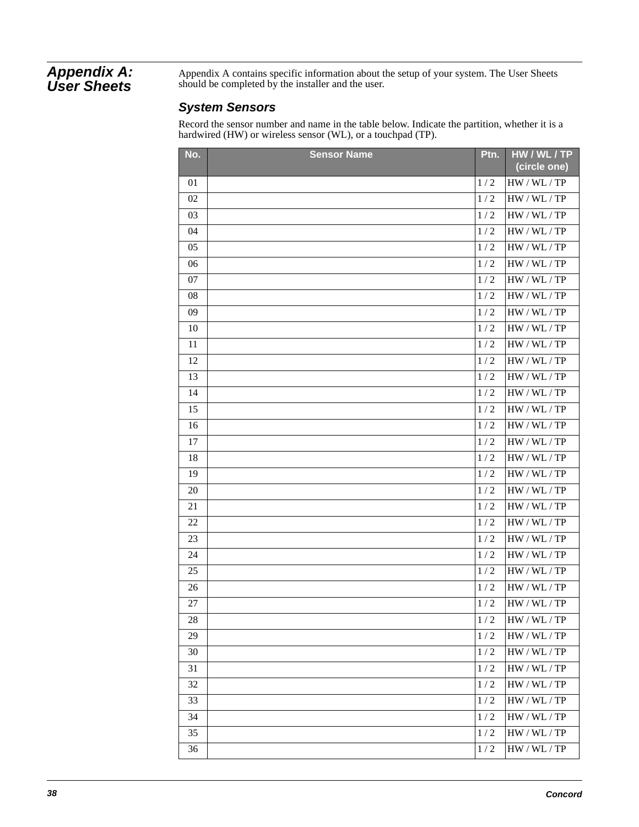### **Appendix A: User Sheets**

Appendix A contains specific information about the setup of your system. The User Sheets should be completed by the installer and the user.

### **System Sensors**

Record the sensor number and name in the table below. Indicate the partition, whether it is a hardwired (HW) or wireless sensor (WL), or a touchpad (TP).

| No. | <b>Sensor Name</b> | Ptn.  | HW/WL/TP<br>(circle one) |
|-----|--------------------|-------|--------------------------|
| 01  |                    | 1/2   | HW / WL / TP             |
| 02  |                    | 1/2   | HW / WL / TP             |
| 03  |                    | 1/2   | HW / WL / TP             |
| 04  |                    | 1/2   | HW / WL / TP             |
| 05  |                    | 1/2   | HW / WL / TP             |
| 06  |                    | 1/2   | HW / WL / TP             |
| 07  |                    | 1/2   | HW / WL / TP             |
| 08  |                    | 1/2   | HW / WL / TP             |
| 09  |                    | 1/2   | HW / WL / TP             |
| 10  |                    | 1/2   | HW / WL / TP             |
| 11  |                    | 1/2   | HW / WL / TP             |
| 12  |                    | 1/2   | HW / WL / TP             |
| 13  |                    | 1/2   | HW / WL / TP             |
| 14  |                    | 1/2   | HW / WL / TP             |
| 15  |                    | 1/2   | HW / WL / TP             |
| 16  |                    | 1/2   | HW / WL / TP             |
| 17  |                    | 1/2   | HW / WL / TP             |
| 18  |                    | 1/2   | HW / WL / TP             |
| 19  |                    | 1/2   | HW / WL / TP             |
| 20  |                    | 1/2   | HW / WL / TP             |
| 21  |                    | 1/2   | HW / WL / TP             |
| 22  |                    | 1/2   | HW / WL / TP             |
| 23  |                    | 1/2   | HW / WL / TP             |
| 24  |                    | 1/2   | HW / WL / TP             |
| 25  |                    | 1/2   | HW / WL / TP             |
| 26  |                    | $1/2$ | HW / WL / TP             |
| 27  |                    | 1/2   | HW / WL / TP             |
| 28  |                    | 1/2   | HW / WL / TP             |
| 29  |                    | 1/2   | HW / WL / TP             |
| 30  |                    | 1/2   | HW / WL / TP             |
| 31  |                    | 1/2   | HW / WL / TP             |
| 32  |                    | 1/2   | HW / WL / TP             |
| 33  |                    | 1/2   | HW / WL / TP             |
| 34  |                    | 1/2   | HW / WL / TP             |
| 35  |                    | 1/2   | HW / WL / TP             |
| 36  |                    | 1/2   | HW / WL / TP             |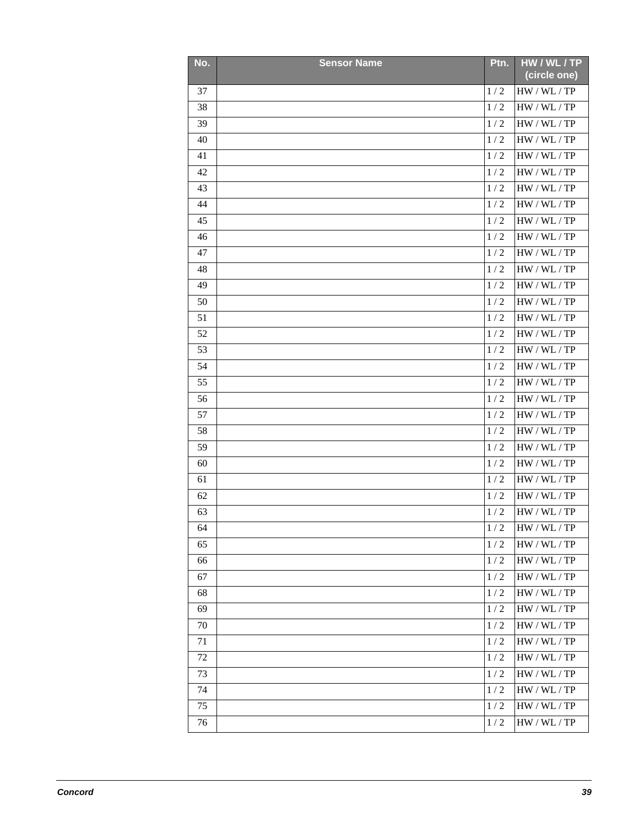| No. | <b>Sensor Name</b> | Ptn.            | HW / WL / TP<br>(circle one) |
|-----|--------------------|-----------------|------------------------------|
| 37  |                    | 1/2             | HW / WL / TP                 |
| 38  |                    | 1/2             | HW / WL / TP                 |
| 39  |                    | 1/2             | HW / WL / TP                 |
| 40  |                    | 1/2             | HW / WL / TP                 |
| 41  |                    | 1/2             | HW / WL / TP                 |
| 42  |                    | 1/2             | HW / WL / TP                 |
| 43  |                    | 1/2             | HW / WL / TP                 |
| 44  |                    | 1/2             | HW / WL / TP                 |
| 45  |                    | 1/2             | HW / WL / TP                 |
| 46  |                    | 1/2             | HW / WL / TP                 |
| 47  |                    | 1/2             | HW / WL / TP                 |
| 48  |                    | 1/2             | HW / WL / TP                 |
| 49  |                    | 1/2             | HW / WL / TP                 |
| 50  |                    | 1/2             | HW / WL / TP                 |
| 51  |                    | 1/2             | HW / WL / TP                 |
| 52  |                    | 1/2             | HW / WL / TP                 |
| 53  |                    | 1/2             | HW / WL / TP                 |
| 54  |                    | 1/2             | HW / WL / TP                 |
| 55  |                    | 1/2             | HW / WL / TP                 |
| 56  |                    | 1/2             | HW / WL / TP                 |
| 57  |                    | 1/2             | HW / WL / TP                 |
| 58  |                    | 1/2             | HW / WL / TP                 |
| 59  |                    | 1/2             | HW / WL / TP                 |
| 60  |                    | 1/2             | HW / WL / TP                 |
| 61  |                    | 1/2             | HW / WL / TP                 |
| 62  |                    | 1/2             | HW / WL / TP                 |
| 63  |                    | $1\mathbin{/}2$ | HW / WL / TP                 |
| 64  |                    | 1/2             | HW / WL / TP                 |
| 65  |                    | 1/2             | HW / WL / TP                 |
| 66  |                    | 1/2             | HW / WL / TP                 |
| 67  |                    | 1/2             | HW / WL / TP                 |
| 68  |                    | $1\,/\,2$       | HW / WL / TP                 |
| 69  |                    | 1/2             | HW / WL / TP                 |
| 70  |                    | 1/2             | HW / WL / TP                 |
| 71  |                    | 1/2             | HW / WL / TP                 |
| 72  |                    | 1/2             | HW / WL / TP                 |
| 73  |                    | 1/2             | HW / WL / TP                 |
| 74  |                    | 1/2             | HW / WL / TP                 |
| 75  |                    | 1/2             | HW / WL / TP                 |
| 76  |                    | 1/2             | HW / WL / TP                 |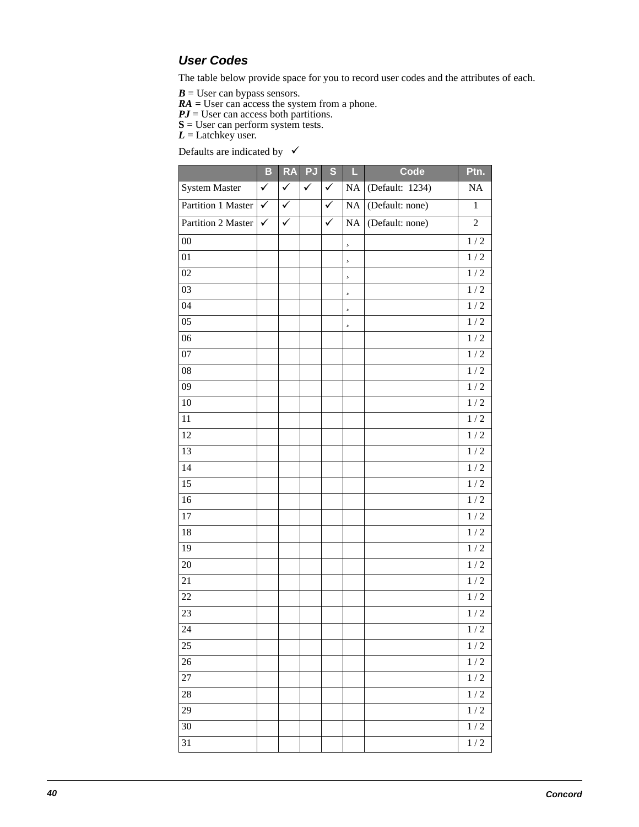### **User Codes**

The table below provide space for you to record user codes and the attributes of each.

 $B =$  User can bypass sensors.

*RA =* User can access the system from a phone.

*PJ* = User can access both partitions.

**S** = User can perform system tests.

*L* = Latchkey user.

Defaults are indicated by  $\checkmark$ 

|                      | B            | <b>RA</b>    | <b>PJ</b>    | $\overline{\mathbf{s}}$ | L        | Code            | Ptn.             |
|----------------------|--------------|--------------|--------------|-------------------------|----------|-----------------|------------------|
| <b>System Master</b> | $\checkmark$ | $\checkmark$ | $\checkmark$ | $\checkmark$            | $\rm NA$ | (Default: 1234) | NA               |
| Partition 1 Master   | $\checkmark$ | $\checkmark$ |              | $\checkmark$            | $\rm NA$ | (Default: none) | $\mathbf{1}$     |
| Partition 2 Master   | ✓            | $\checkmark$ |              | ✓                       | $\rm NA$ | (Default: none) | $\overline{c}$   |
| $00\,$               |              |              |              |                         | 5        |                 | $1/2$            |
| 01                   |              |              |              |                         | 5        |                 | $1\mathbin{/}2$  |
| $02\,$               |              |              |              |                         | 5        |                 | $1\mathbin{/}2$  |
| $\overline{03}$      |              |              |              |                         | 5        |                 | $1\mathbin{/}2$  |
| 04                   |              |              |              |                         | 5        |                 | 1/2              |
| 05                   |              |              |              |                         | 5        |                 | 1/2              |
| 06                   |              |              |              |                         |          |                 | $1\mathbin{/}2$  |
| 07                   |              |              |              |                         |          |                 | $1\mathbin{/}2$  |
| 08                   |              |              |              |                         |          |                 | $1\mathbin{/}2$  |
| 09                   |              |              |              |                         |          |                 | $1\mathbin{/}2$  |
| $10\,$               |              |              |              |                         |          |                 | 1/2              |
| 11                   |              |              |              |                         |          |                 | $1/2$            |
| 12                   |              |              |              |                         |          |                 | $1/2$            |
| 13                   |              |              |              |                         |          |                 | $1\mathbin{/}2$  |
| 14                   |              |              |              |                         |          |                 | $1/2$            |
| $1\overline{5}$      |              |              |              |                         |          |                 | $1\mathbin{/}2$  |
| 16                   |              |              |              |                         |          |                 | $1\mathbin{/}2$  |
| 17                   |              |              |              |                         |          |                 | $1/2$            |
| 18                   |              |              |              |                         |          |                 | $1\mathbin{/}2$  |
| 19                   |              |              |              |                         |          |                 | $1\mathbin{/}2$  |
| $20\,$               |              |              |              |                         |          |                 | $1\mathbin{/}2$  |
| 21                   |              |              |              |                         |          |                 | $1\mathbin{/}2$  |
| $22\,$               |              |              |              |                         |          |                 | $1\mathbin{/}2$  |
| 23                   |              |              |              |                         |          |                 | $1\mathbin{/}2$  |
| 24                   |              |              |              |                         |          |                 | 1/2              |
| 25                   |              |              |              |                         |          |                 | $1\mathbin{/}2$  |
| 26                   |              |              |              |                         |          |                 | $1\mathbin{/}2$  |
| $27\,$               |              |              |              |                         |          |                 | $1\mathbin{/}2$  |
| 28                   |              |              |              |                         |          |                 | $1/\overline{2}$ |
| 29                   |              |              |              |                         |          |                 | $1\mathbin{/}2$  |
| 30                   |              |              |              |                         |          |                 | $1\mathbin{/}2$  |
| 31                   |              |              |              |                         |          |                 | $1\mathbin{/}2$  |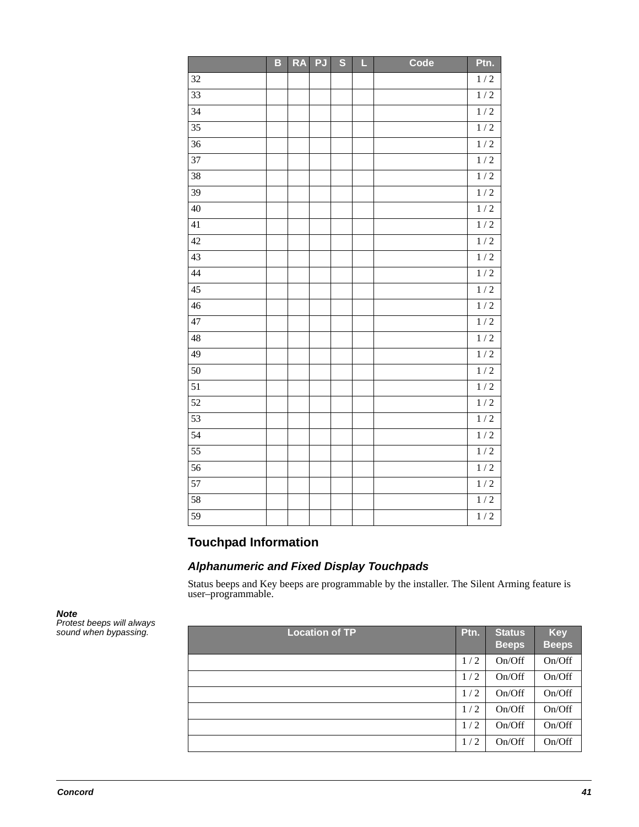|                 | B | <b>RA</b> | <b>PJ</b> | $\overline{\mathbf{s}}$ | L | Code | Ptn.             |
|-----------------|---|-----------|-----------|-------------------------|---|------|------------------|
| 32              |   |           |           |                         |   |      | $1/2$            |
| $\overline{33}$ |   |           |           |                         |   |      | $\overline{1/2}$ |
| $\overline{34}$ |   |           |           |                         |   |      | 1/2              |
| $\overline{35}$ |   |           |           |                         |   |      | $\overline{1/2}$ |
| $\overline{36}$ |   |           |           |                         |   |      | 1/2              |
| $\overline{37}$ |   |           |           |                         |   |      | 1/2              |
| 38              |   |           |           |                         |   |      | 1/2              |
| $\overline{39}$ |   |           |           |                         |   |      | 1/2              |
| $\overline{40}$ |   |           |           |                         |   |      | 1/2              |
| 41              |   |           |           |                         |   |      | 1/2              |
| 42              |   |           |           |                         |   |      | 1/2              |
| 43              |   |           |           |                         |   |      | 1/2              |
| $\overline{44}$ |   |           |           |                         |   |      | 1/2              |
| 45              |   |           |           |                         |   |      | 1/2              |
| $\overline{46}$ |   |           |           |                         |   |      | 1/2              |
| 47              |   |           |           |                         |   |      | 1/2              |
| $\overline{48}$ |   |           |           |                         |   |      | 1/2              |
| $\overline{49}$ |   |           |           |                         |   |      | 1/2              |
| 50              |   |           |           |                         |   |      | 1/2              |
| $\overline{51}$ |   |           |           |                         |   |      | 1/2              |
| $\overline{52}$ |   |           |           |                         |   |      | 1/2              |
| 53              |   |           |           |                         |   |      | 1/2              |
| 54              |   |           |           |                         |   |      | 1/2              |
| $\overline{55}$ |   |           |           |                         |   |      | $\overline{1/2}$ |
| $\overline{56}$ |   |           |           |                         |   |      | 1/2              |
| $\overline{57}$ |   |           |           |                         |   |      | 1/2              |
| $\overline{58}$ |   |           |           |                         |   |      | $\overline{1/2}$ |
| 59              |   |           |           |                         |   |      | $\overline{1/2}$ |

### **Touchpad Information**

### **Alphanumeric and Fixed Display Touchpads**

Status beeps and Key beeps are programmable by the installer. The Silent Arming feature is user–programmable.

**Note** 

Protest beeps will always sound when bypassing.

| <b>Location of TP</b> | P <sub>tn</sub> . | <b>Status</b><br><b>Beeps</b> | <b>Key</b><br><b>Beeps</b> |
|-----------------------|-------------------|-------------------------------|----------------------------|
|                       | 1/2               | On/Off                        | On/Off                     |
|                       | 1/2               | On/Off                        | On/Off                     |
|                       | 1/2               | On/Off                        | On/Off                     |
|                       | 1/2               | On/Off                        | On/Off                     |
|                       | 1/2               | On/Off                        | On/Off                     |
|                       | 1/2               | On/Off                        | On/Off                     |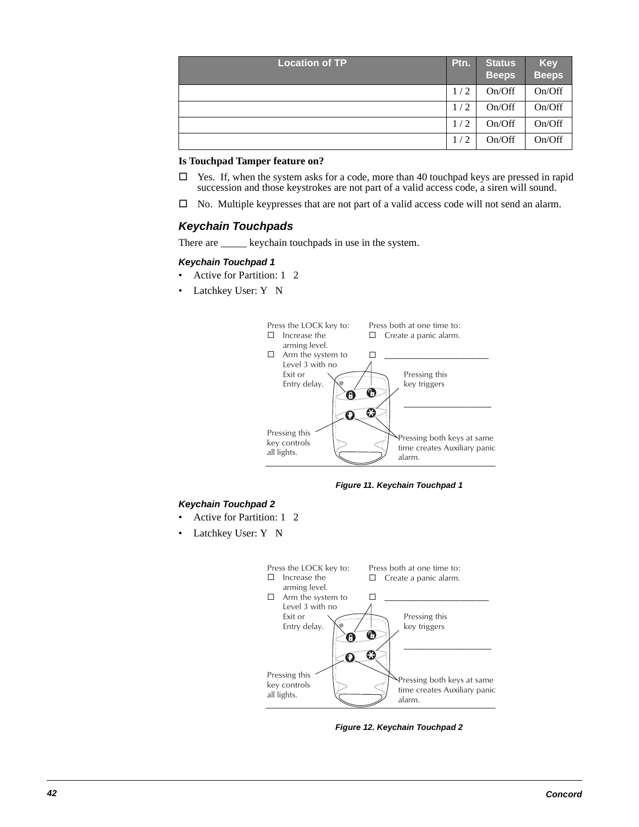| <b>Location of TP</b> | Ptn. | <b>Status</b><br><b>Beeps</b> | <b>Key</b><br><b>Beeps</b> |
|-----------------------|------|-------------------------------|----------------------------|
|                       | 1/2  | On/Off                        | On/Off                     |
|                       | 1/2  | On/Off                        | On/Off                     |
|                       | 1/2  | On/Off                        | On/Off                     |
|                       | 1/2  | On/Off                        | On/Off                     |

### **Is Touchpad Tamper feature on?**

- $\Box$  Yes. If, when the system asks for a code, more than 40 touchpad keys are pressed in rapid succession and those keystrokes are not part of a valid access code, a siren will sound.
- $\square$  No. Multiple keypresses that are not part of a valid access code will not send an alarm.

### **Keychain Touchpads**

There are \_\_\_\_\_\_ keychain touchpads in use in the system.

#### **Keychain Touchpad 1**

- Active for Partition: 1 2
- Latchkey User: Y N



**Figure 11. Keychain Touchpad 1**

#### **Keychain Touchpad 2**

- Active for Partition: 1 2
- Latchkey User: Y N



**Figure 12. Keychain Touchpad 2**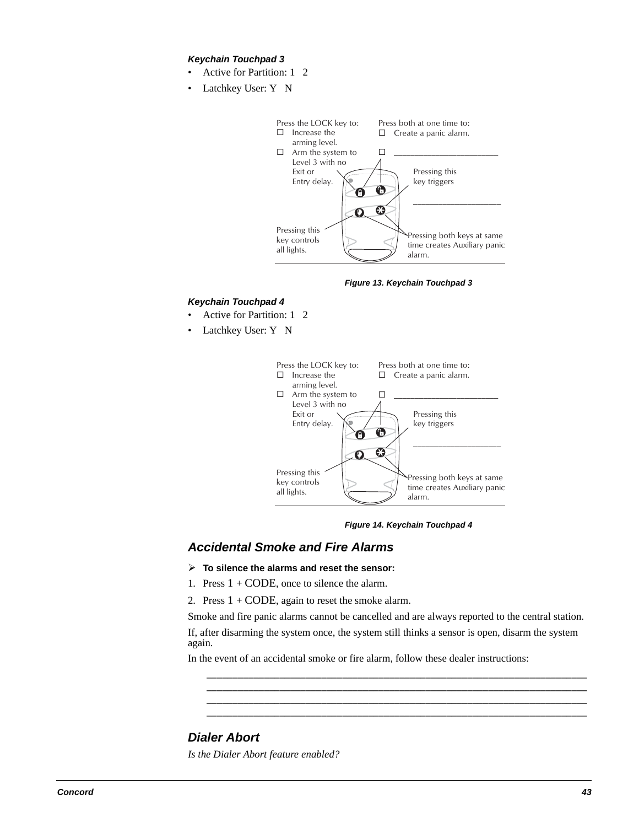#### **Keychain Touchpad 3**

- Active for Partition: 1 2
- Latchkey User: Y N



**Figure 13. Keychain Touchpad 3**

#### **Keychain Touchpad 4**

- Active for Partition: 1 2
- Latchkey User: Y N



**Figure 14. Keychain Touchpad 4**

### **Accidental Smoke and Fire Alarms**

- **To silence the alarms and reset the sensor:**
- 1. Press  $1 + \text{CODE}$ , once to silence the alarm.
- 2. Press  $1 + \text{CODE}$ , again to reset the smoke alarm.

Smoke and fire panic alarms cannot be cancelled and are always reported to the central station.

If, after disarming the system once, the system still thinks a sensor is open, disarm the system again.

\_\_\_\_\_\_\_\_\_\_\_\_\_\_\_\_\_\_\_\_\_\_\_\_\_\_\_\_\_\_\_\_\_\_\_\_\_\_\_\_\_\_\_\_\_\_\_\_\_\_\_\_\_\_\_\_\_\_\_\_\_\_\_\_\_\_\_\_\_\_\_\_\_ \_\_\_\_\_\_\_\_\_\_\_\_\_\_\_\_\_\_\_\_\_\_\_\_\_\_\_\_\_\_\_\_\_\_\_\_\_\_\_\_\_\_\_\_\_\_\_\_\_\_\_\_\_\_\_\_\_\_\_\_\_\_\_\_\_\_\_\_\_\_\_\_\_ \_\_\_\_\_\_\_\_\_\_\_\_\_\_\_\_\_\_\_\_\_\_\_\_\_\_\_\_\_\_\_\_\_\_\_\_\_\_\_\_\_\_\_\_\_\_\_\_\_\_\_\_\_\_\_\_\_\_\_\_\_\_\_\_\_\_\_\_\_\_\_\_\_ \_\_\_\_\_\_\_\_\_\_\_\_\_\_\_\_\_\_\_\_\_\_\_\_\_\_\_\_\_\_\_\_\_\_\_\_\_\_\_\_\_\_\_\_\_\_\_\_\_\_\_\_\_\_\_\_\_\_\_\_\_\_\_\_\_\_\_\_\_\_\_\_\_

In the event of an accidental smoke or fire alarm, follow these dealer instructions:

### **Dialer Abort**

*Is the Dialer Abort feature enabled?*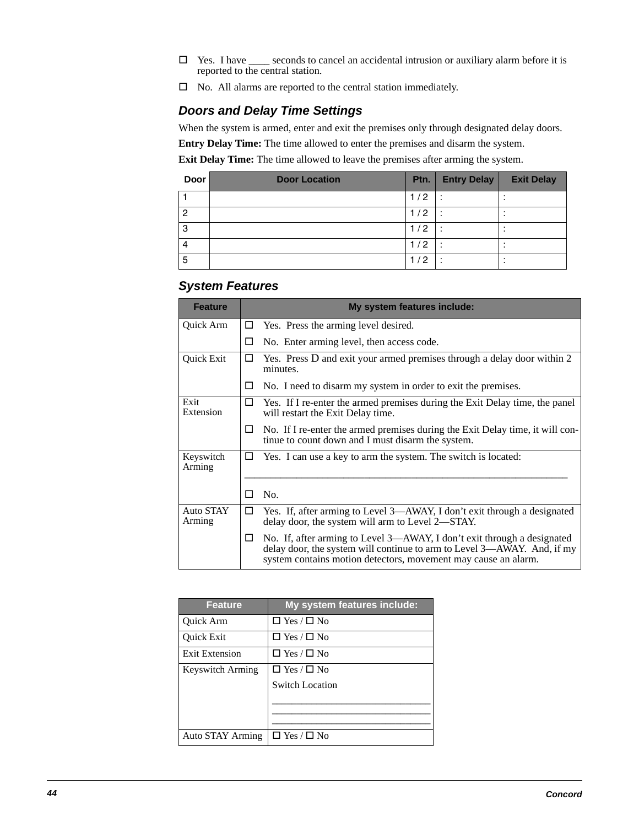- $\Box$  Yes. I have  $\Box$  seconds to cancel an accidental intrusion or auxiliary alarm before it is reported to the central station.
- $\square$  No. All alarms are reported to the central station immediately.

### **Doors and Delay Time Settings**

When the system is armed, enter and exit the premises only through designated delay doors.

**Entry Delay Time:** The time allowed to enter the premises and disarm the system.

**Exit Delay Time:** The time allowed to leave the premises after arming the system.

| <b>Door</b> | <b>Door Location</b> | Ptn.  | <b>Entry Delay</b> | <b>Exit Delay</b> |
|-------------|----------------------|-------|--------------------|-------------------|
|             |                      | 1/2   |                    |                   |
| 2           |                      | 1 / 2 |                    |                   |
| 3           |                      | 1/2   |                    |                   |
| 4           |                      | /2    |                    |                   |
| 5           |                      | /2    |                    |                   |

### **System Features**

| <b>Feature</b>      | My system features include:                                                                                                                                                                                                    |
|---------------------|--------------------------------------------------------------------------------------------------------------------------------------------------------------------------------------------------------------------------------|
| Quick Arm           | Yes. Press the arming level desired.<br>$\Box$                                                                                                                                                                                 |
|                     | No. Enter arming level, then access code.<br>Ш                                                                                                                                                                                 |
| Quick Exit          | Yes. Press D and exit your armed premises through a delay door within 2<br>$\Box$<br>minutes.                                                                                                                                  |
|                     | No. I need to disarm my system in order to exit the premises.<br>ப                                                                                                                                                             |
| Exit<br>Extension   | Yes. If I re-enter the armed premises during the Exit Delay time, the panel<br>$\Box$<br>will restart the Exit Delay time.                                                                                                     |
|                     | No. If I re-enter the armed premises during the Exit Delay time, it will con-<br>ப<br>tinue to count down and I must disarm the system.                                                                                        |
| Keyswitch<br>Arming | Yes. I can use a key to arm the system. The switch is located:<br>ப                                                                                                                                                            |
|                     | No.<br>n an                                                                                                                                                                                                                    |
| Auto STAY<br>Arming | Yes. If, after arming to Level 3—AWAY, I don't exit through a designated<br>$\Box$<br>delay door, the system will arm to Level 2—STAY.                                                                                         |
|                     | No. If, after arming to Level 3—AWAY, I don't exit through a designated<br>$\Box$<br>delay door, the system will continue to arm to Level 3—AWAY. And, if my<br>system contains motion detectors, movement may cause an alarm. |

| <b>Feature</b>   | My system features include:  |
|------------------|------------------------------|
| <b>Ouick Arm</b> | $\square$ Yes / $\square$ No |
| Quick Exit       | $\square$ Yes / $\square$ No |
| Exit Extension   | $\square$ Yes / $\square$ No |
| Keyswitch Arming | $\Box$ Yes / $\Box$ No       |
|                  | <b>Switch Location</b>       |
|                  |                              |
|                  |                              |
|                  |                              |
| Auto STAY Arming | $\Box$ Yes / $\Box$ No       |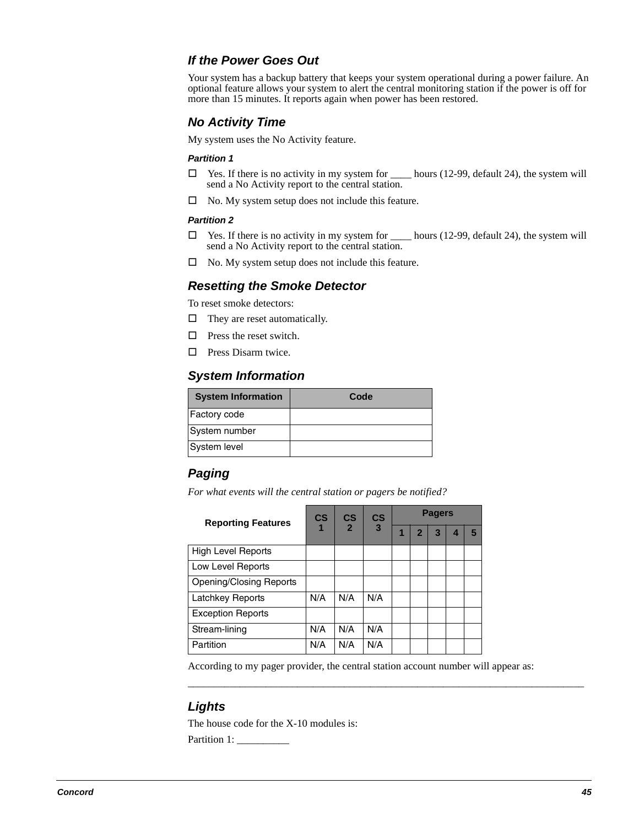### **If the Power Goes Out**

Your system has a backup battery that keeps your system operational during a power failure. An optional feature allows your system to alert the central monitoring station if the power is off for more than 15 minutes. It reports again when power has been restored.

### **No Activity Time**

My system uses the No Activity feature.

#### **Partition 1**

- $\Box$  Yes. If there is no activity in my system for \_\_\_\_\_\_ hours (12-99, default 24), the system will send a No Activity report to the central station.
- $\Box$  No. My system setup does not include this feature.

#### **Partition 2**

- $\square$  Yes. If there is no activity in my system for  $\_\_\_\_$ hours (12-99, default 24), the system will send a No Activity report to the central station.
- $\Box$  No. My system setup does not include this feature.

### **Resetting the Smoke Detector**

To reset smoke detectors:

- $\Box$  They are reset automatically.
- $\square$  Press the reset switch.
- $\Box$  Press Disarm twice.

### **System Information**

| <b>System Information</b> | Code |
|---------------------------|------|
| <b>Factory code</b>       |      |
| System number             |      |
| System level              |      |

### **Paging**

*For what events will the central station or pagers be notified?*

| <b>Reporting Features</b>      | $\mathsf{CS}$  | $\mathbf{c}\mathbf{s}$ | $\mathbf{c}\mathbf{s}$ | <b>Pagers</b> |   |   |   |  |
|--------------------------------|----------------|------------------------|------------------------|---------------|---|---|---|--|
|                                | $\overline{2}$ | $\overline{3}$         |                        | 2             | 3 | 4 | 5 |  |
| <b>High Level Reports</b>      |                |                        |                        |               |   |   |   |  |
| Low Level Reports              |                |                        |                        |               |   |   |   |  |
| <b>Opening/Closing Reports</b> |                |                        |                        |               |   |   |   |  |
| Latchkey Reports               | N/A            | N/A                    | N/A                    |               |   |   |   |  |
| <b>Exception Reports</b>       |                |                        |                        |               |   |   |   |  |
| Stream-lining                  | N/A            | N/A                    | N/A                    |               |   |   |   |  |
| Partition                      | N/A            | N/A                    | N/A                    |               |   |   |   |  |

According to my pager provider, the central station account number will appear as:

\_\_\_\_\_\_\_\_\_\_\_\_\_\_\_\_\_\_\_\_\_\_\_\_\_\_\_\_\_\_\_\_\_\_\_\_\_\_\_\_\_\_\_\_\_\_\_\_\_\_\_\_\_\_\_\_\_\_\_\_\_\_\_\_\_\_\_\_\_\_\_\_\_\_\_\_

### **Lights**

The house code for the X-10 modules is: Partition 1: \_\_\_\_\_\_\_\_\_\_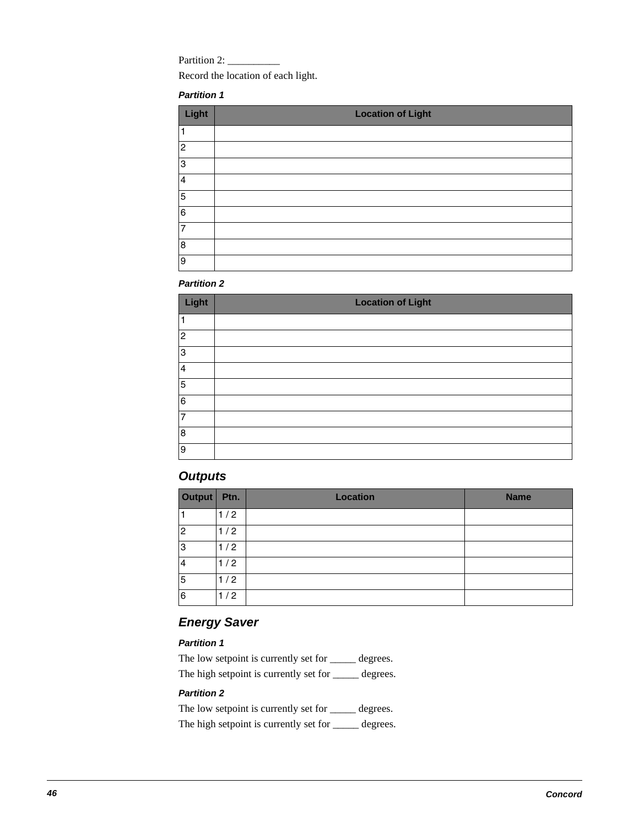Partition 2: \_\_\_\_\_\_\_\_\_\_

Record the location of each light.

### **Partition 1**

| Light                   | <b>Location of Light</b> |
|-------------------------|--------------------------|
| $\mathbf{1}$            |                          |
| $\overline{c}$          |                          |
| 3                       |                          |
| $\overline{\mathbf{4}}$ |                          |
| $\overline{5}$          |                          |
| 6                       |                          |
| $\overline{7}$          |                          |
| $\overline{8}$          |                          |
| $\overline{9}$          |                          |

### **Partition 2**

| Light          | <b>Location of Light</b> |
|----------------|--------------------------|
|                |                          |
| $\overline{c}$ |                          |
| 3              |                          |
| 4              |                          |
| 5              |                          |
| 6              |                          |
| $\overline{7}$ |                          |
| 8              |                          |
| 9              |                          |

### **Outputs**

| Output   Ptn. |     | <b>Location</b> | <b>Name</b> |
|---------------|-----|-----------------|-------------|
|               | 1/2 |                 |             |
| 2             | 1/2 |                 |             |
| 3             | 1/2 |                 |             |
| 4             | 1/2 |                 |             |
| 5             | 1/2 |                 |             |
| 6             | 1/2 |                 |             |

### **Energy Saver**

### **Partition 1**

The low setpoint is currently set for \_\_\_\_\_ degrees. The high setpoint is currently set for  $\_\_\_\_\$  degrees.

### **Partition 2**

The low setpoint is currently set for \_\_\_\_\_ degrees. The high setpoint is currently set for  $\_\_\_\_\$  degrees.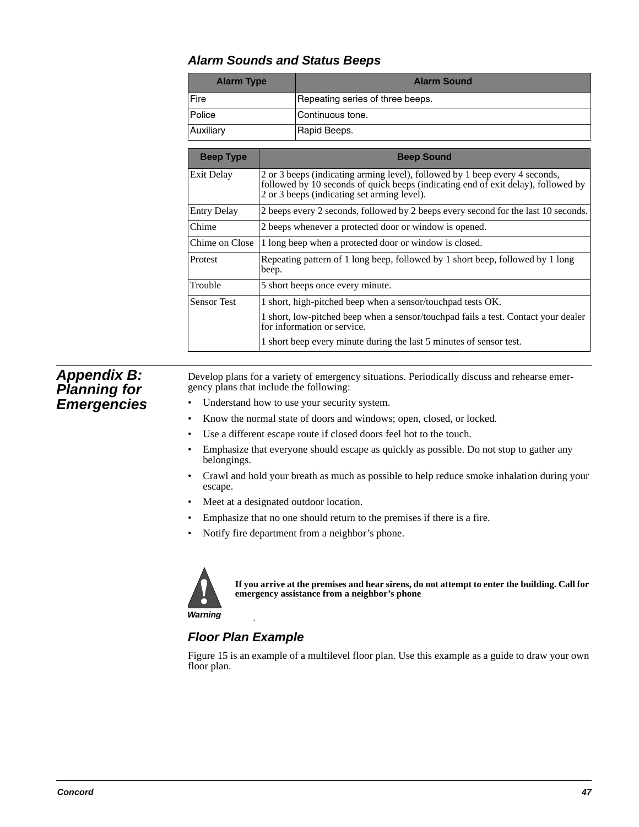### **Alarm Sounds and Status Beeps**

| <b>Alarm Type</b> | <b>Alarm Sound</b>               |
|-------------------|----------------------------------|
| Fire              | Repeating series of three beeps. |
| Police            | lContinuous tone.                |
| Auxiliary         | Rapid Beeps.                     |

| <b>Beep Type</b>   | <b>Beep Sound</b>                                                                                                                                                                                               |  |
|--------------------|-----------------------------------------------------------------------------------------------------------------------------------------------------------------------------------------------------------------|--|
| Exit Delay         | 2 or 3 beeps (indicating arming level), followed by 1 beep every 4 seconds,<br>followed by 10 seconds of quick beeps (indicating end of exit delay), followed by<br>2 or 3 beeps (indicating set arming level). |  |
| <b>Entry Delay</b> | 2 beeps every 2 seconds, followed by 2 beeps every second for the last 10 seconds.                                                                                                                              |  |
| Chime              | 2 beeps whenever a protected door or window is opened.                                                                                                                                                          |  |
| Chime on Close     | 1 long beep when a protected door or window is closed.                                                                                                                                                          |  |
| Protest            | Repeating pattern of 1 long beep, followed by 1 short beep, followed by 1 long<br>beep.                                                                                                                         |  |
| Trouble            | 5 short beeps once every minute.                                                                                                                                                                                |  |
| <b>Sensor Test</b> | 1 short, high-pitched beep when a sensor/touchpad tests OK.                                                                                                                                                     |  |
|                    | 1 short, low-pitched beep when a sensor/touchpad fails a test. Contact your dealer<br>for information or service.                                                                                               |  |
|                    | 1 short beep every minute during the last 5 minutes of sensor test.                                                                                                                                             |  |

### **Appendix B: Planning for Emergencies**

Develop plans for a variety of emergency situations. Periodically discuss and rehearse emergency plans that include the following:

- Understand how to use your security system.
- Know the normal state of doors and windows; open, closed, or locked.
- Use a different escape route if closed doors feel hot to the touch.
- Emphasize that everyone should escape as quickly as possible. Do not stop to gather any belongings.
- Crawl and hold your breath as much as possible to help reduce smoke inhalation during your escape.
- Meet at a designated outdoor location.
- Emphasize that no one should return to the premises if there is a fire.
- Notify fire department from a neighbor's phone.



**If you arrive at the premises and hear sirens, do not attempt to enter the building. Call for emergency assistance from a neighbor's phone**

**Warning**

# <sup>warning</sup><br>Floor Plan Example

Figure 15 is an example of a multilevel floor plan. Use this example as a guide to draw your own floor plan.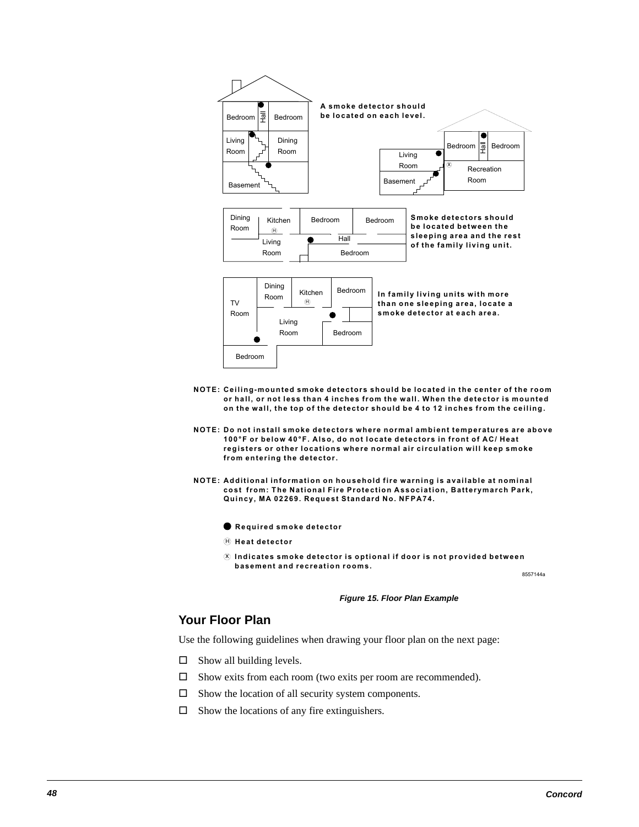

- <code>NOTE: Ceiling-mounted smoke detectors should be located in the center of the room</code> or hall, or not less than 4 inches from the wall. When the detector is mounted on the wall, the top of the detector should be 4 to 12 inches from the ceiling.
- **NOTE: Do not install smoke detectors where normal ambient temperatures are above 100°F or below 40°F. Also, do not locate detectors in front of AC/ Heat** registers or other locations where normal air circulation will keep smoke from entering the detector.
- NOTE: Additional information on household fire warning is available at nominal cost from: The National Fire Protection Association, Batterymarch Park, Quincy, MA 02269. Request Standard No. NFPA74.

**Required smoke detector** 

 $\mathbf{\Theta}$  Heat detector

 $\widehat{\mathcal{R}}$  Indicates smoke detector is optional if door is not provided between basement and recreation rooms.

8557144a

#### **Figure 15. Floor Plan Example**

### **Your Floor Plan**

Use the following guidelines when drawing your floor plan on the next page:

- $\square$  Show all building levels.
- Show exits from each room (two exits per room are recommended).
- $\Box$  Show the location of all security system components.
- $\square$  Show the locations of any fire extinguishers.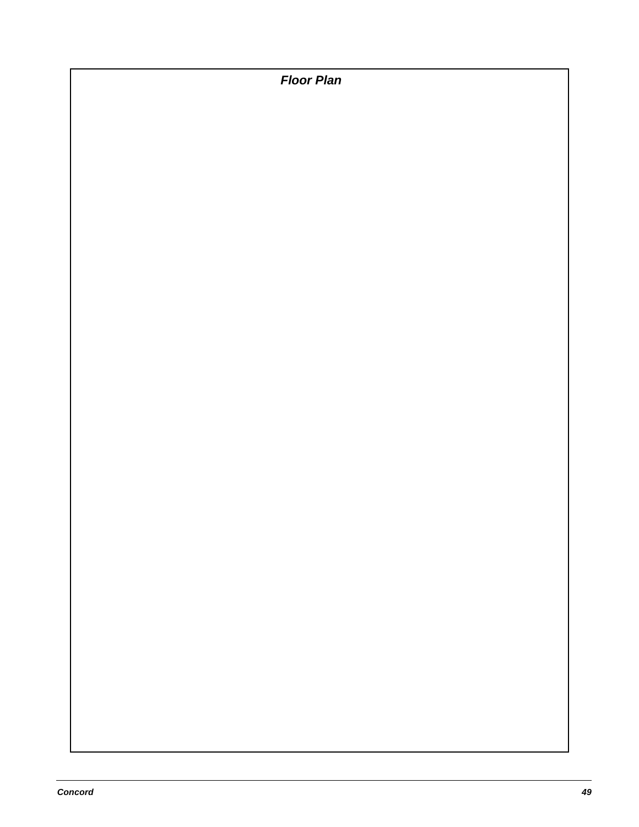**Floor Plan**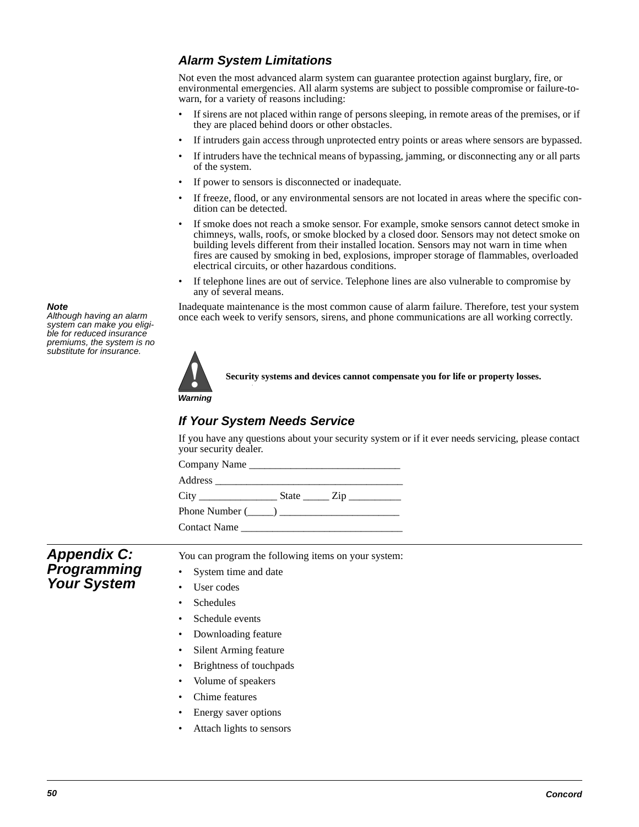### **Alarm System Limitations**

Not even the most advanced alarm system can guarantee protection against burglary, fire, or environmental emergencies. All alarm systems are subject to possible compromise or failure-towarn, for a variety of reasons including:

- If sirens are not placed within range of persons sleeping, in remote areas of the premises, or if they are placed behind doors or other obstacles.
- If intruders gain access through unprotected entry points or areas where sensors are bypassed.
- If intruders have the technical means of bypassing, jamming, or disconnecting any or all parts of the system.
- If power to sensors is disconnected or inadequate.
- If freeze, flood, or any environmental sensors are not located in areas where the specific condition can be detected.
- If smoke does not reach a smoke sensor. For example, smoke sensors cannot detect smoke in chimneys, walls, roofs, or smoke blocked by a closed door. Sensors may not detect smoke on building levels different from their installed location. Sensors may not warn in time when fires are caused by smoking in bed, explosions, improper storage of flammables, overloaded electrical circuits, or other hazardous conditions.
- If telephone lines are out of service. Telephone lines are also vulnerable to compromise by any of several means.

Inadequate maintenance is the most common cause of alarm failure. Therefore, test your system once each week to verify sensors, sirens, and phone communications are all working correctly.



**Security systems and devices cannot compensate you for life or property losses.** 

**Warning**

# <sup>Warning</sup><br>If Your System Needs Service

If you have any questions about your security system or if it ever needs servicing, please contact your security dealer.

Company Name Address \_\_\_\_\_\_\_\_\_\_\_\_\_\_\_\_\_\_\_\_\_\_\_\_\_\_\_\_\_\_\_\_\_\_\_\_ City State  $\overline{C}$  State  $\overline{C}$ Phone Number  $(\_\_)$ Contact Name

**Appendix C: Programming Your System**

You can program the following items on your system:

- System time and date
- User codes
- **Schedules**
- Schedule events
- Downloading feature
- Silent Arming feature
- Brightness of touchpads
- Volume of speakers
- Chime features
- Energy saver options
- Attach lights to sensors

system can make you eligible for reduced insurance premiums, the system is no substitute for insurance.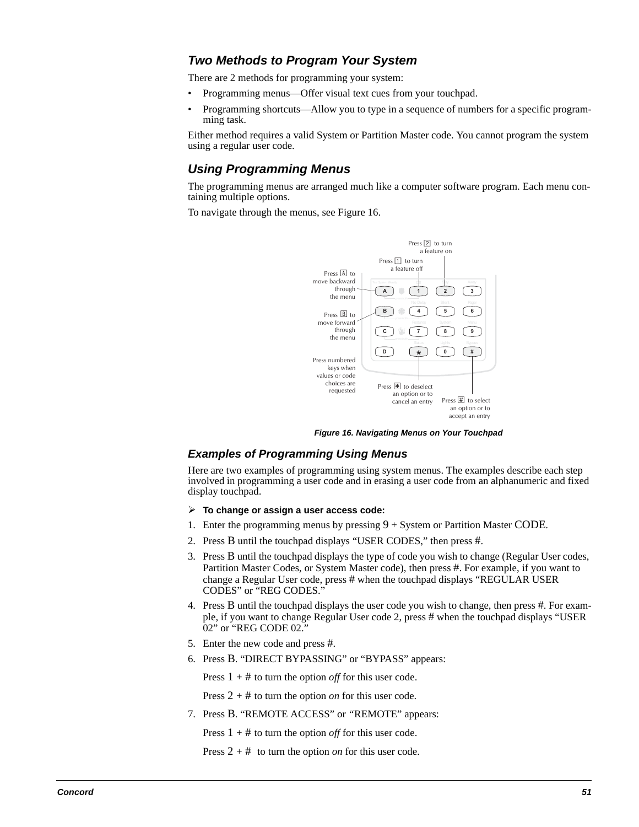### **Two Methods to Program Your System**

There are 2 methods for programming your system:

- Programming menus—Offer visual text cues from your touchpad.
- Programming shortcuts—Allow you to type in a sequence of numbers for a specific programming task.

Either method requires a valid System or Partition Master code. You cannot program the system using a regular user code.

### **Using Programming Menus**

The programming menus are arranged much like a computer software program. Each menu containing multiple options.

To navigate through the menus, see Figure 16.



**Figure 16. Navigating Menus on Your Touchpad**

### **Examples of Programming Using Menus**

Here are two examples of programming using system menus. The examples describe each step involved in programming a user code and in erasing a user code from an alphanumeric and fixed display touchpad.

- **To change or assign a user access code:**
- 1. Enter the programming menus by pressing 9 + System or Partition Master CODE*.*
- 2. Press B until the touchpad displays "USER CODES," then press #.
- 3. Press B until the touchpad displays the type of code you wish to change (Regular User codes, Partition Master Codes, or System Master code), then press #. For example, if you want to change a Regular User code, press # when the touchpad displays "REGULAR USER CODES" or "REG CODES."
- 4. Press B until the touchpad displays the user code you wish to change, then press #. For example, if you want to change Regular User code 2, press # when the touchpad displays "USER 02" or "REG CODE 02.
- 5. Enter the new code and press #.
- 6. Press B. "DIRECT BYPASSING" or "BYPASS" appears:

Press 1 + # to turn the option *off* for this user code.

Press 2 + # to turn the option *on* for this user code.

7. Press B. "REMOTE ACCESS" or *"*REMOTE" appears:

Press  $1 + #$  to turn the option *off* for this user code.

Press 2 + # to turn the option *on* for this user code.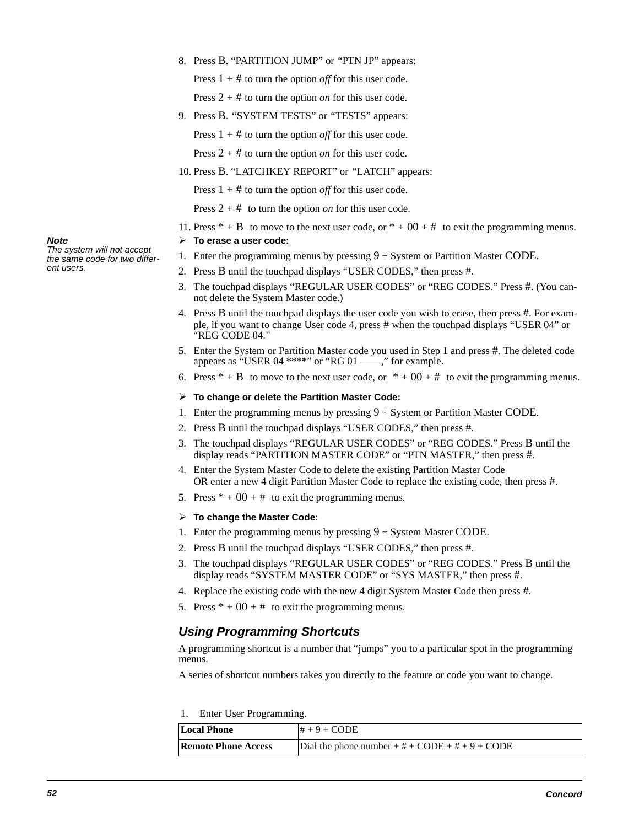8. Press B. "PARTITION JUMP" or *"*PTN JP" appears:

Press 1 + # to turn the option *off* for this user code.

Press 2 + # to turn the option *on* for this user code.

- 9. Press B. *"*SYSTEM TESTS" or *"*TESTS" appears:
	- Press 1 + # to turn the option *off* for this user code.
	- Press 2 + # to turn the option *on* for this user code.
- 10. Press B. "LATCHKEY REPORT" or *"*LATCH" appears:

Press  $1 + #$  to turn the option *off* for this user code.

Press 2 + # to turn the option *on* for this user code.

11. Press  $* + B$  to move to the next user code, or  $* + 00 + \#$  to exit the programming menus.

#### **To erase a user code:**

- 1. Enter the programming menus by pressing 9 + System or Partition Master CODE*.*
- 2. Press B until the touchpad displays "USER CODES," then press #.
- 3. The touchpad displays "REGULAR USER CODES" or "REG CODES." Press #. (You cannot delete the System Master code.)
- 4. Press B until the touchpad displays the user code you wish to erase, then press #. For example, if you want to change User code 4, press # when the touchpad displays "USER 04" or "REG CODE 04."
- 5. Enter the System or Partition Master code you used in Step 1 and press #. The deleted code appears as "USER 04 \*\*\*\*" or "RG 01 ——," for example.
- 6. Press  $* + B$  to move to the next user code, or  $* + 00 + \#$  to exit the programming menus.
- **To change or delete the Partition Master Code:**
- 1. Enter the programming menus by pressing 9 + System or Partition Master CODE*.*
- 2. Press B until the touchpad displays "USER CODES," then press #.
- 3. The touchpad displays "REGULAR USER CODES" or "REG CODES." Press B until the display reads "PARTITION MASTER CODE" or "PTN MASTER," then press #.
- 4. Enter the System Master Code to delete the existing Partition Master Code OR enter a new 4 digit Partition Master Code to replace the existing code, then press #.
- 5. Press  $* + 00 + #$  to exit the programming menus.

#### **To change the Master Code:**

- 1. Enter the programming menus by pressing  $9 + System$  Master CODE.
- 2. Press B until the touchpad displays "USER CODES," then press #.
- 3. The touchpad displays "REGULAR USER CODES" or "REG CODES." Press B until the display reads "SYSTEM MASTER CODE" or "SYS MASTER," then press #.
- 4. Replace the existing code with the new 4 digit System Master Code then press #.
- 5. Press  $* + 00 + #$  to exit the programming menus.

### **Using Programming Shortcuts**

A programming shortcut is a number that "jumps" you to a particular spot in the programming menus.

A series of shortcut numbers takes you directly to the feature or code you want to change.

1. Enter User Programming.

| <b>Local Phone</b>         | $H + 9 + CODE$                                    |
|----------------------------|---------------------------------------------------|
| <b>Remote Phone Access</b> | Dial the phone number $+$ # + CODE + # + 9 + CODE |

#### **Note**

The system will not accept the same code for two different users.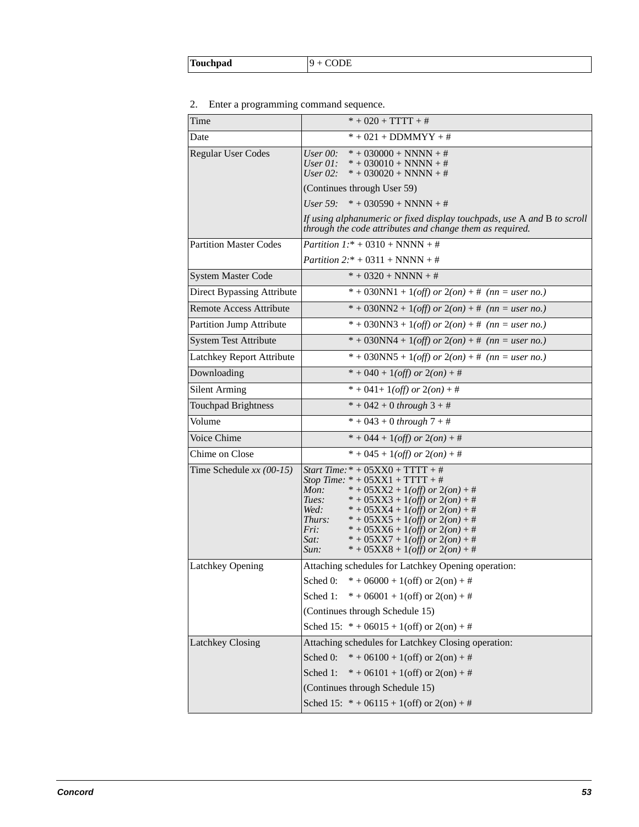|--|--|--|

### 2. Enter a programming command sequence.

| Time                           | $* + 020 + TTTT + #$                                                                                                                                                                                                                                                                                                                                                                                                      |
|--------------------------------|---------------------------------------------------------------------------------------------------------------------------------------------------------------------------------------------------------------------------------------------------------------------------------------------------------------------------------------------------------------------------------------------------------------------------|
| Date                           | $* + 021 + DDMMYY + #$                                                                                                                                                                                                                                                                                                                                                                                                    |
| <b>Regular User Codes</b>      | $* + 030000 + NNNN + #$<br>User $00$ :<br>User $0!$ :<br>$* + 030010 + NNNN + #$<br>User $02$ :<br>$* + 030020 + NNNN + #$                                                                                                                                                                                                                                                                                                |
|                                | (Continues through User 59)                                                                                                                                                                                                                                                                                                                                                                                               |
|                                | $* + 030590 + NNNN + #$<br>User $59$ :                                                                                                                                                                                                                                                                                                                                                                                    |
|                                | If using alphanumeric or fixed display touchpads, use A and B to scroll<br>through the code attributes and change them as required.                                                                                                                                                                                                                                                                                       |
| <b>Partition Master Codes</b>  | <i>Partition</i> $1.* + 0310 + NNNN + #$                                                                                                                                                                                                                                                                                                                                                                                  |
|                                | <i>Partition</i> $2.* + 0311 + NNNN + #$                                                                                                                                                                                                                                                                                                                                                                                  |
| <b>System Master Code</b>      | $* + 0320 + NNNN + #$                                                                                                                                                                                                                                                                                                                                                                                                     |
| Direct Bypassing Attribute     | * + 030NN1 + 1( <i>off)</i> or $2($ on) + # (nn = user no.)                                                                                                                                                                                                                                                                                                                                                               |
| <b>Remote Access Attribute</b> | * + 030NN2 + 1( <i>off</i> ) or 2( <i>on</i> ) + # ( <i>nn</i> = <i>user no.</i> )                                                                                                                                                                                                                                                                                                                                        |
| Partition Jump Attribute       | * + 030NN3 + 1( <i>off)</i> or $2($ on) + # (nn = user no.)                                                                                                                                                                                                                                                                                                                                                               |
| <b>System Test Attribute</b>   | * + 030NN4 + 1( <i>off</i> ) or $2($ on) + # (nn = user no.)                                                                                                                                                                                                                                                                                                                                                              |
| Latchkey Report Attribute      | * + 030NN5 + 1( <i>off)</i> or $2($ on) + # (nn = user no.)                                                                                                                                                                                                                                                                                                                                                               |
| Downloading                    | $* + 040 + 1(off)$ or $2(on) + #$                                                                                                                                                                                                                                                                                                                                                                                         |
| <b>Silent Arming</b>           | $* + 041 + 1(off)$ or $2(on) + #$                                                                                                                                                                                                                                                                                                                                                                                         |
| <b>Touchpad Brightness</b>     | $* + 042 + 0$ through $3 + #$                                                                                                                                                                                                                                                                                                                                                                                             |
| Volume                         | $* + 043 + 0$ through $7 + #$                                                                                                                                                                                                                                                                                                                                                                                             |
| Voice Chime                    | $* + 044 + 1(off)$ or $2(on) + #$                                                                                                                                                                                                                                                                                                                                                                                         |
| Chime on Close                 | $* + 045 + 1(off)$ or $2(on) + #$                                                                                                                                                                                                                                                                                                                                                                                         |
| Time Schedule $xx(00-15)$      | <i>Start Time:</i> $* + 05XX0 + TTTT + #$<br>Stop Time: $* + 05XX1 + TTTT + #$<br>Mon:<br>$* + 05XX2 + 1(off)$ or $2(on) + #$<br>$* + 05XX3 + 1(off)$ or $2(on) + #$<br>Tues:<br>Wed:<br>$* + 05XX4 + 1(off)$ or $2(on) + #$<br>$* + 05XX5 + 1(off)$ or $2(on) + #$<br>Thurs:<br>Fri:<br>$* + 05XX6 + 1(off)$ or $2(on) + #$<br>Sat:<br>$* + 05XX7 + 1(off)$ or $2(on) + #$<br>* + 05XX8 + 1(off) or $2($ on) + #<br>Sun: |
| <b>Latchkey Opening</b>        | Attaching schedules for Latchkey Opening operation:                                                                                                                                                                                                                                                                                                                                                                       |
|                                | Sched 0: $* + 06000 + 1(off)$ or $2(on) + #$                                                                                                                                                                                                                                                                                                                                                                              |
|                                | $* + 06001 + 1(off)$ or $2(on) + #$<br>Sched 1:                                                                                                                                                                                                                                                                                                                                                                           |
|                                | (Continues through Schedule 15)                                                                                                                                                                                                                                                                                                                                                                                           |
|                                | Sched 15: $* + 06015 + 1$ (off) or $2$ (on) + #                                                                                                                                                                                                                                                                                                                                                                           |
| Latchkey Closing               | Attaching schedules for Latchkey Closing operation:                                                                                                                                                                                                                                                                                                                                                                       |
|                                | Sched 0:<br>$* + 06100 + 1(off)$ or $2(on) + #$                                                                                                                                                                                                                                                                                                                                                                           |
|                                | Sched 1:<br>$* + 06101 + 1$ (off) or 2(on) +#                                                                                                                                                                                                                                                                                                                                                                             |
|                                | (Continues through Schedule 15)                                                                                                                                                                                                                                                                                                                                                                                           |
|                                | Sched 15: $* + 06115 + 1(off)$ or $2(on) + #$                                                                                                                                                                                                                                                                                                                                                                             |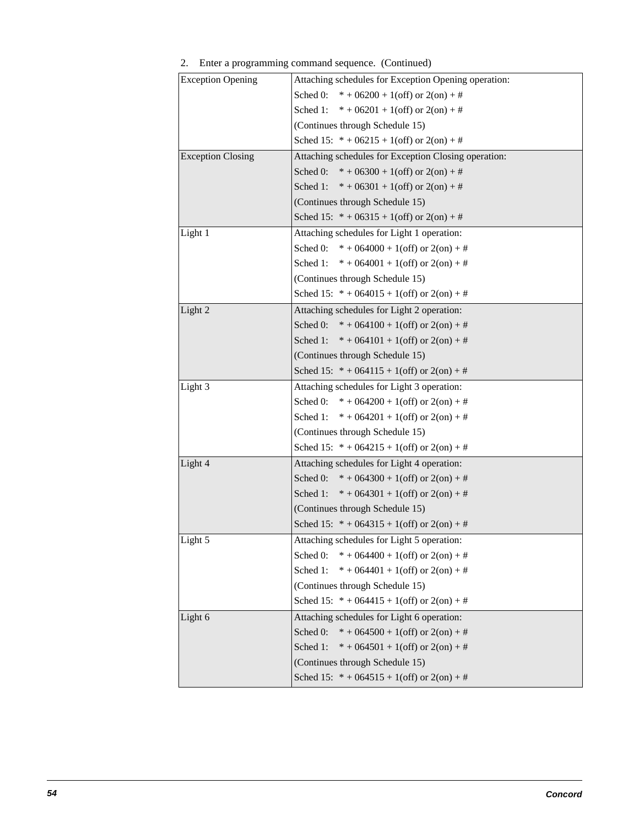| <b>Exception Opening</b> | Attaching schedules for Exception Opening operation: |
|--------------------------|------------------------------------------------------|
|                          | Sched 0:<br>$* + 06200 + 1$ (off) or $2$ (on) + #    |
|                          | Sched 1: $* + 06201 + 1$ (off) or $2$ (on) + #       |
|                          | (Continues through Schedule 15)                      |
|                          | Sched 15: $* + 06215 + 1(off)$ or $2(on) + #$        |
| <b>Exception Closing</b> | Attaching schedules for Exception Closing operation: |
|                          | Sched 0:<br>$* + 06300 + 1$ (off) or 2(on) + #       |
|                          | Sched 1: $* + 06301 + 1(off)$ or $2(on) + #$         |
|                          | (Continues through Schedule 15)                      |
|                          | Sched 15: $* + 06315 + 1(off)$ or $2(on) + #$        |
| Light 1                  | Attaching schedules for Light 1 operation:           |
|                          | Sched 0:<br>$* + 064000 + 1$ (off) or 2(on) + #      |
|                          | Sched 1:<br>$* + 064001 + 1$ (off) or 2(on) + #      |
|                          | (Continues through Schedule 15)                      |
|                          | Sched 15: $* + 064015 + 1$ (off) or 2(on) +#         |
| Light 2                  | Attaching schedules for Light 2 operation:           |
|                          | Sched 0: $* + 064100 + 1$ (off) or 2(on) +#          |
|                          | Sched 1:<br>$* + 064101 + 1$ (off) or 2(on) + #      |
|                          | (Continues through Schedule 15)                      |
|                          | Sched 15: $* + 064115 + 1(off)$ or $2(on) + #$       |
| Light 3                  | Attaching schedules for Light 3 operation:           |
|                          | Sched 0: $* + 064200 + 1$ (off) or 2(on) +#          |
|                          | Sched 1:<br>$* + 064201 + 1$ (off) or 2(on) + #      |
|                          | (Continues through Schedule 15)                      |
|                          | Sched 15: $* + 064215 + 1$ (off) or 2(on) +#         |
| Light 4                  | Attaching schedules for Light 4 operation:           |
|                          | $* + 064300 + 1$ (off) or 2(on) +#<br>Sched 0:       |
|                          | Sched 1:<br>$* + 064301 + 1$ (off) or 2(on) +#       |
|                          | (Continues through Schedule 15)                      |
|                          | Sched 15: $* + 064315 + 1$ (off) or 2(on) +#         |
| Light 5                  | Attaching schedules for Light 5 operation:           |
|                          | $* + 064400 + 1(off)$ or $2(on) + #$<br>Sched 0:     |
|                          | Sched 1:<br>$* + 064401 + 1$ (off) or 2(on) + #      |
|                          | (Continues through Schedule 15)                      |
|                          | Sched 15: $* + 064415 + 1$ (off) or 2(on) +#         |
| Light 6                  | Attaching schedules for Light 6 operation:           |
|                          | Sched 0:<br>$* + 064500 + 1$ (off) or 2(on) +#       |
|                          | Sched 1:<br>$* + 064501 + 1$ (off) or 2(on) + #      |
|                          | (Continues through Schedule 15)                      |
|                          | Sched 15: $* + 064515 + 1$ (off) or 2(on) +#         |

### 2. Enter a programming command sequence. (Continued)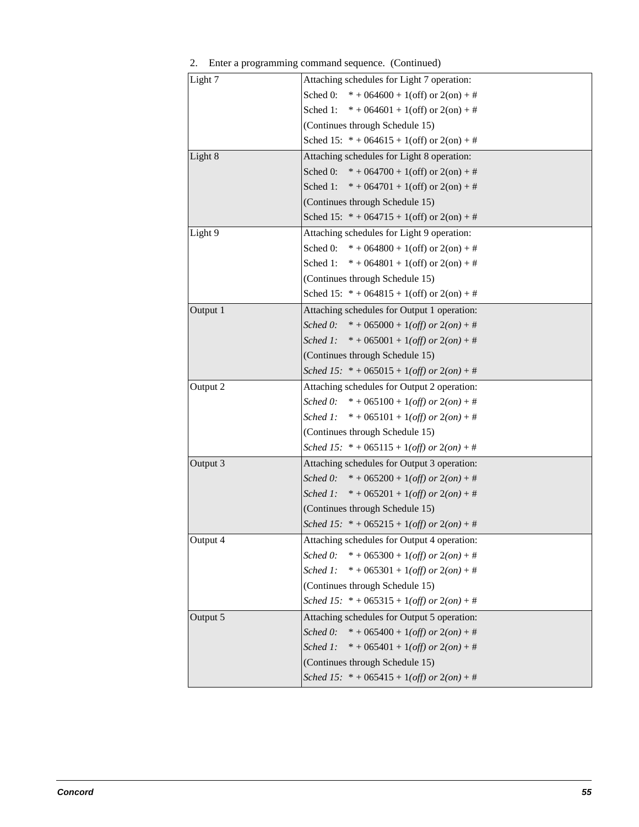| Light 7  | Attaching schedules for Light 7 operation:       |
|----------|--------------------------------------------------|
|          | Sched 0: $* + 064600 + 1$ (off) or 2(on) +#      |
|          | Sched 1: $* + 064601 + 1(off)$ or $2(on) + #$    |
|          | (Continues through Schedule 15)                  |
|          | Sched 15: $* + 064615 + 1$ (off) or 2(on) +#     |
| Light 8  | Attaching schedules for Light 8 operation:       |
|          | Sched 0: $* + 064700 + 1$ (off) or 2(on) +#      |
|          | Sched 1: $* + 064701 + 1$ (off) or 2(on) +#      |
|          | (Continues through Schedule 15)                  |
|          | Sched 15: $* + 064715 + 1$ (off) or 2(on) +#     |
| Light 9  | Attaching schedules for Light 9 operation:       |
|          | Sched 0: $* + 064800 + 1$ (off) or 2(on) +#      |
|          | Sched 1: $* + 064801 + 1(off)$ or $2(on) + #$    |
|          | (Continues through Schedule 15)                  |
|          | Sched 15: $* + 064815 + 1$ (off) or 2(on) +#     |
| Output 1 | Attaching schedules for Output 1 operation:      |
|          | Sched 0: $* + 065000 + 1(off)$ or $2(on) + #$    |
|          | Sched 1: $* + 065001 + 1(off)$ or $2(on) + #$    |
|          | (Continues through Schedule 15)                  |
|          | Sched 15: $* + 065015 + 1(off)$ or $2(on) + #$   |
| Output 2 | Attaching schedules for Output 2 operation:      |
|          | Sched 0: $* + 065100 + 1(off)$ or $2(on) + #$    |
|          | Sched 1: $* + 065101 + 1(off)$ or $2(on) + #$    |
|          | (Continues through Schedule 15)                  |
|          | Sched 15: $* + 065115 + 1(off)$ or $2(on) + #$   |
| Output 3 | Attaching schedules for Output 3 operation:      |
|          | Sched 0: $* + 065200 + 1(off)$ or $2(on) + #$    |
|          | Sched 1: $* + 065201 + 1(off)$ or $2(on) + #$    |
|          | (Continues through Schedule 15)                  |
|          | Sched 15: $* + 065215 + 1(off)$ or $2(on) + #$   |
| Output 4 | Attaching schedules for Output 4 operation:      |
|          | Sched 0:<br>$* + 065300 + 1(off)$ or $2(on) + #$ |
|          | Sched 1:<br>$* + 065301 + 1(off)$ or $2(on) + #$ |
|          | (Continues through Schedule 15)                  |
|          | Sched 15: $* + 065315 + 1(off)$ or $2(on) + #$   |
| Output 5 | Attaching schedules for Output 5 operation:      |
|          | Sched 0:<br>$* + 065400 + 1(off)$ or $2(on) + #$ |
|          | Sched 1:<br>$* + 065401 + 1(off)$ or $2(on) + #$ |
|          | (Continues through Schedule 15)                  |
|          | Sched 15: $* + 065415 + 1(off)$ or $2(on) + #$   |
|          |                                                  |

| 2. |  | Enter a programming command sequence. (Continued) |  |  |  |
|----|--|---------------------------------------------------|--|--|--|
|----|--|---------------------------------------------------|--|--|--|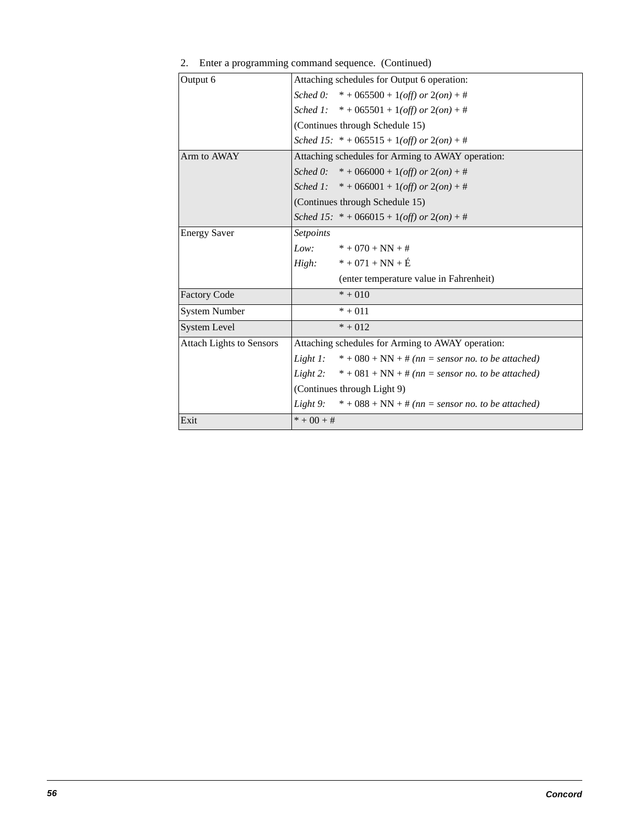| Output 6                        | Attaching schedules for Output 6 operation:                          |
|---------------------------------|----------------------------------------------------------------------|
|                                 | Sched 0: $* + 065500 + 1(off)$ or $2(on) + #$                        |
|                                 | Sched 1: $* + 065501 + 1(off)$ or $2(on) + #$                        |
|                                 | (Continues through Schedule 15)                                      |
|                                 | Sched 15: $* + 065515 + 1(off)$ or $2(on) + #$                       |
| Arm to AWAY                     | Attaching schedules for Arming to AWAY operation:                    |
|                                 | Sched 0: $* + 066000 + 1(off)$ or $2(on) + #$                        |
|                                 | Sched 1: $* + 066001 + 1(off)$ or $2(on) + #$                        |
|                                 | (Continues through Schedule 15)                                      |
|                                 | Sched 15: $* + 066015 + 1(off)$ or $2(on) + #$                       |
| <b>Energy Saver</b>             | Setpoints                                                            |
|                                 | Low:<br>$* + 070 + NN + #$                                           |
|                                 | $* + 071 + NN + E$<br>High:                                          |
|                                 | (enter temperature value in Fahrenheit)                              |
| <b>Factory Code</b>             | $* + 010$                                                            |
| <b>System Number</b>            | $* + 011$                                                            |
| System Level                    | $* + 012$                                                            |
| <b>Attach Lights to Sensors</b> | Attaching schedules for Arming to AWAY operation:                    |
|                                 | Light 1: $* + 080 + NN + \text{\#} (nn =$ sensor no. to be attached) |
|                                 | Light 2: $* + 081 + NN + \# (nn = sensor no. to be attached)$        |
|                                 | (Continues through Light 9)                                          |
|                                 | Light 9: $* + 088 + NN + #$ (nn = sensor no. to be attached)         |
| Exit                            | $* + 00 + #$                                                         |
|                                 |                                                                      |

2. Enter a programming command sequence. (Continued)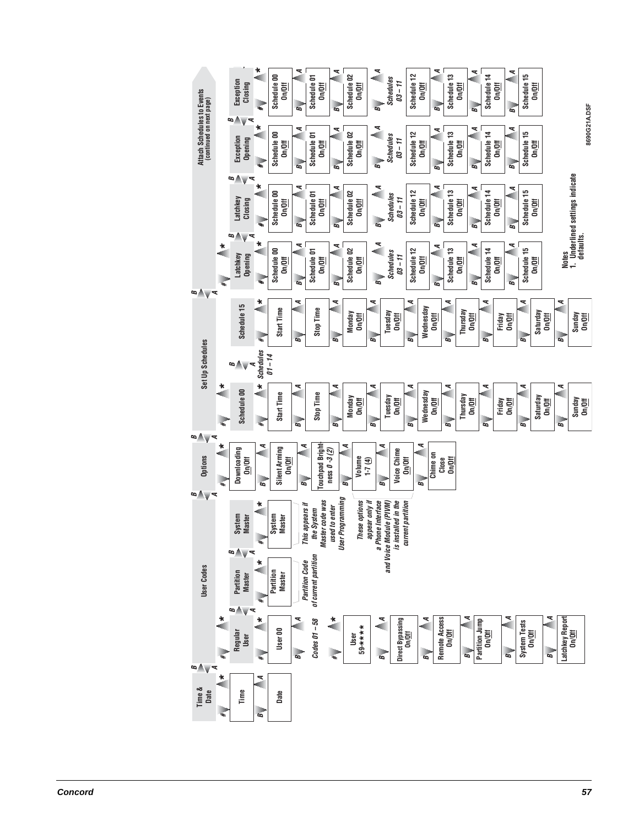